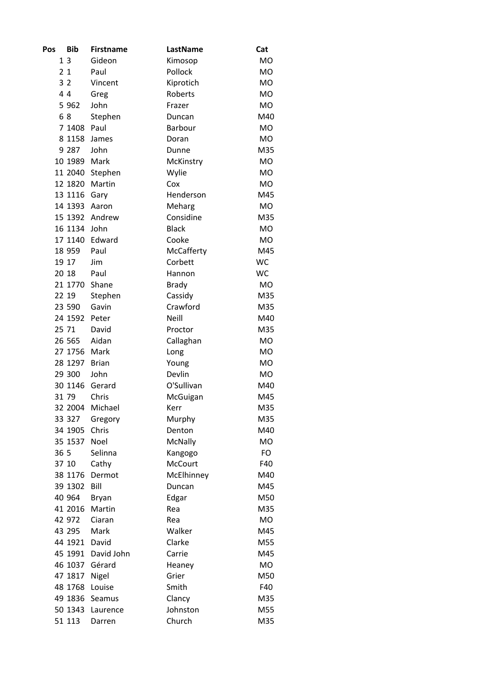| Pos            | <b>Bib</b> | <b>Firstname</b> | LastName       | Cat       |
|----------------|------------|------------------|----------------|-----------|
| 13             |            | Gideon           | Kimosop        | <b>MO</b> |
| 21             |            | Paul             | Pollock        | <b>MO</b> |
| 3 <sub>2</sub> |            | Vincent          | Kiprotich      | <b>MO</b> |
| 44             |            | Greg             | Roberts        | <b>MO</b> |
|                | 5 9 6 2    | John             | Frazer         | <b>MO</b> |
| 68             |            | Stephen          | Duncan         | M40       |
|                | 7 1408     | Paul             | Barbour        | <b>MO</b> |
|                | 8 1158     | James            | Doran          | <b>MO</b> |
|                | 9 2 8 7    | John             | Dunne          | M35       |
|                | 10 1989    | Mark             | McKinstry      | <b>MO</b> |
|                | 11 2040    | Stephen          | Wylie          | <b>MO</b> |
|                | 12 1820    | Martin           | Cox            | <b>MO</b> |
|                | 13 1116    | Gary             | Henderson      | M45       |
|                | 14 1393    | Aaron            | Meharg         | <b>MO</b> |
|                | 15 1392    | Andrew           | Considine      | M35       |
|                | 16 1134    | John             | <b>Black</b>   | <b>MO</b> |
|                | 17 1140    | Edward           | Cooke          | <b>MO</b> |
|                | 18 959     | Paul             | McCafferty     | M45       |
|                | 19 17      | Jim              | Corbett        | <b>WC</b> |
| 20 18          |            | Paul             | Hannon         | <b>WC</b> |
|                | 21 1770    | Shane            | <b>Brady</b>   | <b>MO</b> |
| 22 19          |            | Stephen          | Cassidy        | M35       |
|                | 23 590     | Gavin            | Crawford       | M35       |
|                | 24 1592    | Peter            | Neill          | M40       |
| 25 71          |            | David            | Proctor        | M35       |
|                | 26 565     | Aidan            | Callaghan      | <b>MO</b> |
|                | 27 1756    | Mark             | Long           | <b>MO</b> |
|                | 28 1297    | <b>Brian</b>     | Young          | <b>MO</b> |
|                | 29 300     | John             | Devlin         | <b>MO</b> |
|                | 30 1146    | Gerard           | O'Sullivan     | M40       |
| 31 79          |            | Chris            | McGuigan       | M45       |
|                | 32 2004    | Michael          | Kerr           | M35       |
|                | 33 327     | Gregory          | Murphy         | M35       |
|                | 34 1905    | Chris            | Denton         | M40       |
|                | 35 1537    | Noel             | <b>McNally</b> | <b>MO</b> |
| 36 5           |            | Selinna          | Kangogo        | <b>FO</b> |
|                | 37 10      | Cathy            | <b>McCourt</b> | F40       |
|                | 38 1176    | Dermot           | McElhinney     | M40       |
|                | 39 1302    | Bill             | Duncan         | M45       |
|                | 40 964     | <b>Bryan</b>     | Edgar          | M50       |
|                | 41 2016    | Martin           | Rea            | M35       |
|                | 42 972     | Ciaran           | Rea            | <b>MO</b> |
|                | 43 295     | Mark             | Walker         | M45       |
|                | 44 1921    | David            | Clarke         | M55       |
|                | 45 1991    | David John       | Carrie         | M45       |
|                | 46 1037    | Gérard           | Heaney         | <b>MO</b> |
|                | 47 1817    | Nigel            | Grier          | M50       |
|                | 48 1768    | Louise           | Smith          | F40       |
|                | 49 1836    | Seamus           | Clancy         | M35       |
|                | 50 1343    | Laurence         | Johnston       | M55       |
|                | 51 113     | Darren           | Church         | M35       |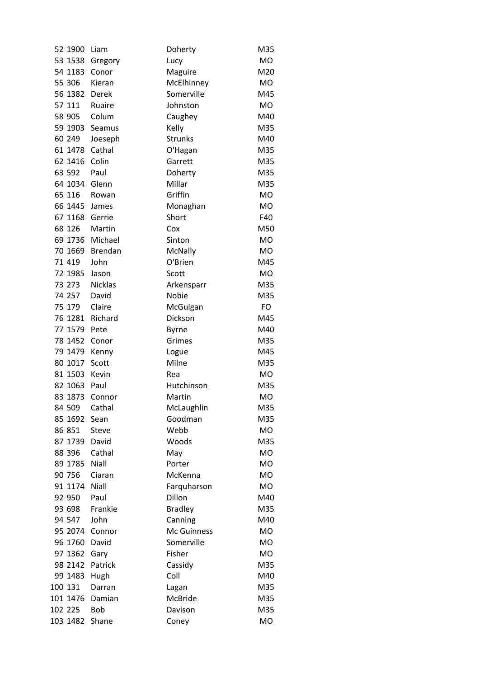| 52 1900  | Liam           | Doherty        | M35       |
|----------|----------------|----------------|-----------|
| 53 1538  | Gregory        | Lucy           | <b>MO</b> |
| 54 1183  | Conor          | Maguire        | M20       |
| 55 306   | Kieran         | McElhinney     | <b>MO</b> |
| 56 1382  | Derek          | Somerville     | M45       |
| 57 111   | Ruaire         | Johnston       | <b>MO</b> |
| 58 905   | Colum          | Caughey        | M40       |
| 59 1903  | Seamus         | Kelly          | M35       |
| 60 249   | Joeseph        | Strunks        | M40       |
| 61 1478  | Cathal         | O'Hagan        | M35       |
| 62 1416  | Colin          | Garrett        | M35       |
| 63 592   | Paul           | Doherty        | M35       |
| 64 1034  | Glenn          | Millar         | M35       |
| 65 116   | Rowan          | Griffin        | <b>MO</b> |
| 66 1445  | James          | Monaghan       | <b>MO</b> |
| 67 1168  | Gerrie         | Short          | F40       |
| 68 126   | Martin         | Cox            | M50       |
| 69 1736  | Michael        | Sinton         | <b>MO</b> |
| 70 1669  | <b>Brendan</b> | McNally        | <b>MO</b> |
| 71 419   | John           | O'Brien        | M45       |
| 72 1985  | Jason          | Scott          | MO        |
| 73 273   | <b>Nicklas</b> | Arkensparr     | M35       |
| 74 257   | David          | Nobie          | M35       |
| 75 179   | Claire         | McGuigan       | FO        |
| 76 1281  | Richard        | Dickson        | M45       |
| 77 1579  | Pete           | Byrne          | M40       |
| 78 1452  | Conor          | Grimes         | M35       |
| 79 1479  | Kenny          | Logue          | M45       |
| 80 1017  | Scott          | Milne          | M35       |
| 81 1503  | Kevin          | Rea            | <b>MO</b> |
| 82 1063  | Paul           | Hutchinson     | M35       |
| 83 1873  | Connor         | Martin         | <b>MO</b> |
| 84 509   | Cathal         | McLaughlin     | M35       |
| 85 1692  | Sean           | Goodman        | M35       |
| 86 851   | <b>Steve</b>   | Webb           | MO        |
| 87 1739  | David          | Woods          | M35       |
| 88 396   | Cathal         | May            | <b>MO</b> |
| 89 1785  | Niall          | Porter         | <b>MO</b> |
| 90 756   | Ciaran         | McKenna        | <b>MO</b> |
| 91 1174  | Niall          | Farquharson    | <b>MO</b> |
| 92 950   | Paul           | Dillon         | M40       |
| 93 698   | Frankie        | <b>Bradley</b> | M35       |
| 94 547   | John           | Canning        | M40       |
| 95 2074  | Connor         | Mc Guinness    | <b>MO</b> |
| 96 1760  | David          | Somerville     | <b>MO</b> |
| 97 1362  | Gary           | Fisher         | <b>MO</b> |
| 98 2142  | Patrick        | Cassidy        | M35       |
| 99 1483  | Hugh           | Coll           | M40       |
| 100 131  | Darran         | Lagan          | M35       |
| 101 1476 | Damian         | McBride        | M35       |
| 102 225  | Bob            | Davison        | M35       |
| 103 1482 | Shane          | Coney          | MO        |
|          |                |                |           |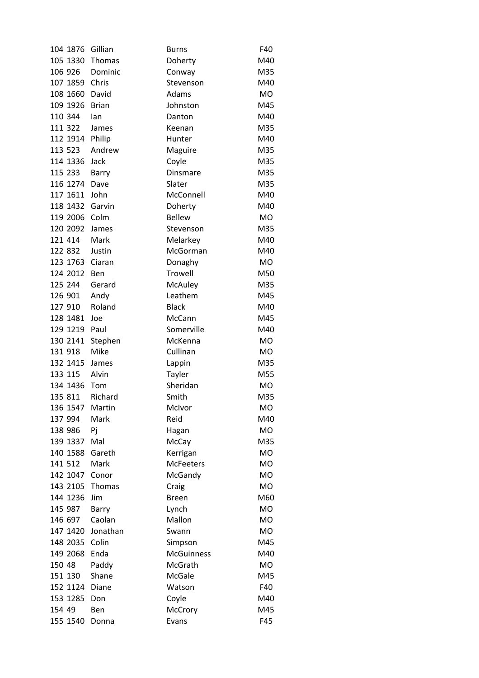| 104 1876          | Gillian      | <b>Burns</b>      | F40       |
|-------------------|--------------|-------------------|-----------|
| 105 1330 Thomas   |              | Doherty           | M40       |
| 106 926           | Dominic      | Conway            | M35       |
| 107 1859 Chris    |              | Stevenson         | M40       |
| 108 1660          | David        | Adams             | <b>MO</b> |
| 109 1926          | <b>Brian</b> | Johnston          | M45       |
| 110 344           | lan          | Danton            | M40       |
| 111 322           | James        | Keenan            | M35       |
| 112 1914 Philip   |              | Hunter            | M40       |
| 113 523           | Andrew       | Maguire           | M35       |
| 114 1336          | Jack         | Coyle             | M35       |
| 115 233           | Barry        | Dinsmare          | M35       |
| 116 1274          | Dave         | Slater            | M35       |
| 117 1611          | John         | McConnell         | M40       |
| 118 1432          | Garvin       | Doherty           | M40       |
| 119 2006          | Colm         | <b>Bellew</b>     | <b>MO</b> |
| 120 2092          | James        | Stevenson         | M35       |
| 121 414           | Mark         | Melarkey          | M40       |
| 122 832           | Justin       | McGorman          | M40       |
| 123 1763 Ciaran   |              | Donaghy           | MO        |
| 124 2012          | Ben          | Trowell           | M50       |
| 125 244           | Gerard       | McAuley           | M35       |
| 126 901           | Andy         | Leathem           | M45       |
| 127 910           | Roland       | <b>Black</b>      | M40       |
| 128 1481          | Joe          | McCann            | M45       |
| 129 1219          | Paul         | Somerville        | M40       |
| 130 2141          | Stephen      | McKenna           | <b>MO</b> |
| 131 918           | Mike         | Cullinan          | MO        |
| 132 1415 James    |              | Lappin            | M35       |
| 133 115           | Alvin        | Tayler            | M55       |
| 134 1436 Tom      |              | Sheridan          | <b>MO</b> |
| 135 811           | Richard      | Smith             | M35       |
| 136 1547          | Martin       | McIvor            | МO        |
| 137 994           | Mark         | Reid              | M40       |
| 138 986           | Pj           | Hagan             | MO.       |
| 139 1337          | Mal          | McCay             | M35       |
| 140 1588          | Gareth       | Kerrigan          | <b>MO</b> |
| 141 512           | Mark         | <b>McFeeters</b>  | <b>MO</b> |
| 142 1047          | Conor        | McGandy           | <b>MO</b> |
| 143 2105          | Thomas       | Craig             | <b>MO</b> |
| 144 1236          | Jim          | <b>Breen</b>      | M60       |
| 145 987           | Barry        | Lynch             | <b>MO</b> |
| 146 697           | Caolan       | Mallon            | <b>MO</b> |
| 147 1420 Jonathan |              | Swann             | MO        |
| 148 2035          | Colin        | Simpson           | M45       |
| 149 2068          | Enda         | <b>McGuinness</b> | M40       |
| 150 48            | Paddy        | McGrath           | <b>MO</b> |
| 151 130           | Shane        | <b>McGale</b>     | M45       |
| 152 1124          | Diane        | Watson            | F40       |
| 153 1285          | Don          | Coyle             | M40       |
| 154 49            | Ben          | McCrory           | M45       |
| 155 1540          | Donna        | Evans             | F45       |
|                   |              |                   |           |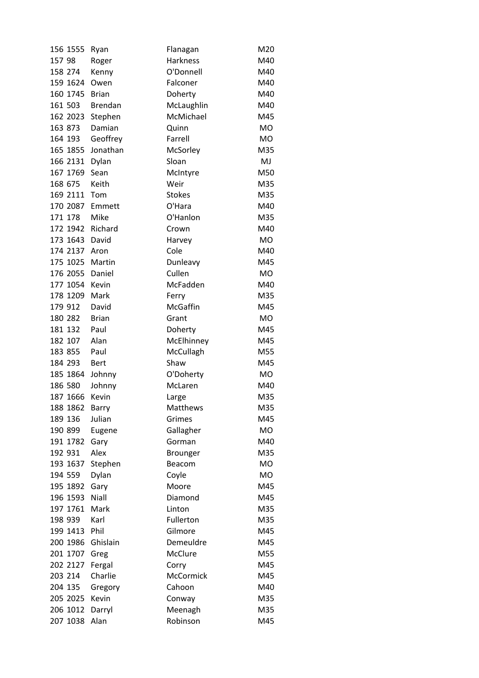| 156 1555             | Ryan           | Flanagan             | M20       |
|----------------------|----------------|----------------------|-----------|
| 157 98               | Roger          | <b>Harkness</b>      | M40       |
| 158 274              | Kenny          | O'Donnell            | M40       |
| 159 1624             | Owen           | Falconer             | M40       |
| 160 1745             | <b>Brian</b>   | Doherty              | M40       |
| 161 503              | <b>Brendan</b> | McLaughlin           | M40       |
| 162 2023             | Stephen        | McMichael            | M45       |
| 163 873              | Damian         | Quinn                | <b>MO</b> |
| 164 193              | Geoffrey       | Farrell              | <b>MO</b> |
| 165 1855             | Jonathan       | McSorley             | M35       |
| 166 2131             | Dylan          | Sloan                | MJ        |
| 167 1769             | Sean           | McIntyre             | M50       |
| 168 675              | Keith          | Weir                 | M35       |
| 169 2111             | Tom            | <b>Stokes</b>        | M35       |
| 170 2087             | Emmett         | O'Hara               | M40       |
| 171 178              | Mike           | O'Hanlon             | M35       |
| 172 1942             | Richard        | Crown                | M40       |
| 173 1643             | David          | Harvey               | <b>MO</b> |
| 174 2137             | Aron           | Cole                 | M40       |
| 175 1025             | Martin         | Dunleavy             | M45       |
| 176 2055             | Daniel         | Cullen               | <b>MO</b> |
| 177 1054             | Kevin          | McFadden             | M40       |
| 178 1209             | Mark           | Ferry                | M35       |
| 179 912              | David          | McGaffin             | M45       |
| 180 282              | <b>Brian</b>   | Grant                | <b>MO</b> |
| 181 132              | Paul           | Doherty              | M45       |
| 182 107              | Alan           | McElhinney           | M45       |
| 183 855              | Paul           | McCullagh            | M55       |
| 184 293              | <b>Bert</b>    | Shaw                 | M45       |
| 185 1864             | Johnny         | O'Doherty            | <b>MO</b> |
| 186 580              | Johnny         | McLaren              | M40       |
| 187 1666             | Kevin          | Large                | M35       |
| 188 1862             | Barry          | Matthews             | M35       |
| 189 136              | Julian         | Grimes               | M45       |
| 190 899              | Eugene         | Gallagher            | <b>MO</b> |
| 191 1782             | Gary           | Gorman               | M40       |
| 192 931              | Alex           | Brounger             | M35       |
| 193 1637             | Stephen        | Beacom               | <b>MO</b> |
| 194 559              | Dylan          | Coyle                | <b>MO</b> |
| 195 1892             | Gary           | Moore                | M45       |
| 196 1593             | Niall          | Diamond              | M45       |
| 197 1761             | Mark           | Linton               | M35       |
| 198 939              | Karl           | Fullerton            | M35       |
| 199 1413             | Phil           | Gilmore              | M45       |
|                      |                |                      |           |
| 200 1986<br>201 1707 | Ghislain       | Demeuldre<br>McClure | M45       |
|                      | Greg           |                      | M55       |
| 202 2127             | Fergal         | Corry                | M45       |
| 203 214              | Charlie        | McCormick            | M45       |
| 204 135              | Gregory        | Cahoon               | M40       |
| 205 2025             | Kevin          | Conway               | M35       |
| 206 1012             | Darryl         | Meenagh              | M35       |
| 207 1038             | Alan           | Robinson             | M45       |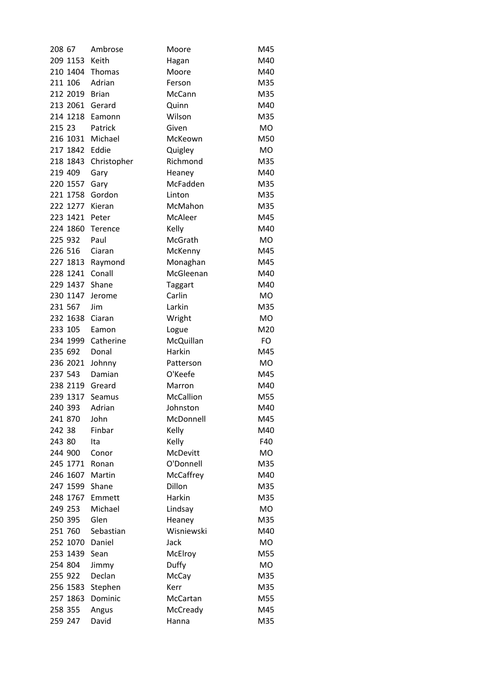| 208 67           | Ambrose            | Moore          | M45       |
|------------------|--------------------|----------------|-----------|
| 209 1153         | Keith              | Hagan          | M40       |
| 210 1404 Thomas  |                    | Moore          | M40       |
| 211 106          | Adrian             | Ferson         | M35       |
| 212 2019         | <b>Brian</b>       | McCann         | M35       |
| 213 2061         | Gerard             | Quinn          | M40       |
| 214 1218         | Eamonn             | Wilson         | M35       |
| 215 23           | Patrick            | Given          | <b>MO</b> |
| 216 1031         | Michael            | McKeown        | M50       |
| 217 1842         | Eddie              | Quigley        | MO        |
| 218 1843         | Christopher        | Richmond       | M35       |
| 219 409          | Gary               | Heaney         | M40       |
| 220 1557         | Gary               | McFadden       | M35       |
| 221 1758         | Gordon             | Linton         | M35       |
| 222 1277         | Kieran             | McMahon        | M35       |
| 223 1421         | Peter              | McAleer        | M45       |
| 224 1860         | Terence            | Kelly          | M40       |
| 225 932          | Paul               | McGrath        | <b>MO</b> |
| 226 516          | Ciaran             | McKenny        | M45       |
| 227 1813 Raymond |                    | Monaghan       | M45       |
| 228 1241         | Conall             | McGleenan      | M40       |
| 229 1437         | Shane              | <b>Taggart</b> | M40       |
| 230 1147         | Jerome             | Carlin         | <b>MO</b> |
| 231 567          | Jim                | Larkin         | M35       |
| 232 1638         | Ciaran             | Wright         | <b>MO</b> |
| 233 105          | Eamon              | Logue          | M20       |
| 234 1999         | Catherine          | McQuillan      | FO        |
| 235 692          | Donal              | Harkin         | M45       |
| 236 2021         | Johnny             | Patterson      | <b>MO</b> |
| 237 543          | Damian             | O'Keefe        | M45       |
| 238 2119         | Greard             | Marron         | M40       |
| 239 1317         | Seamus             | McCallion      | M55       |
| 240 393          | Adrian             | Johnston       | M40       |
| 241 870          | John               | McDonnell      | M45       |
| 242 38           | Finbar             | Kelly          | M40       |
| 243 80           | Ita                | Kelly          | F40       |
| 244 900          | Conor              | McDevitt       | <b>MO</b> |
| 245 1771         | Ronan              | O'Donnell      | M35       |
| 246 1607         | Martin             | McCaffrey      | M40       |
| 247 1599         | Shane              | Dillon         | M35       |
| 248 1767         | Emmett             | Harkin         | M35       |
| 249 253          | Michael            | Lindsay        | MO        |
| 250 395          | Glen               | Heaney         | M35       |
| 251 760          | Sebastian          | Wisniewski     | M40       |
| 252 1070         | Daniel             | Jack           | <b>MO</b> |
| 253 1439         | Sean               | McElroy        | M55       |
|                  |                    |                |           |
| 254 804          | Jimmy              | Duffy          | MO        |
| 255 922          | Declan             | McCay          | M35       |
| 256 1583         | Stephen<br>Dominic | Kerr           | M35       |
| 257 1863         |                    | McCartan       | M55       |
| 258 355          | Angus              | McCready       | M45       |
| 259 247          | David              | Hanna          | M35       |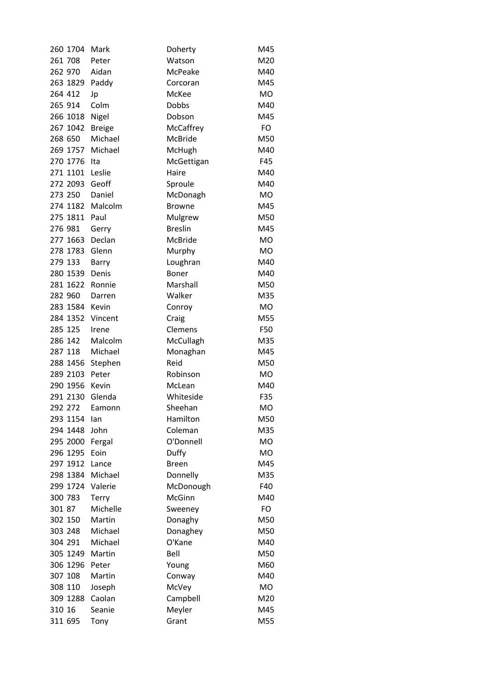| 260 1704 | Mark          | Doherty        | M45       |
|----------|---------------|----------------|-----------|
| 261 708  | Peter         | Watson         | M20       |
| 262 970  | Aidan         | McPeake        | M40       |
| 263 1829 | Paddy         | Corcoran       | M45       |
| 264 412  | Jp            | McKee          | <b>MO</b> |
| 265 914  | Colm          | <b>Dobbs</b>   | M40       |
| 266 1018 | Nigel         | Dobson         | M45       |
| 267 1042 | <b>Breige</b> | McCaffrey      | FO        |
| 268 650  | Michael       | McBride        | M50       |
| 269 1757 | Michael       | McHugh         | M40       |
| 270 1776 | Ita           | McGettigan     | F45       |
| 271 1101 | Leslie        | Haire          | M40       |
| 272 2093 | Geoff         | Sproule        | M40       |
| 273 250  | Daniel        | McDonagh       | <b>MO</b> |
| 274 1182 | Malcolm       | <b>Browne</b>  | M45       |
| 275 1811 | Paul          | Mulgrew        | M50       |
| 276 981  | Gerry         | <b>Breslin</b> | M45       |
| 277 1663 | Declan        | <b>McBride</b> | <b>MO</b> |
| 278 1783 | Glenn         | Murphy         | <b>MO</b> |
| 279 133  | Barry         | Loughran       | M40       |
| 280 1539 | Denis         | <b>Boner</b>   | M40       |
| 281 1622 | Ronnie        | Marshall       | M50       |
| 282 960  | Darren        | Walker         | M35       |
| 283 1584 | Kevin         | Conroy         | <b>MO</b> |
| 284 1352 | Vincent       | Craig          | M55       |
| 285 125  | Irene         | Clemens        | F50       |
| 286 142  | Malcolm       | McCullagh      | M35       |
| 287 118  | Michael       | Monaghan       | M45       |
| 288 1456 | Stephen       | Reid           | M50       |
| 289 2103 | Peter         | Robinson       | <b>MO</b> |
| 290 1956 | Kevin         | McLean         | M40       |
| 291 2130 | Glenda        | Whiteside      | F35       |
| 292 272  | Eamonn        | Sheehan        | МO        |
| 293 1154 | lan           | Hamilton       | M50       |
| 294 1448 | John          | Coleman        | M35       |
| 295 2000 | Fergal        | O'Donnell      | MO        |
| 296 1295 | Eoin          | Duffy          | <b>MO</b> |
| 297 1912 | Lance         | <b>Breen</b>   | M45       |
| 298 1384 | Michael       | Donnelly       | M35       |
| 299 1724 | Valerie       | McDonough      | F40       |
| 300 783  | Terry         | McGinn         | M40       |
| 301 87   | Michelle      | Sweeney        | FO        |
| 302 150  | Martin        | Donaghy        | M50       |
| 303 248  | Michael       | Donaghey       | M50       |
| 304 291  | Michael       | O'Kane         | M40       |
| 305 1249 | Martin        | Bell           | M50       |
| 306 1296 | Peter         | Young          | M60       |
| 307 108  | Martin        | Conway         | M40       |
| 308 110  | Joseph        | McVey          | MO        |
| 309 1288 | Caolan        | Campbell       | M20       |
| 310 16   | Seanie        | Meyler         | M45       |
| 311 695  | Tony          | Grant          | M55       |
|          |               |                |           |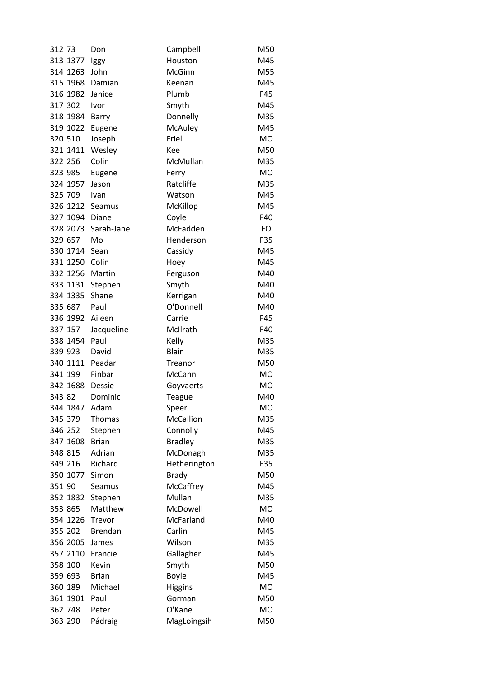| 312 73   | Don            | Campbell       | M50       |
|----------|----------------|----------------|-----------|
| 313 1377 | lggy           | Houston        | M45       |
| 314 1263 | John           | McGinn         | M55       |
| 315 1968 | Damian         | Keenan         | M45       |
| 316 1982 | Janice         | Plumb          | F45       |
| 317 302  | Ivor           | Smyth          | M45       |
| 318 1984 | Barry          | Donnelly       | M35       |
| 319 1022 | Eugene         | McAuley        | M45       |
| 320 510  | Joseph         | Friel          | <b>MO</b> |
| 321 1411 | Wesley         | Kee            | M50       |
| 322 256  | Colin          | McMullan       | M35       |
| 323 985  | Eugene         | Ferry          | <b>MO</b> |
| 324 1957 | Jason          | Ratcliffe      | M35       |
| 325 709  | Ivan           | Watson         | M45       |
| 326 1212 | Seamus         | McKillop       | M45       |
| 327 1094 | Diane          | Coyle          | F40       |
| 328 2073 | Sarah-Jane     | McFadden       | <b>FO</b> |
| 329 657  | Mo             | Henderson      | F35       |
| 330 1714 | Sean           | Cassidy        | M45       |
| 331 1250 | Colin          | Hoey           | M45       |
| 332 1256 | Martin         | Ferguson       | M40       |
| 333 1131 | Stephen        | Smyth          | M40       |
| 334 1335 | Shane          | Kerrigan       | M40       |
| 335 687  | Paul           | O'Donnell      | M40       |
| 336 1992 | Aileen         | Carrie         | F45       |
| 337 157  | Jacqueline     | McIlrath       | F40       |
| 338 1454 | Paul           | Kelly          | M35       |
| 339 923  | David          | <b>Blair</b>   | M35       |
| 340 1111 | Peadar         | Treanor        | M50       |
| 341 199  | Finbar         | McCann         | <b>MO</b> |
| 342 1688 | Dessie         | Goyvaerts      | MO        |
| 343 82   | Dominic        | <b>Teague</b>  | M40       |
| 344 1847 | Adam           | Speer          | МO        |
| 345 379  | <b>Thomas</b>  | McCallion      | M35       |
| 346 252  | Stephen        | Connolly       | M45       |
| 347 1608 | <b>Brian</b>   | <b>Bradley</b> | M35       |
| 348 815  | Adrian         | McDonagh       | M35       |
| 349 216  | Richard        | Hetherington   | F35       |
| 350 1077 | Simon          | <b>Brady</b>   | M50       |
| 351 90   | Seamus         | McCaffrey      | M45       |
| 352 1832 | Stephen        | Mullan         | M35       |
| 353 865  | Matthew        | McDowell       | <b>MO</b> |
| 354 1226 | Trevor         | McFarland      | M40       |
| 355 202  | <b>Brendan</b> | Carlin         | M45       |
| 356 2005 | James          | Wilson         | M35       |
| 357 2110 | Francie        | Gallagher      | M45       |
| 358 100  | Kevin          | Smyth          | M50       |
| 359 693  | <b>Brian</b>   | <b>Boyle</b>   | M45       |
| 360 189  | Michael        | <b>Higgins</b> | <b>MO</b> |
| 361 1901 | Paul           | Gorman         | M50       |
| 362 748  | Peter          | O'Kane         | MO        |
| 363 290  | Pádraig        | MagLoingsih    | M50       |
|          |                |                |           |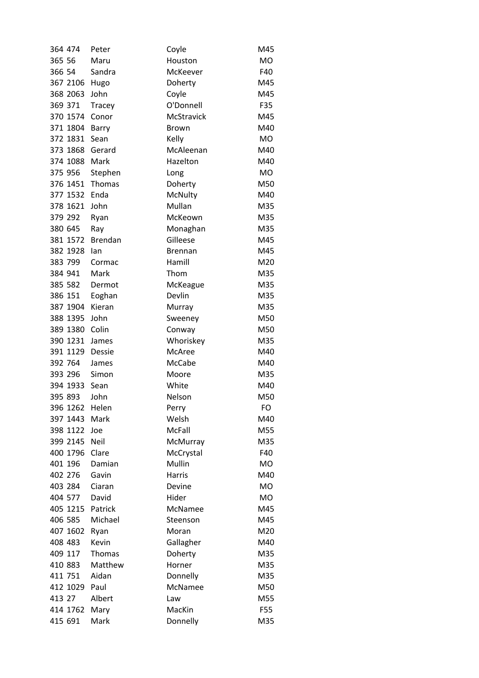| 364 474          | Peter          | Coyle          | M45        |
|------------------|----------------|----------------|------------|
| 365 56           | Maru           | Houston        | <b>MO</b>  |
| 366 54           | Sandra         | McKeever       | F40        |
| 367 2106         | Hugo           | Doherty        | M45        |
| 368 2063         | John           | Coyle          | M45        |
| 369 371          | <b>Tracey</b>  | O'Donnell      | F35        |
| 370 1574         | Conor          | McStravick     | M45        |
| 371 1804         | Barry          | <b>Brown</b>   | M40        |
| 372 1831         | Sean           | Kelly          | <b>MO</b>  |
| 373 1868         | Gerard         | McAleenan      | M40        |
| 374 1088         | Mark           | Hazelton       | M40        |
| 375 956          | Stephen        | Long           | <b>MO</b>  |
| 376 1451         | Thomas         | Doherty        | M50        |
| 377 1532         | Enda           | McNulty        | M40        |
| 378 1621         | John           | Mullan         | M35        |
| 379 292          | Ryan           | McKeown        | M35        |
| 380 645          | Ray            | Monaghan       | M35        |
| 381 1572         | <b>Brendan</b> | Gilleese       | M45        |
| 382 1928         | lan            | <b>Brennan</b> | M45        |
| 383 799          | Cormac         | Hamill         | M20        |
| 384 941          | Mark           | Thom           | M35        |
| 385 582          | Dermot         | McKeague       | M35        |
| 386 151          | Eoghan         | Devlin         | M35        |
| 387 1904         | Kieran         | Murray         | M35        |
| 388 1395         | John           | Sweeney        | M50        |
| 389 1380         | Colin          | Conway         | M50        |
| 390 1231         | James          | Whoriskey      | M35        |
| 391 1129         | Dessie         | McAree         | M40        |
| 392 764          | James          | McCabe         | M40        |
| 393 296          | Simon          | Moore          | M35        |
| 394 1933         | Sean           | White          | M40        |
| 395 893          | John           | Nelson         | M50        |
| 396 1262         | Helen          | Perry          | FO         |
| 397 1443         | Mark           | Welsh          | M40        |
| 398 1122         | Joe            | McFall         | M55        |
| 399 2145         | <b>Neil</b>    | McMurray       | M35        |
| 400 1796         | Clare          | McCrystal      | F40        |
| 401 196          | Damian         | Mullin         | MO         |
| 402 276          | Gavin          | Harris         | M40        |
| 403 284          | Ciaran         | Devine         | <b>MO</b>  |
| 404 577          | David          | Hider          | <b>MO</b>  |
| 405 1215 Patrick |                | McNamee        | M45        |
| 406 585          | Michael        | Steenson       | M45        |
| 407 1602         | Ryan           | Moran          | M20        |
| 408 483          | Kevin          | Gallagher      | M40        |
| 409 117          | Thomas         | Doherty        | M35        |
| 410 883          | Matthew        | Horner         | M35        |
| 411 751          | Aidan          | Donnelly       |            |
| 412 1029         | Paul           | McNamee        | M35<br>M50 |
| 413 27           | Albert         | Law            | M55        |
| 414 1762         | Mary           | MacKin         | F55        |
| 415 691          | Mark           | Donnelly       | M35        |
|                  |                |                |            |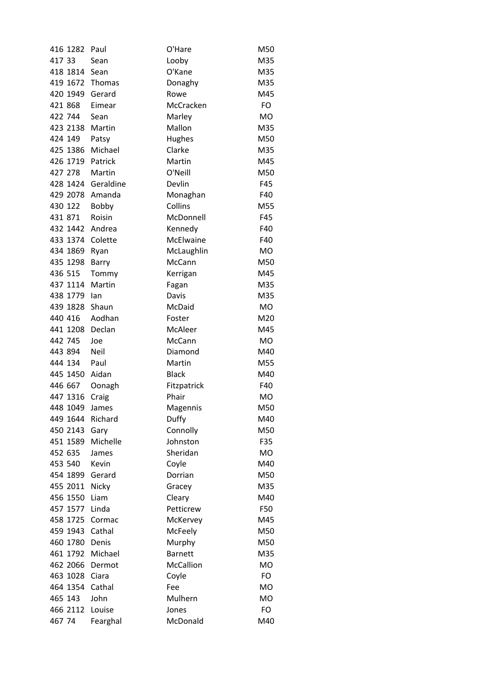| 416 1282        | Paul               | O'Hare         | M50       |
|-----------------|--------------------|----------------|-----------|
| 417 33          | Sean               | Looby          | M35       |
| 418 1814 Sean   |                    | O'Kane         | M35       |
| 419 1672 Thomas |                    | Donaghy        | M35       |
| 420 1949        | Gerard             | Rowe           | M45       |
| 421 868         | Eimear             | McCracken      | FO        |
| 422 744         | Sean               | Marley         | <b>MO</b> |
| 423 2138        | Martin             | Mallon         | M35       |
| 424 149         | Patsy              | Hughes         | M50       |
| 425 1386        | Michael            | Clarke         | M35       |
| 426 1719        | Patrick            | Martin         | M45       |
| 427 278         | Martin             | O'Neill        | M50       |
|                 | 428 1424 Geraldine | Devlin         | F45       |
| 429 2078 Amanda |                    | Monaghan       | F40       |
| 430 122         | Bobby              | Collins        | M55       |
| 431 871         | Roisin             | McDonnell      | F45       |
| 432 1442 Andrea |                    | Kennedy        | F40       |
| 433 1374        | Colette            | McElwaine      | F40       |
| 434 1869 Ryan   |                    | McLaughlin     | <b>MO</b> |
| 435 1298        | Barry              | McCann         | M50       |
| 436 515         | Tommy              | Kerrigan       | M45       |
| 437 1114 Martin |                    | Fagan          | M35       |
| 438 1779 lan    |                    | Davis          | M35       |
| 439 1828        | Shaun              | McDaid         | <b>MO</b> |
| 440 416         | Aodhan             | Foster         | M20       |
| 441 1208 Declan |                    | McAleer        | M45       |
| 442 745         | Joe                | McCann         | <b>MO</b> |
| 443 894         | Neil               | Diamond        | M40       |
| 444 134         | Paul               | Martin         | M55       |
| 445 1450        | Aidan              | <b>Black</b>   | M40       |
| 446 667         | Oonagh             | Fitzpatrick    | F40       |
| 447 1316        | Craig              | Phair          | <b>MO</b> |
| 448 1049        | James              | Magennis       | M50       |
| 449 1644        | Richard            | Duffy          | M40       |
| 450 2143        | Gary               | Connolly       | M50       |
| 451 1589        | Michelle           | Johnston       | F35       |
| 452 635         | James              | Sheridan       | <b>MO</b> |
| 453 540         | Kevin              | Coyle          | M40       |
| 454 1899        | Gerard             | Dorrian        | M50       |
| 455 2011        | Nicky              | Gracey         | M35       |
| 456 1550        | Liam               | Cleary         | M40       |
| 457 1577        | Linda              | Petticrew      | F50       |
| 458 1725        | Cormac             | McKervey       | M45       |
| 459 1943 Cathal |                    |                | M50       |
| 460 1780        | Denis              | McFeely        |           |
|                 |                    | Murphy         | M50       |
| 461 1792        | Michael            | <b>Barnett</b> | M35       |
| 462 2066        | Dermot             | McCallion      | <b>MO</b> |
| 463 1028        | Ciara              | Coyle          | <b>FO</b> |
| 464 1354        | Cathal             | Fee            | <b>MO</b> |
| 465 143         | John               | Mulhern        | <b>MO</b> |
| 466 2112        | Louise             | Jones          | FO        |
| 467 74          | Fearghal           | McDonald       | M40       |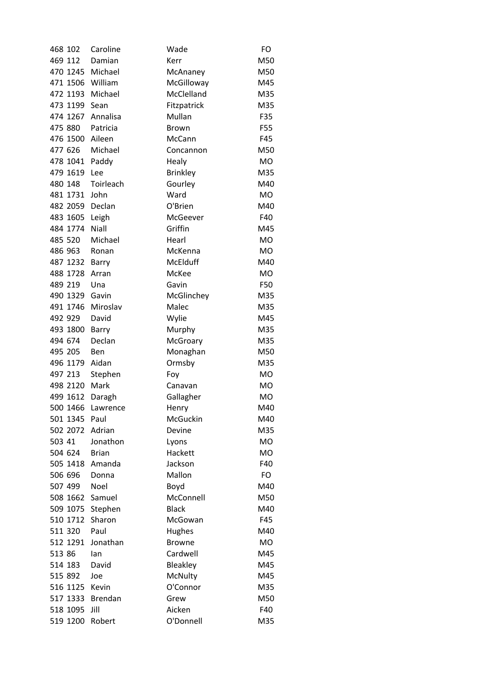| 468 102          | Caroline  | Wade            | FO        |
|------------------|-----------|-----------------|-----------|
| 469 112          | Damian    | Kerr            | M50       |
| 470 1245 Michael |           | McAnaney        | M50       |
| 471 1506 William |           | McGilloway      | M45       |
| 472 1193         | Michael   | McClelland      | M35       |
| 473 1199 Sean    |           | Fitzpatrick     | M35       |
| 474 1267         | Annalisa  | Mullan          | F35       |
| 475 880          | Patricia  | <b>Brown</b>    | F55       |
| 476 1500 Aileen  |           | McCann          | F45       |
| 477 626          | Michael   | Concannon       | M50       |
| 478 1041         | Paddy     | Healy           | <b>MO</b> |
| 479 1619         | Lee       | <b>Brinkley</b> | M35       |
| 480 148          | Toirleach | Gourley         | M40       |
| 481 1731         | John      | Ward            | <b>MO</b> |
| 482 2059 Declan  |           | O'Brien         | M40       |
| 483 1605         | Leigh     | McGeever        | F40       |
| 484 1774         | Niall     | Griffin         | M45       |
| 485 520          | Michael   | Hearl           | <b>MO</b> |
| 486 963          | Ronan     | McKenna         | <b>MO</b> |
| 487 1232         | Barry     | <b>McElduff</b> | M40       |
| 488 1728         | Arran     | McKee           | MO        |
| 489 219          | Una       | Gavin           | F50       |
| 490 1329 Gavin   |           | McGlinchey      | M35       |
| 491 1746         | Miroslav  | Malec           | M35       |
| 492 929          | David     | Wylie           | M45       |
| 493 1800         | Barry     | Murphy          | M35       |
| 494 674          | Declan    | McGroary        | M35       |
| 495 205          | Ben       | Monaghan        | M50       |
| 496 1179 Aidan   |           | Ormsby          | M35       |
| 497 213          | Stephen   | Foy             | <b>MO</b> |
| 498 2120 Mark    |           | Canavan         | <b>MO</b> |
| 499 1612         | Daragh    | Gallagher       | <b>MO</b> |
| 500 1466         | Lawrence  | Henry           | M40       |
| 501 1345 Paul    |           | McGuckin        | M40       |
| 502 2072 Adrian  |           | Devine          | M35       |
| 503 41           | Jonathon  | Lyons           | <b>MO</b> |
| 504 624          | Brian     | Hackett         | <b>MO</b> |
| 505 1418 Amanda  |           | Jackson         | F40       |
| 506 696          | Donna     | Mallon          | FO        |
| 507 499          | Noel      | Boyd            | M40       |
| 508 1662 Samuel  |           | McConnell       | M50       |
| 509 1075 Stephen |           | <b>Black</b>    | M40       |
| 510 1712         | Sharon    | McGowan         | F45       |
| 511 320          | Paul      | Hughes          | M40       |
| 512 1291         | Jonathan  | <b>Browne</b>   | <b>MO</b> |
| 513 86           | lan       | Cardwell        | M45       |
| 514 183          | David     | Bleakley        | M45       |
| 515 892          | Joe       | McNulty         | M45       |
| 516 1125         | Kevin     | O'Connor        | M35       |
| 517 1333 Brendan |           | Grew            | M50       |
| 518 1095         | Jill      | Aicken          | F40       |
| 519 1200         | Robert    | O'Donnell       | M35       |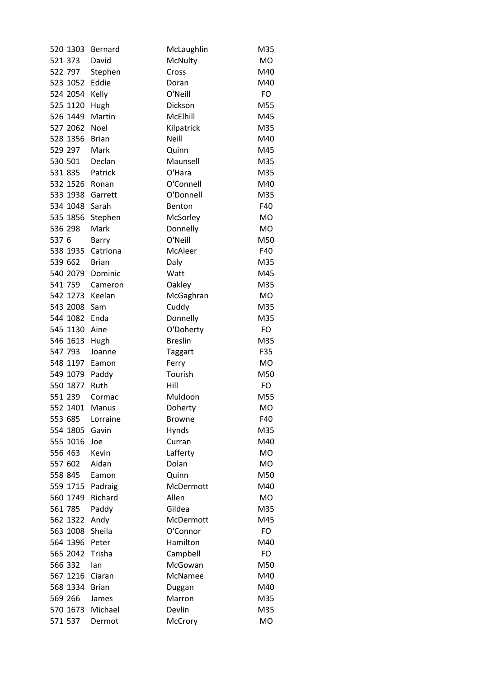| 520 1303       | Bernard            | McLaughlin     | M35       |
|----------------|--------------------|----------------|-----------|
| 521 373        | David              | McNulty        | <b>MO</b> |
| 522 797        | Stephen            | Cross          | M40       |
| 523 1052       | Eddie              | Doran          | M40       |
| 524 2054       | Kelly              | O'Neill        | FO        |
| 525 1120       | Hugh               | Dickson        | M55       |
| 526 1449       | Martin             | McElhill       | M45       |
| 527 2062       | Noel               | Kilpatrick     | M35       |
| 528 1356       | Brian              | <b>Neill</b>   | M40       |
| 529 297        | Mark               | Quinn          | M45       |
| 530 501        | Declan             | Maunsell       | M35       |
| 531 835        | Patrick            | O'Hara         | M35       |
| 532 1526       | Ronan              | O'Connell      | M40       |
| 533 1938       | Garrett            | O'Donnell      | M35       |
| 534 1048 Sarah |                    | Benton         | F40       |
| 535 1856       | Stephen            | McSorley       | <b>MO</b> |
| 536 298        | Mark               | Donnelly       | <b>MO</b> |
| 537 6          | Barry              | O'Neill        | M50       |
| 538 1935       | Catriona           | McAleer        | F40       |
| 539 662        | <b>Brian</b>       | Daly           | M35       |
| 540 2079       | Dominic            | Watt           | M45       |
| 541 759        | Cameron            | Oakley         | M35       |
| 542 1273       | Keelan             | McGaghran      | <b>MO</b> |
| 543 2008       | Sam                | Cuddy          | M35       |
| 544 1082       | Enda               | Donnelly       | M35       |
| 545 1130 Aine  |                    | O'Doherty      | FO        |
| 546 1613       | Hugh               | <b>Breslin</b> | M35       |
| 547 793        | Joanne             | <b>Taggart</b> | F35       |
| 548 1197 Eamon |                    | Ferry          | <b>MO</b> |
| 549 1079       | Paddy              | Tourish        | M50       |
| 550 1877       | Ruth               | Hill           | FO        |
| 551 239        | Cormac             | Muldoon        | M55       |
| 552 1401       | Manus              | Doherty        | МO        |
| 553 685        | Lorraine           | <b>Browne</b>  | F40       |
| 554 1805       | Gavin              | Hynds          | M35       |
| 555 1016       | Joe                | Curran         | M40       |
| 556 463        | Kevin              | Lafferty       | <b>MO</b> |
| 557 602        | Aidan              | Dolan          | MO        |
| 558 845        | Eamon              | Quinn          | M50       |
| 559 1715       |                    | McDermott      | M40       |
| 560 1749       | Padraig<br>Richard | Allen          | <b>MO</b> |
| 561 785        |                    | Gildea         | M35       |
|                | Paddy              |                |           |
| 562 1322       | Andy               | McDermott      | M45       |
| 563 1008       | Sheila             | O'Connor       | FO        |
| 564 1396       | Peter              | Hamilton       | M40       |
| 565 2042       | Trisha             | Campbell       | FO        |
| 566 332        | lan                | McGowan        | M50       |
| 567 1216       | Ciaran             | McNamee        | M40       |
| 568 1334       | <b>Brian</b>       | Duggan         | M40       |
| 569 266        | James              | Marron         | M35       |
| 570 1673       | Michael            | Devlin         | M35       |
| 571 537        | Dermot             | McCrory        | MO        |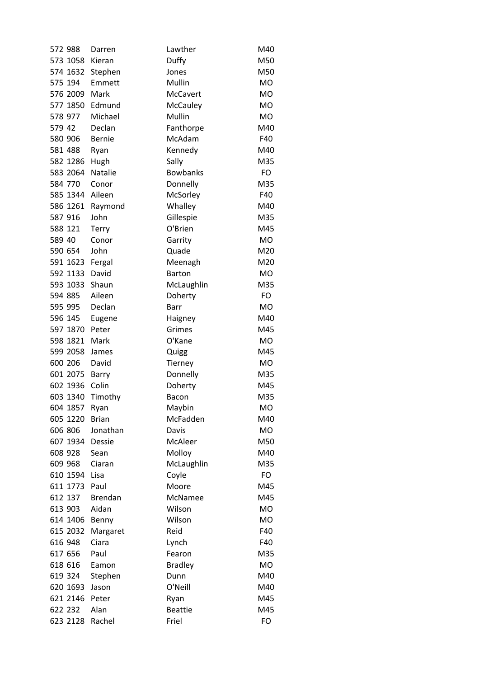| 572 988  | Darren         | Lawther         | M40       |
|----------|----------------|-----------------|-----------|
| 573 1058 | Kieran         | Duffy           | M50       |
| 574 1632 | Stephen        | Jones           | M50       |
| 575 194  | Emmett         | Mullin          | <b>MO</b> |
| 576 2009 | Mark           | <b>McCavert</b> | <b>MO</b> |
| 577 1850 | Edmund         | McCauley        | <b>MO</b> |
| 578 977  | Michael        | Mullin          | MO        |
| 579 42   | Declan         | Fanthorpe       | M40       |
| 580 906  | Bernie         | McAdam          | F40       |
| 581 488  | Ryan           | Kennedy         | M40       |
| 582 1286 | Hugh           | Sally           | M35       |
| 583 2064 | Natalie        | <b>Bowbanks</b> | FO        |
| 584 770  | Conor          | Donnelly        | M35       |
| 585 1344 | Aileen         | McSorley        | F40       |
| 586 1261 | Raymond        | Whalley         | M40       |
| 587 916  | John           | Gillespie       | M35       |
| 588 121  | <b>Terry</b>   | O'Brien         | M45       |
| 589 40   | Conor          | Garrity         | <b>MO</b> |
| 590 654  | John           | Quade           | M20       |
| 591 1623 | Fergal         | Meenagh         | M20       |
| 592 1133 | David          | <b>Barton</b>   | <b>MO</b> |
| 593 1033 | Shaun          | McLaughlin      | M35       |
| 594 885  | Aileen         | Doherty         | FO        |
| 595 995  | Declan         | Barr            | <b>MO</b> |
| 596 145  | Eugene         | Haigney         | M40       |
| 597 1870 | Peter          | Grimes          | M45       |
| 598 1821 | Mark           | O'Kane          | <b>MO</b> |
| 599 2058 | James          | Quigg           | M45       |
| 600 206  | David          | Tierney         | <b>MO</b> |
| 601 2075 | Barry          | Donnelly        | M35       |
| 602 1936 | Colin          | Doherty         | M45       |
| 603 1340 | Timothy        | Bacon           | M35       |
| 604 1857 | Ryan           | Maybin          | <b>MO</b> |
| 605 1220 | <b>Brian</b>   | McFadden        | M40       |
| 606 806  | Jonathan       | Davis           | <b>MO</b> |
| 607 1934 | Dessie         | McAleer         | M50       |
| 608 928  | Sean           | Molloy          | M40       |
| 609 968  | Ciaran         | McLaughlin      | M35       |
| 610 1594 | Lisa           | Coyle           | FO        |
| 611 1773 | Paul           | Moore           | M45       |
| 612 137  | <b>Brendan</b> | McNamee         | M45       |
| 613 903  | Aidan          | Wilson          | <b>MO</b> |
| 614 1406 | Benny          | Wilson          | <b>MO</b> |
| 615 2032 | Margaret       | Reid            | F40       |
| 616 948  | Ciara          | Lynch           | F40       |
| 617 656  | Paul           | Fearon          | M35       |
| 618 616  | Eamon          | <b>Bradley</b>  | <b>MO</b> |
| 619 324  | Stephen        | Dunn            | M40       |
| 620 1693 | Jason          | O'Neill         | M40       |
| 621 2146 | Peter          | Ryan            | M45       |
| 622 232  | Alan           | <b>Beattie</b>  | M45       |
| 623 2128 | Rachel         | Friel           | FO        |
|          |                |                 |           |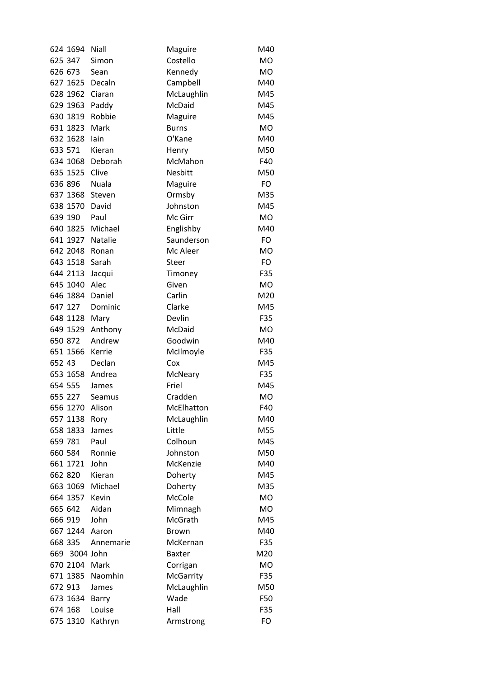|        | 624 1694       | Niall           | Maguire          | M40       |
|--------|----------------|-----------------|------------------|-----------|
|        | 625 347        | Simon           | Costello         | <b>MO</b> |
|        | 626 673        | Sean            | Kennedy          | <b>MO</b> |
|        |                | 627 1625 Decaln | Campbell         | M40       |
|        | 628 1962       | Ciaran          | McLaughlin       | M45       |
|        | 629 1963       | Paddy           | McDaid           | M45       |
|        | 630 1819       | Robbie          | Maguire          | M45       |
|        | 631 1823       | Mark            | <b>Burns</b>     | <b>MO</b> |
|        | 632 1628       | lain            | O'Kane           | M40       |
|        | 633 571        | Kieran          | Henry            | M50       |
|        | 634 1068       | Deborah         | McMahon          | F40       |
|        | 635 1525       | Clive           | Nesbitt          | M50       |
|        | 636 896        | <b>Nuala</b>    | Maguire          | FO        |
|        | 637 1368       | Steven          | Ormsby           | M35       |
|        | 638 1570 David |                 | Johnston         | M45       |
|        | 639 190        | Paul            | Mc Girr          | <b>MO</b> |
|        | 640 1825       | Michael         | Englishby        | M40       |
|        | 641 1927       | Natalie         | Saunderson       | FO        |
|        |                | 642 2048 Ronan  | Mc Aleer         | <b>MO</b> |
|        | 643 1518 Sarah |                 | Steer            | <b>FO</b> |
|        | 644 2113       | Jacqui          | Timoney          | F35       |
|        | 645 1040       | Alec            | Given            | <b>MO</b> |
|        | 646 1884       | Daniel          | Carlin           | M20       |
|        | 647 127        | Dominic         | Clarke           | M45       |
|        | 648 1128       | Mary            | Devlin           | F35       |
|        | 649 1529       | Anthony         | McDaid           | <b>MO</b> |
|        | 650 872        | Andrew          | Goodwin          | M40       |
|        | 651 1566       | Kerrie          | McIlmoyle        | F35       |
| 652 43 |                | Declan          | Cox              | M45       |
|        | 653 1658       | Andrea          | McNeary          | F35       |
|        | 654 555        | James           | Friel            | M45       |
|        | 655 227        | Seamus          | Cradden          | <b>MO</b> |
|        | 656 1270       | Alison          | McElhatton       | F40       |
|        | 657 1138       | Rory            | McLaughlin       | M40       |
|        | 658 1833       | James           | Little           | M55       |
|        | 659 781        | Paul            | Colhoun          | M45       |
|        | 660 584        | Ronnie          | Johnston         | M50       |
|        | 661 1721       | John            | McKenzie         | M40       |
|        | 662 820        | Kieran          | Doherty          | M45       |
|        | 663 1069       | Michael         | Doherty          | M35       |
|        | 664 1357       | Kevin           | McCole           | <b>MO</b> |
|        | 665 642        | Aidan           | Mimnagh          | <b>MO</b> |
|        | 666 919        | John            | McGrath          | M45       |
|        | 667 1244       | Aaron           | <b>Brown</b>     | M40       |
|        | 668 335        | Annemarie       | McKernan         | F35       |
|        | 669 3004 John  |                 | <b>Baxter</b>    | M20       |
|        | 670 2104       | Mark            | Corrigan         | <b>MO</b> |
|        | 671 1385       | Naomhin         | <b>McGarrity</b> | F35       |
|        | 672 913        | James           | McLaughlin       | M50       |
|        | 673 1634       | Barry           | Wade             | F50       |
|        | 674 168        | Louise          | Hall             | F35       |
|        | 675 1310       | Kathryn         | Armstrong        | FO        |
|        |                |                 |                  |           |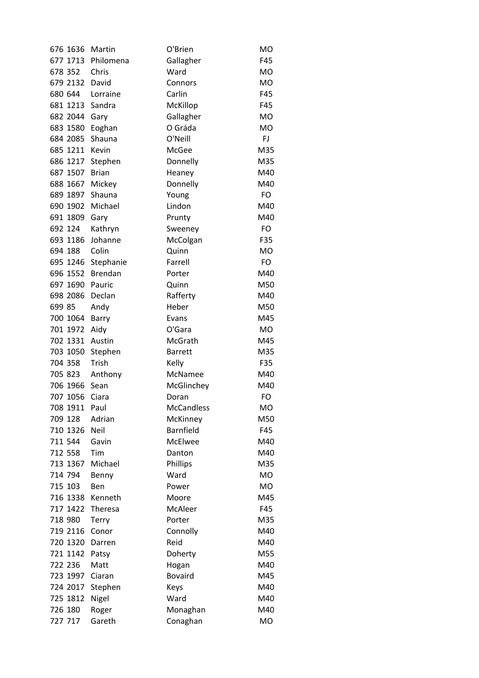| 676 1636 | Martin         | O'Brien           | <b>MO</b> |
|----------|----------------|-------------------|-----------|
| 677 1713 | Philomena      | Gallagher         | F45       |
| 678 352  | Chris          | Ward              | <b>MO</b> |
| 679 2132 | David          | Connors           | MO        |
| 680 644  | Lorraine       | Carlin            | F45       |
| 681 1213 | Sandra         | McKillop          | F45       |
| 682 2044 | Gary           | Gallagher         | <b>MO</b> |
| 683 1580 | Eoghan         | O Gráda           | <b>MO</b> |
| 684 2085 | Shauna         | O'Neill           | FJ        |
| 685 1211 | Kevin          | McGee             | M35       |
| 686 1217 | Stephen        | Donnelly          | M35       |
| 687 1507 | <b>Brian</b>   | Heaney            | M40       |
| 688 1667 | Mickey         | Donnelly          | M40       |
| 689 1897 | Shauna         | Young             | <b>FO</b> |
| 690 1902 | Michael        | Lindon            | M40       |
| 691 1809 | Gary           | Prunty            | M40       |
| 692 124  | Kathryn        | Sweeney           | FO        |
| 693 1186 | Johanne        | McColgan          | F35       |
| 694 188  | Colin          | Quinn             | <b>MO</b> |
| 695 1246 | Stephanie      | Farrell           | <b>FO</b> |
| 696 1552 | <b>Brendan</b> | Porter            | M40       |
| 697 1690 | Pauric         | Quinn             | M50       |
| 698 2086 | Declan         | Rafferty          | M40       |
| 699 85   | Andy           | Heber             | M50       |
| 700 1064 | Barry          | Evans             | M45       |
| 701 1972 | Aidy           | O'Gara            | <b>MO</b> |
| 702 1331 | Austin         | McGrath           | M45       |
| 703 1050 | Stephen        | <b>Barrett</b>    | M35       |
| 704 358  | Trish          | Kelly             | F35       |
| 705 823  | Anthony        | McNamee           | M40       |
| 706 1966 | Sean           | McGlinchey        | M40       |
| 707 1056 | Ciara          | Doran             | FO        |
| 708 1911 | Paul           | <b>McCandless</b> | МO        |
| 709 128  | Adrian         | McKinney          | M50       |
| 710 1326 | <b>Neil</b>    | Barnfield         | F45       |
| 711 544  | Gavin          | McElwee           | M40       |
| 712 558  | Tim            | Danton            | M40       |
| 713 1367 | Michael        | Phillips          | M35       |
| 714 794  | Benny          | Ward              | MO        |
| 715 103  | Ben            | Power             | <b>MO</b> |
| 716 1338 | Kenneth        | Moore             | M45       |
| 717 1422 | Theresa        | McAleer           | F45       |
| 718 980  | <b>Terry</b>   | Porter            | M35       |
| 719 2116 | Conor          | Connolly          | M40       |
| 720 1320 | Darren         | Reid              | M40       |
| 721 1142 | Patsy          | Doherty           | M55       |
| 722 236  | Matt           | Hogan             | M40       |
| 723 1997 | Ciaran         | <b>Bovaird</b>    | M45       |
| 724 2017 | Stephen        | Keys              | M40       |
| 725 1812 | Nigel          | Ward              | M40       |
| 726 180  | Roger          | Monaghan          | M40       |
| 727 717  | Gareth         | Conaghan          | MO        |
|          |                |                   |           |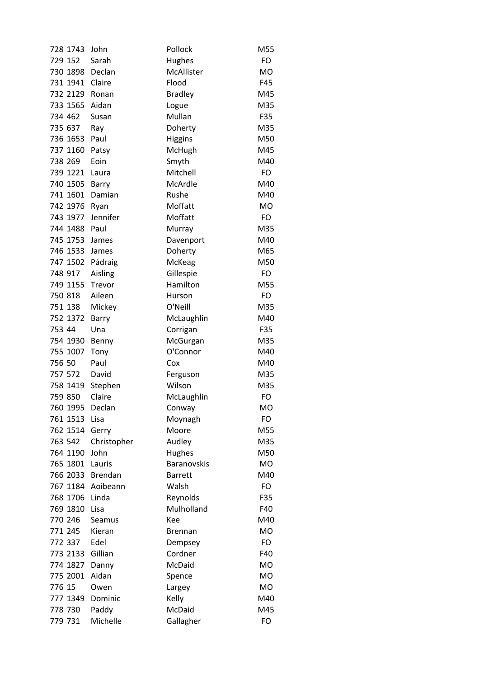| 728 1743 | John        | Pollock            | M55       |
|----------|-------------|--------------------|-----------|
| 729 152  | Sarah       | Hughes             | FO        |
| 730 1898 | Declan      | McAllister         | <b>MO</b> |
| 731 1941 | Claire      | Flood              | F45       |
| 732 2129 | Ronan       | <b>Bradley</b>     | M45       |
| 733 1565 | Aidan       | Logue              | M35       |
| 734 462  | Susan       | Mullan             | F35       |
| 735 637  | Ray         | Doherty            | M35       |
| 736 1653 | Paul        | <b>Higgins</b>     | M50       |
| 737 1160 | Patsy       | McHugh             | M45       |
| 738 269  | Eoin        | Smyth              | M40       |
| 739 1221 | Laura       | Mitchell           | FO        |
| 740 1505 | Barry       | McArdle            | M40       |
| 741 1601 | Damian      | Rushe              | M40       |
| 742 1976 | Ryan        | Moffatt            | <b>MO</b> |
| 743 1977 | Jennifer    | Moffatt            | <b>FO</b> |
| 744 1488 | Paul        | Murray             | M35       |
| 745 1753 | James       | Davenport          | M40       |
| 746 1533 | James       | Doherty            | M65       |
| 747 1502 | Pádraig     | McKeag             | M50       |
| 748 917  | Aisling     | Gillespie          | FO        |
| 749 1155 | Trevor      | Hamilton           | M55       |
| 750 818  | Aileen      | Hurson             | FO        |
| 751 138  | Mickey      | O'Neill            | M35       |
| 752 1372 | Barry       | McLaughlin         | M40       |
| 753 44   | Una         | Corrigan           | F35       |
| 754 1930 | Benny       | McGurgan           | M35       |
| 755 1007 | Tony        | O'Connor           | M40       |
| 756 50   | Paul        | Cox                | M40       |
| 757 572  | David       | Ferguson           | M35       |
| 758 1419 | Stephen     | Wilson             | M35       |
| 759 850  | Claire      | McLaughlin         | FO        |
| 760 1995 | Declan      | Conway             | МO        |
| 761 1513 | Lisa        | Moynagh            | FO        |
| 762 1514 | Gerry       | Moore              | M55       |
| 763 542  | Christopher | Audley             | M35       |
| 764 1190 | John        | Hughes             | M50       |
| 765 1801 | Lauris      | <b>Baranovskis</b> | <b>MO</b> |
| 766 2033 | Brendan     | <b>Barrett</b>     | M40       |
| 767 1184 | Aoibeann    | Walsh              | FO        |
| 768 1706 | Linda       | Reynolds           | F35       |
| 769 1810 | Lisa        | Mulholland         | F40       |
| 770 246  | Seamus      | Kee                | M40       |
| 771 245  | Kieran      | <b>Brennan</b>     | <b>MO</b> |
| 772 337  | Edel        | Dempsey            | FO        |
| 773 2133 | Gillian     | Cordner            | F40       |
| 774 1827 | Danny       | McDaid             | <b>MO</b> |
| 775 2001 | Aidan       | Spence             | <b>MO</b> |
| 776 15   | Owen        | Largey             | <b>MO</b> |
| 777 1349 | Dominic     | Kelly              | M40       |
| 778 730  | Paddy       | McDaid             | M45       |
| 779 731  | Michelle    | Gallagher          | FO        |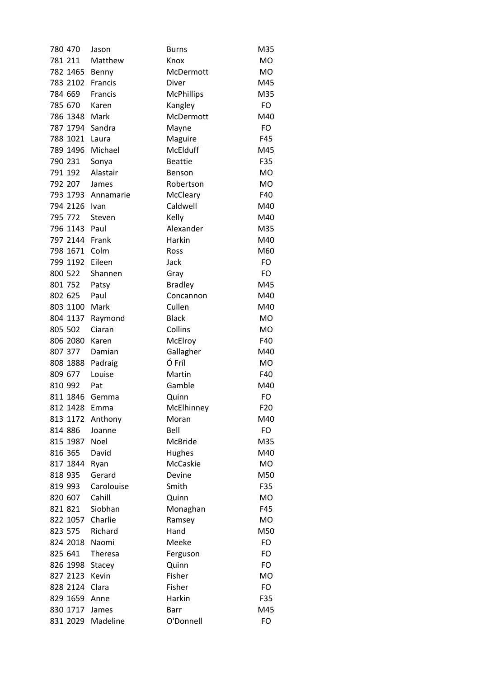| 780 470         | Jason              | <b>Burns</b>      | M35       |
|-----------------|--------------------|-------------------|-----------|
| 781 211         | Matthew            | Knox              | <b>MO</b> |
| 782 1465 Benny  |                    | McDermott         | <b>MO</b> |
| 783 2102        | Francis            | Diver             | M45       |
| 784 669         | Francis            | <b>McPhillips</b> | M35       |
| 785 670         | Karen              | Kangley           | FO        |
| 786 1348        | Mark               | McDermott         | M40       |
| 787 1794 Sandra |                    | Mayne             | FO        |
| 788 1021        | Laura              | Maguire           | F45       |
| 789 1496        | Michael            | <b>McElduff</b>   | M45       |
| 790 231         | Sonya              | <b>Beattie</b>    | F35       |
| 791 192         | Alastair           | Benson            | <b>MO</b> |
| 792 207         | James              | Robertson         | <b>MO</b> |
|                 | 793 1793 Annamarie | McCleary          | F40       |
| 794 2126        | Ivan               | Caldwell          | M40       |
| 795 772         | Steven             | Kelly             | M40       |
| 796 1143        | Paul               | Alexander         | M35       |
| 797 2144        | Frank              | Harkin            | M40       |
| 798 1671        | Colm               | Ross              | M60       |
| 799 1192        | Eileen             | Jack              | FO        |
| 800 522         | Shannen            | Gray              | FO        |
| 801 752         | Patsy              | <b>Bradley</b>    | M45       |
| 802 625         | Paul               | Concannon         | M40       |
| 803 1100        | Mark               | Cullen            | M40       |
| 804 1137        | Raymond            | <b>Black</b>      | <b>MO</b> |
| 805 502         | Ciaran             | Collins           | <b>MO</b> |
| 806 2080        | Karen              | McElroy           | F40       |
| 807 377         | Damian             | Gallagher         | M40       |
| 808 1888        | Padraig            | Ó Fríl            | <b>MO</b> |
| 809 677         | Louise             | Martin            | F40       |
| 810 992         | Pat                | Gamble            | M40       |
| 811 1846 Gemma  |                    | Quinn             | FO        |
| 812 1428        | Emma               | McElhinney        | F20       |
| 813 1172        | Anthony            | Moran             | M40       |
| 814 886         | Joanne             | Bell              | FO        |
| 815 1987        | Noel               | McBride           | M35       |
| 816 365         | David              | Hughes            | M40       |
| 817 1844        | Ryan               | McCaskie          | <b>MO</b> |
| 818 935         | Gerard             | Devine            | M50       |
| 819 993         | Carolouise         | Smith             | F35       |
| 820 607         | Cahill             | Quinn             | MO        |
| 821 821         | Siobhan            | Monaghan          | F45       |
| 822 1057        | Charlie            | Ramsey            | <b>MO</b> |
| 823 575         | Richard            | Hand              | M50       |
| 824 2018        | Naomi              | Meeke             | FO        |
| 825 641         | Theresa            | Ferguson          | FO        |
| 826 1998 Stacey |                    | Quinn             | FO        |
| 827 2123        | Kevin              | Fisher            | <b>MO</b> |
| 828 2124        | Clara              | Fisher            | FO        |
| 829 1659 Anne   |                    | Harkin            | F35       |
| 830 1717        | James              | Barr              | M45       |
| 831 2029        | Madeline           | O'Donnell         | FO        |
|                 |                    |                   |           |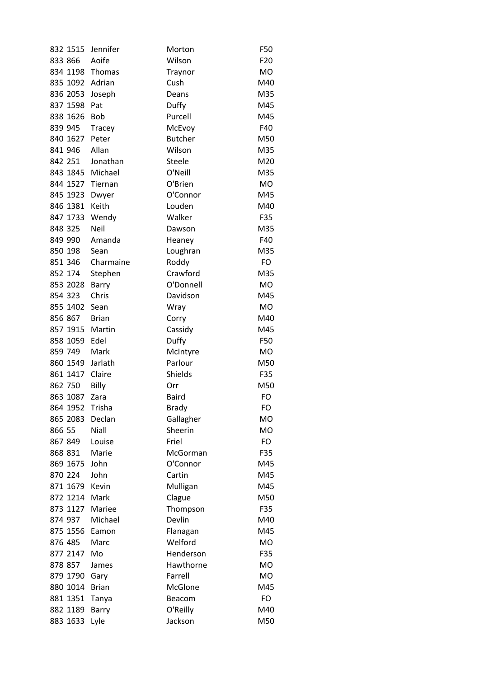| 832 1515             | Jennifer             | Morton         | F50             |
|----------------------|----------------------|----------------|-----------------|
| 833 866              | Aoife                | Wilson         | F <sub>20</sub> |
| 834 1198 Thomas      |                      | Traynor        | <b>MO</b>       |
| 835 1092 Adrian      |                      | Cush           | M40             |
| 836 2053             | Joseph               | Deans          | M35             |
| 837 1598             | Pat                  | Duffy          | M45             |
| 838 1626             | Bob                  | Purcell        | M45             |
| 839 945              | Tracey               | McEvoy         | F40             |
| 840 1627 Peter       |                      | <b>Butcher</b> | M50             |
| 841 946              | Allan                | Wilson         | M35             |
| 842 251              | Jonathan             | <b>Steele</b>  | M20             |
| 843 1845 Michael     |                      | O'Neill        | M35             |
| 844 1527 Tiernan     |                      | O'Brien        | <b>MO</b>       |
| 845 1923             | Dwyer                | O'Connor       | M45             |
| 846 1381             | Keith                | Louden         | M40             |
| 847 1733             | Wendy                | Walker         | F35             |
| 848 325              | Neil                 | Dawson         | M35             |
| 849 990              | Amanda               | Heaney         | F40             |
| 850 198              | Sean                 | Loughran       | M35             |
| 851 346              | Charmaine            | Roddy          | FO              |
| 852 174              | Stephen              | Crawford       | M35             |
| 853 2028             | Barry                | O'Donnell      | <b>MO</b>       |
| 854 323              | Chris                | Davidson       | M45             |
| 855 1402             | Sean                 | Wray           | <b>MO</b>       |
| 856 867              | <b>Brian</b>         | Corry          | M40             |
| 857 1915             | Martin               | Cassidy        | M45             |
| 858 1059             | Edel                 | Duffy          | F50             |
| 859 749              | Mark                 | McIntyre       | <b>MO</b>       |
| 860 1549 Jarlath     |                      | Parlour        | M50             |
| 861 1417             | Claire               | Shields        | F35             |
| 862 750              | Billy                | Orr            | M50             |
| 863 1087             | Zara                 | <b>Baird</b>   | FO              |
| 864 1952             | Trisha               | Brady          | FO              |
| 865 2083             | Declan               | Gallagher      | <b>MO</b>       |
| 866 55               | Niall                | Sheerin        | <b>MO</b>       |
| 867 849              | Louise               | Friel          | FO              |
| 868 831              | Marie                | McGorman       | F35             |
| 869 1675             | John                 | O'Connor       | M45             |
| 870 224              | John                 | Cartin         | M45             |
| 871 1679             | Kevin                | Mulligan       | M45             |
| 872 1214             | Mark                 | Clague         | M50             |
| 873 1127             | Mariee               | Thompson       | F35             |
| 874 937              | Michael              | Devlin         | M40             |
| 875 1556             | Eamon                | Flanagan       | M45             |
| 876 485              | Marc                 | Welford        | <b>MO</b>       |
| 877 2147             | Mo                   | Henderson      | F35             |
| 878 857              |                      | Hawthorne      | <b>MO</b>       |
|                      | James                | Farrell        | <b>MO</b>       |
| 879 1790<br>880 1014 | Gary<br><b>Brian</b> | McGlone        | M45             |
| 881 1351             |                      | Beacom         | FO              |
|                      | Tanya                |                | M40             |
| 882 1189             | Barry                | O'Reilly       |                 |
| 883 1633             | Lyle                 | Jackson        | M50             |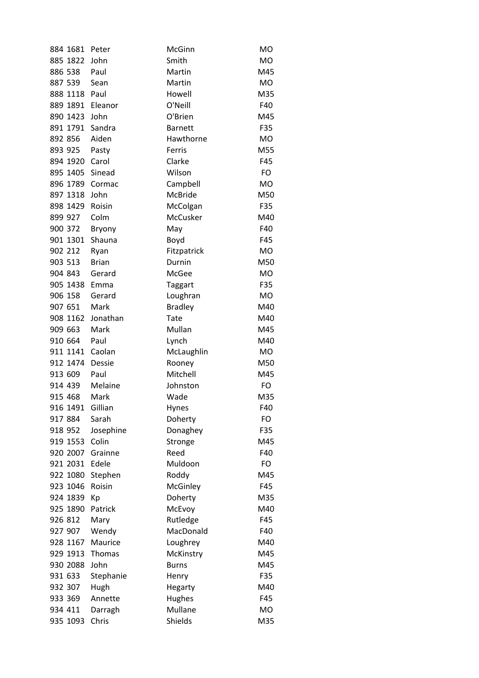| 884 1681        | Peter        | McGinn          | <b>MO</b> |
|-----------------|--------------|-----------------|-----------|
| 885 1822        | John         | Smith           | <b>MO</b> |
| 886 538         | Paul         | Martin          | M45       |
| 887 539         | Sean         | Martin          | <b>MO</b> |
| 888 1118        | Paul         | Howell          | M35       |
| 889 1891        | Eleanor      | O'Neill         | F40       |
| 890 1423        | John         | O'Brien         | M45       |
| 891 1791        | Sandra       | <b>Barnett</b>  | F35       |
| 892 856         | Aiden        | Hawthorne       | <b>MO</b> |
| 893 925         | Pasty        | Ferris          | M55       |
| 894 1920        | Carol        | Clarke          | F45       |
| 895 1405 Sinead |              | Wilson          | FO        |
| 896 1789 Cormac |              | Campbell        | <b>MO</b> |
| 897 1318        | John         | <b>McBride</b>  | M50       |
| 898 1429        | Roisin       | McColgan        | F35       |
| 899 927         | Colm         | <b>McCusker</b> | M40       |
| 900 372         | Bryony       | May             | F40       |
| 901 1301        | Shauna       | Boyd            | F45       |
| 902 212         | Ryan         | Fitzpatrick     | <b>MO</b> |
| 903 513         | <b>Brian</b> | Durnin          | M50       |
| 904 843         | Gerard       | McGee           | <b>MO</b> |
| 905 1438        | Emma         | <b>Taggart</b>  | F35       |
| 906 158         | Gerard       | Loughran        | <b>MO</b> |
| 907 651         | Mark         | <b>Bradley</b>  | M40       |
| 908 1162        | Jonathan     | Tate            | M40       |
| 909 663         | Mark         | Mullan          | M45       |
| 910 664         | Paul         | Lynch           | M40       |
| 911 1141 Caolan |              | McLaughlin      | <b>MO</b> |
| 912 1474        | Dessie       | Rooney          | M50       |
| 913 609         | Paul         | Mitchell        | M45       |
| 914 439         | Melaine      | Johnston        | FO        |
| 915 468         | Mark         | Wade            | M35       |
| 916 1491        | Gillian      | Hynes           | F40       |
| 917 884         | Sarah        | Doherty         | FO        |
| 918 952         | Josephine    | Donaghey        | F35       |
| 919 1553        | Colin        | Stronge         | M45       |
| 920 2007        | Grainne      | Reed            | F40       |
| 921 2031 Edele  |              | Muldoon         | FO        |
| 922 1080        | Stephen      | Roddy           | M45       |
| 923 1046        | Roisin       | McGinley        | F45       |
| 924 1839        | Кp           | Doherty         | M35       |
| 925 1890        | Patrick      | McEvoy          | M40       |
| 926 812         | Mary         | Rutledge        | F45       |
| 927 907         | Wendy        | MacDonald       | F40       |
| 928 1167        | Maurice      | Loughrey        | M40       |
| 929 1913        | Thomas       | McKinstry       | M45       |
| 930 2088        | John         | <b>Burns</b>    | M45       |
| 931 633         | Stephanie    | Henry           | F35       |
| 932 307         | Hugh         | Hegarty         | M40       |
| 933 369         | Annette      | Hughes          | F45       |
| 934 411         | Darragh      | Mullane         | MO        |
| 935 1093        | Chris        | Shields         | M35       |
|                 |              |                 |           |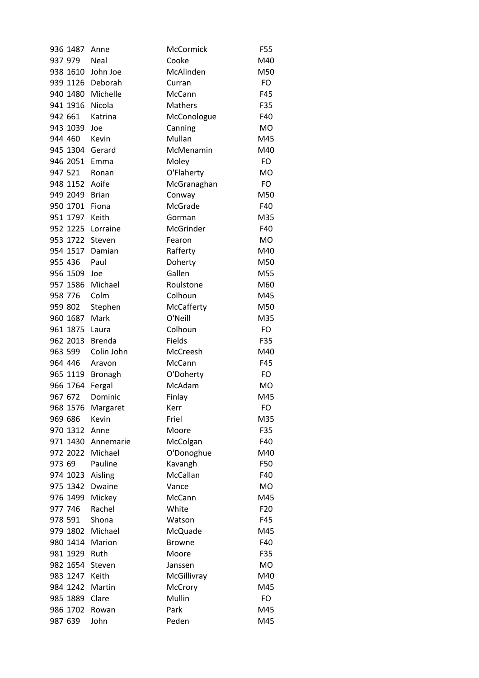| 936 1487       | Anne               | McCormick     | F55             |
|----------------|--------------------|---------------|-----------------|
| 937 979        | Neal               | Cooke         | M40             |
| 938 1610       | John Joe           | McAlinden     | M50             |
|                | 939 1126 Deborah   | Curran        | FO              |
| 940 1480       | Michelle           | McCann        | F45             |
| 941 1916       | Nicola             | Mathers       | F35             |
| 942 661        | Katrina            | McConologue   | F40             |
| 943 1039       | Joe                | Canning       | <b>MO</b>       |
| 944 460        | Kevin              | Mullan        | M45             |
| 945 1304       | Gerard             | McMenamin     | M40             |
| 946 2051       | Emma               | Moley         | FO              |
| 947 521        | Ronan              | O'Flaherty    | <b>MO</b>       |
| 948 1152 Aoife |                    | McGranaghan   | FO              |
| 949 2049       | Brian              | Conway        | M50             |
| 950 1701       | Fiona              | McGrade       | F40             |
| 951 1797       | Keith              | Gorman        | M35             |
| 952 1225       | Lorraine           | McGrinder     | F40             |
| 953 1722       | Steven             | Fearon        | <b>MO</b>       |
| 954 1517       | Damian             | Rafferty      | M40             |
| 955 436        | Paul               | Doherty       | M50             |
| 956 1509       | Joe                | Gallen        | M55             |
| 957 1586       | Michael            | Roulstone     | M60             |
| 958 776        | Colm               | Colhoun       | M45             |
| 959 802        | Stephen            | McCafferty    | M50             |
| 960 1687       | Mark               | O'Neill       | M35             |
| 961 1875       | Laura              | Colhoun       | <b>FO</b>       |
| 962 2013       | Brenda             | Fields        | F35             |
| 963 599        | Colin John         | McCreesh      | M40             |
| 964 446        | Aravon             | McCann        | F45             |
| 965 1119       | <b>Bronagh</b>     | O'Doherty     | FO              |
| 966 1764       | Fergal             | McAdam        | <b>MO</b>       |
| 967 672        | Dominic            | Finlay        | M45             |
| 968 1576       | Margaret           | Kerr          | FO              |
| 969 686        | Kevin              | Friel         | M35             |
| 970 1312       | Anne               | Moore         | F35             |
|                | 971 1430 Annemarie | McColgan      | F40             |
| 972 2022       | Michael            | O'Donoghue    | M40             |
| 973 69         | Pauline            | Kavangh       | F50             |
| 974 1023       | Aisling            | McCallan      | F40             |
| 975 1342       | Dwaine             | Vance         | <b>MO</b>       |
| 976 1499       | Mickey             | McCann        | M45             |
| 977 746        | Rachel             | White         | F <sub>20</sub> |
| 978 591        | Shona              | Watson        | F45             |
| 979 1802       | Michael            | McQuade       | M45             |
| 980 1414       | Marion             | <b>Browne</b> | F40             |
| 981 1929       | Ruth               | Moore         | F35             |
| 982 1654       | Steven             | Janssen       | <b>MO</b>       |
| 983 1247       | Keith              | McGillivray   | M40             |
| 984 1242       | Martin             | McCrory       | M45             |
| 985 1889       | Clare              | Mullin        | FO              |
| 986 1702       | Rowan              | Park          | M45             |
| 987 639        | John               | Peden         | M45             |
|                |                    |               |                 |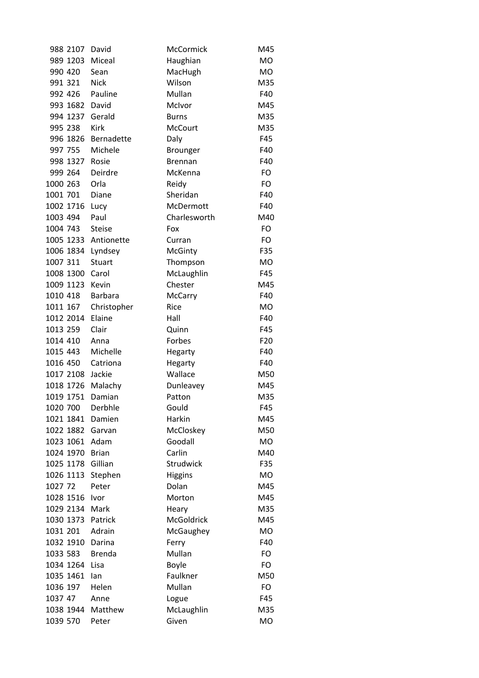|           | 988 2107  | David          | McCormick         | M45             |
|-----------|-----------|----------------|-------------------|-----------------|
|           | 989 1203  | Miceal         | Haughian          | <b>MO</b>       |
| 990 420   |           | Sean           | MacHugh           | <b>MO</b>       |
| 991 321   |           | <b>Nick</b>    | Wilson            | M35             |
| 992 426   |           | Pauline        | Mullan            | F40             |
|           | 993 1682  | David          | McIvor            | M45             |
|           | 994 1237  | Gerald         | <b>Burns</b>      | M35             |
| 995 238   |           | Kirk           | <b>McCourt</b>    | M35             |
|           | 996 1826  | Bernadette     | Daly              | F45             |
| 997 755   |           | Michele        | Brounger          | F40             |
|           | 998 1327  | Rosie          | <b>Brennan</b>    | F40             |
| 999 264   |           | Deirdre        | McKenna           | FO              |
| 1000 263  |           | Orla           | Reidy             | FO              |
| 1001 701  |           | Diane          | Sheridan          | F40             |
| 1002 1716 |           | Lucy           | McDermott         | F40             |
| 1003 494  |           | Paul           | Charlesworth      | M40             |
| 1004 743  |           | <b>Steise</b>  | Fox               | FO              |
|           | 1005 1233 | Antionette     | Curran            | FO              |
| 1006 1834 |           | Lyndsey        | McGinty           | F35             |
| 1007 311  |           | Stuart         | Thompson          | MO              |
| 1008 1300 |           | Carol          | McLaughlin        | F45             |
| 1009 1123 |           | Kevin          | Chester           | M45             |
| 1010 418  |           | <b>Barbara</b> | McCarry           | F40             |
| 1011 167  |           | Christopher    | Rice              | <b>MO</b>       |
| 1012 2014 |           | Elaine         | Hall              | F40             |
| 1013 259  |           | Clair          | Quinn             | F45             |
| 1014 410  |           | Anna           | Forbes            | F <sub>20</sub> |
| 1015 443  |           | Michelle       | Hegarty           | F40             |
| 1016 450  |           | Catriona       | Hegarty           | F40             |
| 1017 2108 |           | Jackie         | Wallace           | M50             |
| 1018 1726 |           | Malachy        | Dunleavey         | M45             |
| 1019 1751 |           | Damian         | Patton            | M35             |
| 1020 700  |           | Derbhle        | Gould             | F45             |
| 1021 1841 |           | Damien         | Harkin            | M45             |
| 1022 1882 |           | Garvan         | McCloskey         | M50             |
| 1023 1061 |           | Adam           | Goodall           | MO              |
| 1024 1970 |           | <b>Brian</b>   | Carlin            | M40             |
| 1025 1178 |           | Gillian        | Strudwick         | F35             |
| 1026 1113 |           | Stephen        | <b>Higgins</b>    | MO              |
| 1027 72   |           | Peter          | Dolan             | M45             |
| 1028 1516 |           | Ivor           | Morton            | M45             |
| 1029 2134 |           | Mark           | Heary             | M35             |
| 1030 1373 |           | Patrick        | <b>McGoldrick</b> | M45             |
| 1031 201  |           | Adrain         | McGaughey         | MO              |
| 1032 1910 |           | Darina         | Ferry             | F40             |
| 1033 583  |           | <b>Brenda</b>  | Mullan            | FO              |
| 1034 1264 |           | Lisa           | <b>Boyle</b>      | FO              |
| 1035 1461 |           | lan            | Faulkner          | M50             |
| 1036 197  |           | Helen          | Mullan            | FO              |
| 1037 47   |           | Anne           | Logue             | F45             |
| 1038 1944 |           | Matthew        | McLaughlin        | M35             |
| 1039 570  |           | Peter          | Given             | <b>MO</b>       |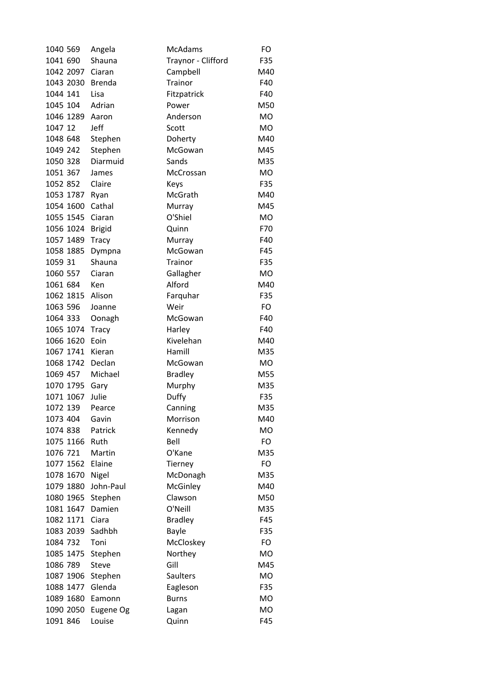| 1040 569  | Angela        | <b>McAdams</b>     | FO        |
|-----------|---------------|--------------------|-----------|
| 1041 690  | Shauna        | Traynor - Clifford | F35       |
| 1042 2097 | Ciaran        | Campbell           | M40       |
| 1043 2030 | <b>Brenda</b> | Trainor            | F40       |
| 1044 141  | Lisa          | Fitzpatrick        | F40       |
| 1045 104  | Adrian        | Power              | M50       |
| 1046 1289 | Aaron         | Anderson           | <b>MO</b> |
| 1047 12   | Jeff          | Scott              | <b>MO</b> |
| 1048 648  | Stephen       | Doherty            | M40       |
| 1049 242  | Stephen       | McGowan            | M45       |
| 1050 328  | Diarmuid      | Sands              | M35       |
| 1051 367  | James         | McCrossan          | <b>MO</b> |
| 1052 852  | Claire        | Keys               | F35       |
| 1053 1787 | Ryan          | McGrath            | M40       |
| 1054 1600 | Cathal        | Murray             | M45       |
| 1055 1545 | Ciaran        | O'Shiel            | <b>MO</b> |
| 1056 1024 | <b>Brigid</b> | Quinn              | F70       |
| 1057 1489 | <b>Tracy</b>  | Murray             | F40       |
| 1058 1885 | Dympna        | McGowan            | F45       |
| 1059 31   | Shauna        | Trainor            | F35       |
| 1060 557  | Ciaran        | Gallagher          | <b>MO</b> |
| 1061 684  | Ken           | Alford             | M40       |
| 1062 1815 | Alison        | Farquhar           | F35       |
| 1063 596  | Joanne        | Weir               | FO        |
| 1064 333  | Oonagh        | McGowan            | F40       |
| 1065 1074 | <b>Tracy</b>  | Harley             | F40       |
| 1066 1620 | Eoin          | Kivelehan          | M40       |
| 1067 1741 | Kieran        | Hamill             | M35       |
| 1068 1742 | Declan        | McGowan            | <b>MO</b> |
| 1069 457  | Michael       | <b>Bradley</b>     | M55       |
| 1070 1795 | Gary          | Murphy             | M35       |
| 1071 1067 | Julie         | Duffy              | F35       |
| 1072 139  | Pearce        | Canning            | M35       |
| 1073 404  | Gavin         | Morrison           | M40       |
| 1074 838  | Patrick       | Kennedy            | <b>MO</b> |
| 1075 1166 | Ruth          | Bell               | FO        |
| 1076 721  | Martin        | O'Kane             | M35       |
| 1077 1562 | Elaine        | Tierney            | FO        |
| 1078 1670 | Nigel         | McDonagh           | M35       |
| 1079 1880 | John-Paul     | McGinley           | M40       |
| 1080 1965 | Stephen       | Clawson            | M50       |
| 1081 1647 | Damien        | O'Neill            | M35       |
| 1082 1171 | Ciara         | <b>Bradley</b>     | F45       |
| 1083 2039 | Sadhbh        | <b>Bayle</b>       | F35       |
| 1084 732  | Toni          | McCloskey          | FO        |
| 1085 1475 | Stephen       | Northey            | <b>MO</b> |
| 1086 789  | <b>Steve</b>  | Gill               | M45       |
| 1087 1906 | Stephen       | <b>Saulters</b>    | <b>MO</b> |
| 1088 1477 | Glenda        | Eagleson           | F35       |
| 1089 1680 | Eamonn        | <b>Burns</b>       | <b>MO</b> |
| 1090 2050 | Eugene Og     | Lagan              | <b>MO</b> |
| 1091 846  | Louise        | Quinn              | F45       |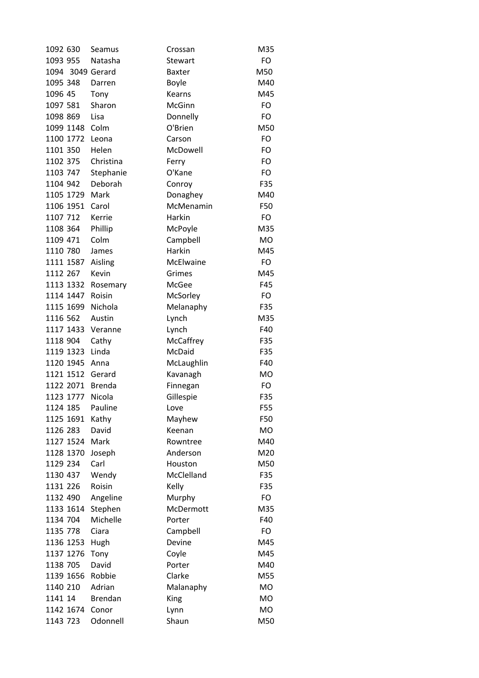| 1092 630         | Seamus         | Crossan        | M35       |
|------------------|----------------|----------------|-----------|
| 1093 955         | Natasha        | <b>Stewart</b> | FO        |
| 1094 3049 Gerard |                | <b>Baxter</b>  | M50       |
| 1095 348         | Darren         | <b>Boyle</b>   | M40       |
| 1096 45          | Tony           | Kearns         | M45       |
| 1097 581         | Sharon         | McGinn         | FO        |
| 1098 869         | Lisa           | Donnelly       | FO        |
| 1099 1148        | Colm           | O'Brien        | M50       |
| 1100 1772        | Leona          | Carson         | FO        |
| 1101 350         | Helen          | McDowell       | FO        |
| 1102 375         | Christina      | Ferry          | FO        |
| 1103 747         | Stephanie      | O'Kane         | FO        |
| 1104 942         | Deborah        | Conroy         | F35       |
| 1105 1729        | Mark           | Donaghey       | M40       |
| 1106 1951        | Carol          | McMenamin      | F50       |
| 1107 712         | Kerrie         | Harkin         | <b>FO</b> |
| 1108 364         | Phillip        | McPoyle        | M35       |
| 1109 471         | Colm           | Campbell       | <b>MO</b> |
| 1110 780         | James          | Harkin         | M45       |
| 1111 1587        | Aisling        | McElwaine      | <b>FO</b> |
| 1112 267         | Kevin          | Grimes         | M45       |
| 1113 1332        | Rosemary       | McGee          | F45       |
| 1114 1447        | Roisin         | McSorley       | <b>FO</b> |
| 1115 1699        | Nichola        | Melanaphy      | F35       |
| 1116 562         | Austin         | Lynch          | M35       |
| 1117 1433        | Veranne        | Lynch          | F40       |
| 1118 904         | Cathy          | McCaffrey      | F35       |
| 1119 1323        | Linda          | McDaid         | F35       |
| 1120 1945        | Anna           | McLaughlin     | F40       |
| 1121 1512        | Gerard         | Kavanagh       | <b>MO</b> |
| 1122 2071        | <b>Brenda</b>  | Finnegan       | FO        |
| 1123 1777        | Nicola         | Gillespie      | F35       |
| 1124 185         | Pauline        | Love           | F55       |
| 1125 1691        | Kathy          | Mayhew         | F50       |
| 1126 283         | David          | Keenan         | <b>MO</b> |
| 1127 1524        | Mark           | Rowntree       | M40       |
| 1128 1370        | Joseph         | Anderson       | M20       |
| 1129 234         | Carl           | Houston        | M50       |
| 1130 437         | Wendy          | McClelland     | F35       |
| 1131 226         | Roisin         | Kelly          | F35       |
| 1132 490         | Angeline       | Murphy         | FO        |
| 1133 1614        | Stephen        | McDermott      | M35       |
| 1134 704         | Michelle       | Porter         | F40       |
| 1135 778         | Ciara          | Campbell       | FO        |
| 1136 1253        | Hugh           | Devine         | M45       |
| 1137 1276        | Tony           | Coyle          | M45       |
| 1138 705         | David          | Porter         | M40       |
| 1139 1656        | Robbie         | Clarke         | M55       |
| 1140 210         | Adrian         | Malanaphy      | <b>MO</b> |
| 1141 14          | <b>Brendan</b> | King           | <b>MO</b> |
| 1142 1674        | Conor          | Lynn           | <b>MO</b> |
| 1143 723         | Odonnell       | Shaun          | M50       |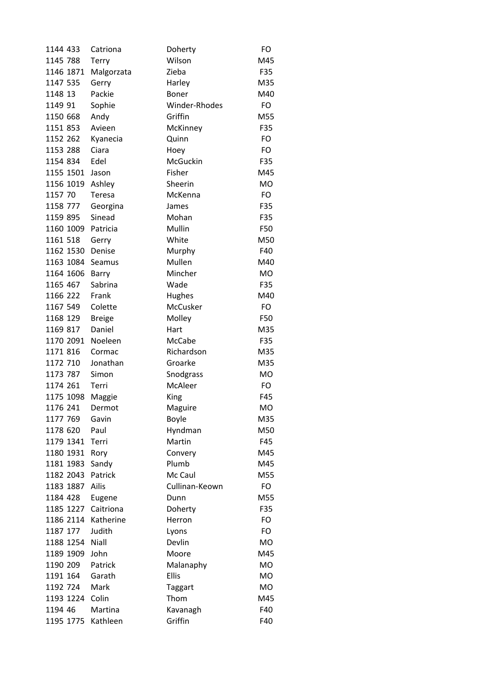| 1144 433  | Catriona      | Doherty        | FO        |
|-----------|---------------|----------------|-----------|
| 1145 788  | Terry         | Wilson         | M45       |
| 1146 1871 | Malgorzata    | Zieba          | F35       |
| 1147 535  | Gerry         | Harley         | M35       |
| 1148 13   | Packie        | <b>Boner</b>   | M40       |
| 1149 91   | Sophie        | Winder-Rhodes  | FO        |
| 1150 668  | Andy          | Griffin        | M55       |
| 1151 853  | Avieen        | McKinney       | F35       |
| 1152 262  | Kyanecia      | Quinn          | FO        |
| 1153 288  | Ciara         | Hoey           | FO        |
| 1154 834  | Edel          | McGuckin       | F35       |
| 1155 1501 | Jason         | Fisher         | M45       |
| 1156 1019 | Ashley        | Sheerin        | <b>MO</b> |
| 1157 70   | Teresa        | McKenna        | <b>FO</b> |
| 1158 777  | Georgina      | James          | F35       |
| 1159 895  | Sinead        | Mohan          | F35       |
| 1160 1009 | Patricia      | Mullin         | F50       |
| 1161 518  | Gerry         | White          | M50       |
| 1162 1530 | Denise        | Murphy         | F40       |
| 1163 1084 | Seamus        | Mullen         | M40       |
| 1164 1606 | Barry         | Mincher        | <b>MO</b> |
| 1165 467  | Sabrina       | Wade           | F35       |
| 1166 222  | Frank         | Hughes         | M40       |
| 1167 549  | Colette       | McCusker       | FO        |
| 1168 129  | <b>Breige</b> | Molley         | F50       |
| 1169 817  | Daniel        | Hart           | M35       |
| 1170 2091 | Noeleen       | McCabe         | F35       |
| 1171 816  | Cormac        | Richardson     | M35       |
| 1172 710  | Jonathan      | Groarke        | M35       |
| 1173 787  | Simon         | Snodgrass      | <b>MO</b> |
| 1174 261  | Terri         | McAleer        | <b>FO</b> |
| 1175 1098 | Maggie        | King           | F45       |
| 1176 241  | Dermot        | Maguire        | МO        |
| 1177 769  | Gavin         | <b>Boyle</b>   | M35       |
| 1178 620  | Paul          | Hyndman        | M50       |
| 1179 1341 | Terri         | Martin         | F45       |
| 1180 1931 | Rory          | Convery        | M45       |
| 1181 1983 | Sandy         | Plumb          | M45       |
| 1182 2043 | Patrick       | Mc Caul        | M55       |
| 1183 1887 | Ailis         | Cullinan-Keown | FO        |
| 1184 428  | Eugene        | Dunn           | M55       |
| 1185 1227 | Caitriona     | Doherty        | F35       |
| 1186 2114 | Katherine     | Herron         | FO        |
| 1187 177  | Judith        | Lyons          | <b>FO</b> |
| 1188 1254 | Niall         | Devlin         | <b>MO</b> |
| 1189 1909 | John          | Moore          | M45       |
| 1190 209  | Patrick       | Malanaphy      | <b>MO</b> |
| 1191 164  | Garath        | <b>Ellis</b>   | <b>MO</b> |
| 1192 724  | Mark          | <b>Taggart</b> | MO        |
| 1193 1224 | Colin         | Thom           | M45       |
| 1194 46   | Martina       | Kavanagh       | F40       |
| 1195 1775 | Kathleen      | Griffin        | F40       |
|           |               |                |           |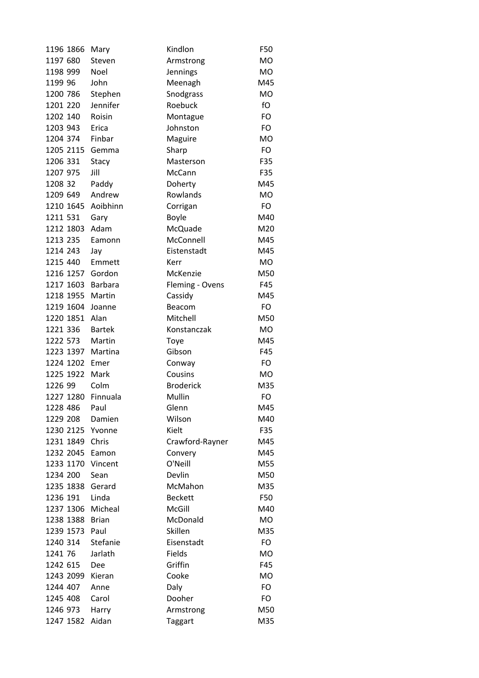| 1196 1866 | Mary          | Kindlon          | F50       |
|-----------|---------------|------------------|-----------|
| 1197 680  | Steven        | Armstrong        | <b>MO</b> |
| 1198 999  | Noel          | Jennings         | <b>MO</b> |
| 1199 96   | John          | Meenagh          | M45       |
| 1200 786  | Stephen       | Snodgrass        | <b>MO</b> |
| 1201 220  | Jennifer      | Roebuck          | fO        |
| 1202 140  | Roisin        | Montague         | FO        |
| 1203 943  | Erica         | Johnston         | <b>FO</b> |
| 1204 374  | Finbar        | Maguire          | <b>MO</b> |
| 1205 2115 | Gemma         | Sharp            | <b>FO</b> |
| 1206 331  | Stacy         | Masterson        | F35       |
| 1207 975  | Jill          | McCann           | F35       |
| 1208 32   | Paddy         | Doherty          | M45       |
| 1209 649  | Andrew        | Rowlands         | <b>MO</b> |
| 1210 1645 | Aoibhinn      | Corrigan         | <b>FO</b> |
| 1211 531  | Gary          | <b>Boyle</b>     | M40       |
| 1212 1803 | Adam          | McQuade          | M20       |
| 1213 235  | Eamonn        | McConnell        | M45       |
| 1214 243  | Jay           | Eistenstadt      | M45       |
| 1215 440  | Emmett        | Kerr             | <b>MO</b> |
| 1216 1257 | Gordon        | McKenzie         | M50       |
| 1217 1603 | Barbara       | Fleming - Ovens  | F45       |
| 1218 1955 | Martin        | Cassidy          | M45       |
| 1219 1604 | Joanne        | Beacom           | <b>FO</b> |
| 1220 1851 | Alan          | Mitchell         | M50       |
| 1221 336  | <b>Bartek</b> | Konstanczak      | <b>MO</b> |
| 1222 573  | Martin        | Toye             | M45       |
| 1223 1397 | Martina       | Gibson           | F45       |
| 1224 1202 | Emer          | Conway           | <b>FO</b> |
| 1225 1922 | Mark          | Cousins          | MO        |
| 1226 99   | Colm          | <b>Broderick</b> | M35       |
| 1227 1280 | Finnuala      | Mullin           | FO        |
| 1228 486  | Paul          | Glenn            | M45       |
| 1229 208  | Damien        | Wilson           | M40       |
| 1230 2125 | Yvonne        | Kielt            | F35       |
| 1231 1849 | Chris         | Crawford-Rayner  | M45       |
| 1232 2045 | Eamon         | Convery          | M45       |
| 1233 1170 | Vincent       | O'Neill          | M55       |
| 1234 200  | Sean          | Devlin           | M50       |
| 1235 1838 | Gerard        | McMahon          | M35       |
| 1236 191  | Linda         | <b>Beckett</b>   | F50       |
| 1237 1306 | Micheal       | McGill           | M40       |
| 1238 1388 | <b>Brian</b>  | McDonald         | <b>MO</b> |
| 1239 1573 | Paul          | Skillen          | M35       |
| 1240 314  | Stefanie      | Eisenstadt       | FO        |
| 1241 76   | Jarlath       | Fields           | <b>MO</b> |
| 1242 615  | Dee           | Griffin          | F45       |
| 1243 2099 | Kieran        | Cooke            | <b>MO</b> |
| 1244 407  | Anne          | Daly             | <b>FO</b> |
| 1245 408  | Carol         | Dooher           | FO        |
| 1246 973  | Harry         | Armstrong        | M50       |
| 1247 1582 | Aidan         | <b>Taggart</b>   | M35       |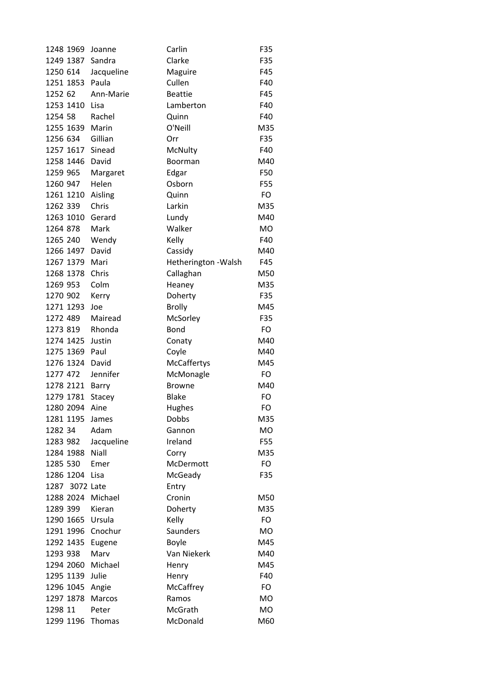| 1248 1969 |                | Joanne     | Carlin               | F35       |
|-----------|----------------|------------|----------------------|-----------|
| 1249 1387 |                | Sandra     | Clarke               | F35       |
| 1250 614  |                | Jacqueline | Maguire              | F45       |
| 1251 1853 |                | Paula      | Cullen               | F40       |
| 1252 62   |                | Ann-Marie  | <b>Beattie</b>       | F45       |
| 1253 1410 |                | Lisa       | Lamberton            | F40       |
| 1254 58   |                | Rachel     | Quinn                | F40       |
| 1255 1639 |                | Marin      | O'Neill              | M35       |
| 1256 634  |                | Gillian    | Orr                  | F35       |
| 1257 1617 |                | Sinead     | McNulty              | F40       |
| 1258 1446 |                | David      | Boorman              | M40       |
| 1259 965  |                | Margaret   | Edgar                | F50       |
| 1260 947  |                | Helen      | Osborn               | F55       |
| 1261 1210 |                | Aisling    | Quinn                | FO        |
| 1262 339  |                | Chris      | Larkin               | M35       |
| 1263 1010 |                | Gerard     | Lundy                | M40       |
| 1264 878  |                | Mark       | Walker               | <b>MO</b> |
| 1265 240  |                | Wendy      | Kelly                | F40       |
| 1266 1497 |                | David      | Cassidy              | M40       |
| 1267 1379 |                | Mari       | Hetherington - Walsh | F45       |
| 1268 1378 |                | Chris      | Callaghan            | M50       |
| 1269 953  |                | Colm       | Heaney               | M35       |
| 1270 902  |                | Kerry      | Doherty              | F35       |
| 1271 1293 |                | Joe        | <b>Brolly</b>        | M45       |
| 1272 489  |                | Mairead    | McSorley             | F35       |
| 1273 819  |                | Rhonda     | <b>Bond</b>          | FO.       |
| 1274 1425 |                | Justin     | Conaty               | M40       |
| 1275 1369 |                | Paul       | Coyle                | M40       |
| 1276 1324 |                | David      | McCaffertys          | M45       |
| 1277 472  |                | Jennifer   | McMonagle            | FO        |
| 1278 2121 |                | Barry      | <b>Browne</b>        | M40       |
| 1279 1781 |                | Stacey     | <b>Blake</b>         | FO        |
| 1280 2094 |                | Aine       | Hughes               | FO        |
| 1281 1195 |                | James      | Dobbs                | M35       |
| 1282 34   |                | Adam       | Gannon               | MO        |
| 1283 982  |                | Jacqueline | Ireland              | F55       |
| 1284 1988 |                | Niall      | Corry                | M35       |
| 1285 530  |                | Emer       | McDermott            | <b>FO</b> |
| 1286 1204 |                | Lisa       | McGeady              | F35       |
|           | 1287 3072 Late |            | Entry                |           |
| 1288 2024 |                | Michael    | Cronin               | M50       |
| 1289 399  |                | Kieran     | Doherty              | M35       |
| 1290 1665 |                | Ursula     | Kelly                | FO        |
| 1291 1996 |                | Cnochur    | Saunders             | MO        |
| 1292 1435 |                | Eugene     | <b>Boyle</b>         | M45       |
| 1293 938  |                | Marv       | Van Niekerk          | M40       |
| 1294 2060 |                | Michael    | Henry                | M45       |
| 1295 1139 |                | Julie      | Henry                | F40       |
| 1296 1045 |                | Angie      | McCaffrey            | FO        |
| 1297 1878 |                | Marcos     | Ramos                | MO        |
| 1298 11   |                | Peter      | McGrath              | <b>MO</b> |
| 1299 1196 |                | Thomas     | McDonald             | M60       |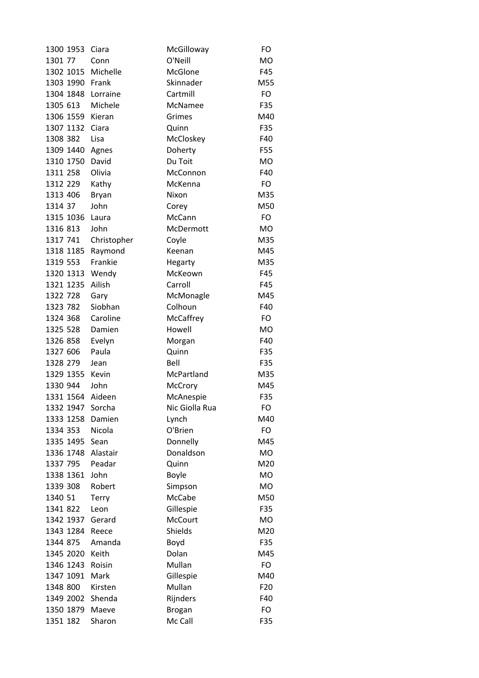| 1300 1953 | Ciara        | McGilloway     | FO              |
|-----------|--------------|----------------|-----------------|
| 1301 77   | Conn         | O'Neill        | <b>MO</b>       |
| 1302 1015 | Michelle     | <b>McGlone</b> | F45             |
| 1303 1990 | Frank        | Skinnader      | M55             |
| 1304 1848 | Lorraine     | Cartmill       | FO              |
| 1305 613  | Michele      | McNamee        | F35             |
| 1306 1559 | Kieran       | Grimes         | M40             |
| 1307 1132 | Ciara        | Quinn          | F35             |
| 1308 382  | Lisa         | McCloskey      | F40             |
| 1309 1440 | Agnes        | Doherty        | F55             |
| 1310 1750 | David        | Du Toit        | <b>MO</b>       |
| 1311 258  | Olivia       | McConnon       | F40             |
| 1312 229  | Kathy        | McKenna        | FO              |
| 1313 406  | <b>Bryan</b> | Nixon          | M35             |
| 1314 37   | John         | Corey          | M50             |
| 1315 1036 | Laura        | McCann         | <b>FO</b>       |
| 1316 813  | John         | McDermott      | <b>MO</b>       |
| 1317 741  | Christopher  | Coyle          | M35             |
| 1318 1185 | Raymond      | Keenan         | M45             |
| 1319 553  | Frankie      | Hegarty        | M35             |
| 1320 1313 | Wendy        | McKeown        | F45             |
| 1321 1235 | Ailish       | Carroll        | F45             |
| 1322 728  | Gary         | McMonagle      | M45             |
| 1323 782  | Siobhan      | Colhoun        | F40             |
| 1324 368  | Caroline     | McCaffrey      | FO.             |
| 1325 528  | Damien       | Howell         | MO              |
| 1326 858  | Evelyn       | Morgan         | F40             |
| 1327 606  | Paula        | Quinn          | F35             |
| 1328 279  | Jean         | Bell           | F35             |
| 1329 1355 | Kevin        | McPartland     | M35             |
| 1330 944  | John         | McCrory        | M45             |
| 1331 1564 | Aideen       | McAnespie      | F35             |
| 1332 1947 | Sorcha       | Nic Giolla Rua | FO              |
| 1333 1258 | Damien       | Lynch          | M40             |
| 1334 353  | Nicola       | O'Brien        | FO              |
| 1335 1495 | Sean         | Donnelly       | M45             |
| 1336 1748 | Alastair     | Donaldson      | <b>MO</b>       |
| 1337 795  | Peadar       | Quinn          | M20             |
| 1338 1361 | John         | <b>Boyle</b>   | <b>MO</b>       |
| 1339 308  | Robert       | Simpson        | <b>MO</b>       |
| 1340 51   | <b>Terry</b> | McCabe         | M50             |
| 1341 822  | Leon         | Gillespie      | F35             |
| 1342 1937 | Gerard       | <b>McCourt</b> | <b>MO</b>       |
| 1343 1284 | Reece        | Shields        | M20             |
| 1344 875  | Amanda       | Boyd           | F35             |
| 1345 2020 | Keith        | Dolan          | M45             |
| 1346 1243 | Roisin       | Mullan         | FO              |
| 1347 1091 | Mark         | Gillespie      | M40             |
| 1348 800  | Kirsten      | Mullan         | F <sub>20</sub> |
| 1349 2002 | Shenda       | Rijnders       | F40             |
| 1350 1879 | Maeve        | <b>Brogan</b>  | FO              |
| 1351 182  | Sharon       | Mc Call        | F35             |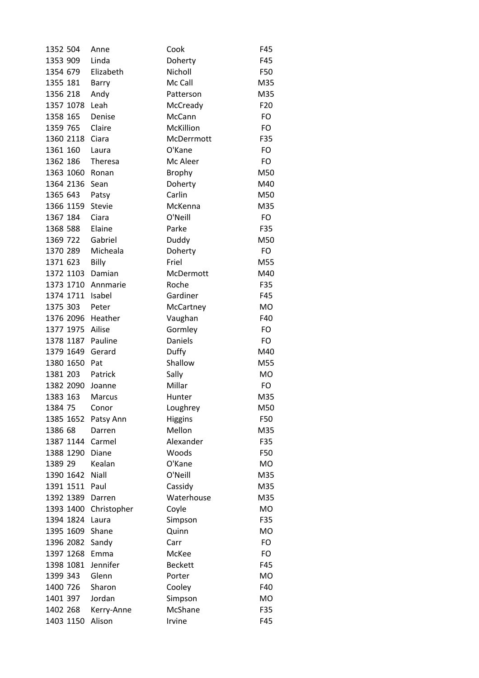| 1352 504  |           | Anne          | Cook           | F45       |
|-----------|-----------|---------------|----------------|-----------|
| 1353 909  |           | Linda         | Doherty        | F45       |
| 1354 679  |           | Elizabeth     | Nicholl        | F50       |
| 1355 181  |           | Barry         | Mc Call        | M35       |
| 1356 218  |           | Andy          | Patterson      | M35       |
| 1357 1078 |           | Leah          | McCready       | F20       |
| 1358 165  |           | Denise        | McCann         | FO        |
| 1359 765  |           | Claire        | McKillion      | <b>FO</b> |
| 1360 2118 |           | Ciara         | McDerrmott     | F35       |
| 1361 160  |           | Laura         | O'Kane         | FO        |
| 1362 186  |           | Theresa       | Mc Aleer       | FO        |
| 1363 1060 |           | Ronan         | <b>Brophy</b>  | M50       |
| 1364 2136 |           | Sean          | Doherty        | M40       |
| 1365 643  |           | Patsy         | Carlin         | M50       |
| 1366 1159 |           | <b>Stevie</b> | McKenna        | M35       |
| 1367 184  |           | Ciara         | O'Neill        | FO        |
| 1368 588  |           | Elaine        | Parke          | F35       |
| 1369 722  |           | Gabriel       | Duddy          | M50       |
| 1370 289  |           | Micheala      | Doherty        | FO        |
| 1371 623  |           | Billy         | Friel          | M55       |
|           | 1372 1103 | Damian        | McDermott      | M40       |
| 1373 1710 |           | Annmarie      | Roche          | F35       |
| 1374 1711 |           | Isabel        | Gardiner       | F45       |
| 1375 303  |           | Peter         | McCartney      | <b>MO</b> |
| 1376 2096 |           | Heather       | Vaughan        | F40       |
| 1377 1975 |           | Ailise        | Gormley        | <b>FO</b> |
| 1378 1187 |           | Pauline       | <b>Daniels</b> | <b>FO</b> |
| 1379 1649 |           | Gerard        | Duffy          | M40       |
| 1380 1650 |           | Pat           | Shallow        | M55       |
| 1381 203  |           | Patrick       | Sally          | <b>MO</b> |
| 1382 2090 |           | Joanne        | Millar         | <b>FO</b> |
| 1383 163  |           | Marcus        | Hunter         | M35       |
| 1384 75   |           | Conor         | Loughrey       | M50       |
| 1385 1652 |           | Patsy Ann     | <b>Higgins</b> | F50       |
| 1386 68   |           | Darren        | Mellon         | M35       |
| 1387 1144 |           | Carmel        | Alexander      | F35       |
| 1388 1290 |           | Diane         | Woods          | F50       |
| 1389 29   |           | Kealan        | O'Kane         | <b>MO</b> |
| 1390 1642 |           | Niall         | O'Neill        | M35       |
| 1391 1511 |           | Paul          | Cassidy        | M35       |
| 1392 1389 |           | Darren        | Waterhouse     | M35       |
| 1393 1400 |           | Christopher   | Coyle          | <b>MO</b> |
| 1394 1824 |           | Laura         | Simpson        | F35       |
| 1395 1609 |           | Shane         | Quinn          | MO        |
| 1396 2082 |           | Sandy         | Carr           | <b>FO</b> |
| 1397 1268 |           | Emma          | McKee          | FO        |
| 1398 1081 |           | Jennifer      | <b>Beckett</b> | F45       |
| 1399 343  |           | Glenn         | Porter         | MO        |
| 1400 726  |           | Sharon        | Cooley         | F40       |
| 1401 397  |           | Jordan        | Simpson        | <b>MO</b> |
| 1402 268  |           | Kerry-Anne    | McShane        | F35       |
| 1403 1150 |           | Alison        | Irvine         | F45       |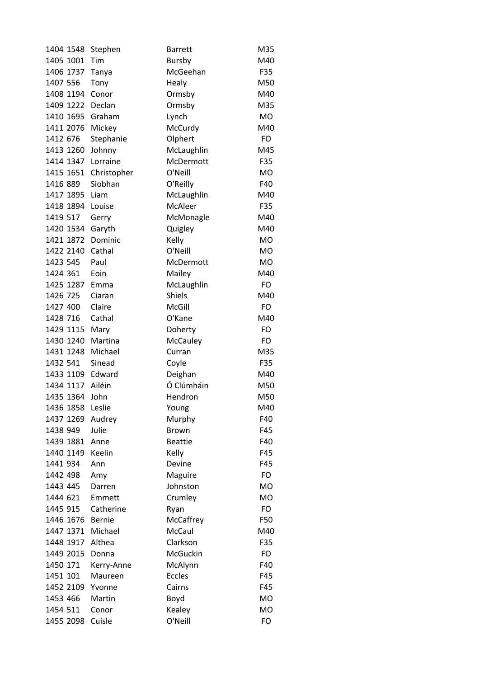| 1404 1548 | Stephen     | <b>Barrett</b> | M35       |
|-----------|-------------|----------------|-----------|
| 1405 1001 | Tim         | Bursby         | M40       |
| 1406 1737 | Tanya       | McGeehan       | F35       |
| 1407 556  | Tony        | Healy          | M50       |
| 1408 1194 | Conor       | Ormsby         | M40       |
| 1409 1222 | Declan      | Ormsby         | M35       |
| 1410 1695 | Graham      | Lynch          | <b>MO</b> |
| 1411 2076 | Mickey      | McCurdy        | M40       |
| 1412 676  | Stephanie   | Olphert        | <b>FO</b> |
| 1413 1260 | Johnny      | McLaughlin     | M45       |
| 1414 1347 | Lorraine    | McDermott      | F35       |
| 1415 1651 | Christopher | O'Neill        | <b>MO</b> |
| 1416 889  | Siobhan     | O'Reilly       | F40       |
| 1417 1895 | Liam        | McLaughlin     | M40       |
| 1418 1894 | Louise      | McAleer        | F35       |
| 1419 517  | Gerry       | McMonagle      | M40       |
| 1420 1534 | Garyth      | Quigley        | M40       |
| 1421 1872 | Dominic     | Kelly          | <b>MO</b> |
| 1422 2140 | Cathal      | O'Neill        | <b>MO</b> |
| 1423 545  | Paul        | McDermott      | <b>MO</b> |
| 1424 361  | Eoin        | Mailey         | M40       |
| 1425 1287 | Emma        | McLaughlin     | FO        |
| 1426 725  | Ciaran      | <b>Shiels</b>  | M40       |
| 1427 400  | Claire      | McGill         | FO        |
| 1428 716  | Cathal      | O'Kane         | M40       |
| 1429 1115 | Mary        | Doherty        | <b>FO</b> |
| 1430 1240 | Martina     | McCauley       | <b>FO</b> |
| 1431 1248 | Michael     | Curran         | M35       |
| 1432 541  | Sinead      | Coyle          | F35       |
| 1433 1109 | Edward      | Deighan        | M40       |
| 1434 1117 | Ailéin      | Ó Clúmháin     | M50       |
| 1435 1364 | John        | Hendron        | M50       |
| 1436 1858 | Leslie      | Young          | M40       |
| 1437 1269 | Audrey      | Murphy         | F40       |
| 1438 949  | Julie       | <b>Brown</b>   | F45       |
| 1439 1881 | Anne        | <b>Beattie</b> | F40       |
| 1440 1149 | Keelin      | Kelly          | F45       |
| 1441 934  | Ann         | Devine         | F45       |
| 1442 498  | Amy         | Maguire        | <b>FO</b> |
| 1443 445  | Darren      | Johnston       | <b>MO</b> |
| 1444 621  | Emmett      | Crumley        | <b>MO</b> |
| 1445 915  | Catherine   | Ryan           | <b>FO</b> |
| 1446 1676 | Bernie      | McCaffrey      | F50       |
| 1447 1371 | Michael     | McCaul         | M40       |
| 1448 1917 | Althea      | Clarkson       | F35       |
| 1449 2015 | Donna       | McGuckin       | FO        |
| 1450 171  | Kerry-Anne  | McAlynn        | F40       |
| 1451 101  | Maureen     | <b>Eccles</b>  | F45       |
| 1452 2109 | Yvonne      | Cairns         | F45       |
| 1453 466  | Martin      | Boyd           | <b>MO</b> |
| 1454 511  | Conor       | Kealey         | <b>MO</b> |
| 1455 2098 | Cuisle      | O'Neill        | FO        |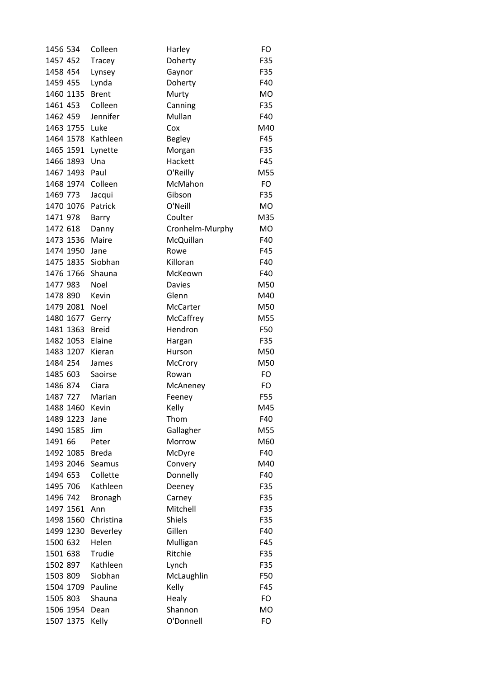| 1456 534  | Colleen      | Harley          | FO        |
|-----------|--------------|-----------------|-----------|
| 1457 452  | Tracey       | Doherty         | F35       |
| 1458 454  | Lynsey       | Gaynor          | F35       |
| 1459 455  | Lynda        | Doherty         | F40       |
| 1460 1135 | <b>Brent</b> | Murty           | <b>MO</b> |
| 1461 453  | Colleen      | Canning         | F35       |
| 1462 459  | Jennifer     | Mullan          | F40       |
| 1463 1755 | Luke         | Cox             | M40       |
| 1464 1578 | Kathleen     | <b>Begley</b>   | F45       |
| 1465 1591 | Lynette      | Morgan          | F35       |
| 1466 1893 | Una          | Hackett         | F45       |
| 1467 1493 | Paul         | O'Reilly        | M55       |
| 1468 1974 | Colleen      | McMahon         | FO        |
| 1469 773  | Jacqui       | Gibson          | F35       |
| 1470 1076 | Patrick      | O'Neill         | <b>MO</b> |
| 1471 978  | Barry        | Coulter         | M35       |
| 1472 618  | Danny        | Cronhelm-Murphy | <b>MO</b> |
| 1473 1536 | Maire        | McQuillan       | F40       |
| 1474 1950 | Jane         | Rowe            | F45       |
| 1475 1835 | Siobhan      | Killoran        | F40       |
| 1476 1766 | Shauna       | McKeown         | F40       |
| 1477 983  | Noel         | <b>Davies</b>   | M50       |
| 1478 890  | Kevin        | Glenn           | M40       |
| 1479 2081 | Noel         | McCarter        | M50       |
| 1480 1677 | Gerry        | McCaffrey       | M55       |
| 1481 1363 | <b>Breid</b> | Hendron         | F50       |
| 1482 1053 | Elaine       | Hargan          | F35       |
| 1483 1207 | Kieran       | Hurson          | M50       |
| 1484 254  | James        | McCrory         | M50       |
| 1485 603  | Saoirse      | Rowan           | FO        |
| 1486 874  | Ciara        | McAneney        | FO        |
| 1487 727  | Marian       | Feeney          | F55       |
| 1488 1460 | Kevin        | Kelly           | M45       |
| 1489 1223 | Jane         | Thom            | F40       |
| 1490 1585 | Jim          | Gallagher       | M55       |
| 1491 66   | Peter        | Morrow          | M60       |
| 1492 1085 | <b>Breda</b> | McDyre          | F40       |
| 1493 2046 | Seamus       | Convery         | M40       |
| 1494 653  | Collette     | Donnelly        | F40       |
| 1495 706  | Kathleen     | Deeney          | F35       |
| 1496 742  | Bronagh      | Carney          | F35       |
| 1497 1561 | Ann          | Mitchell        | F35       |
| 1498 1560 | Christina    | <b>Shiels</b>   | F35       |
| 1499 1230 | Beverley     | Gillen          | F40       |
| 1500 632  | Helen        | Mulligan        | F45       |
| 1501 638  | Trudie       | Ritchie         | F35       |
| 1502 897  | Kathleen     | Lynch           | F35       |
| 1503 809  | Siobhan      | McLaughlin      | F50       |
| 1504 1709 | Pauline      | Kelly           | F45       |
| 1505 803  | Shauna       | Healy           | FO        |
| 1506 1954 | Dean         | Shannon         | <b>MO</b> |
| 1507 1375 | Kelly        | O'Donnell       | FO        |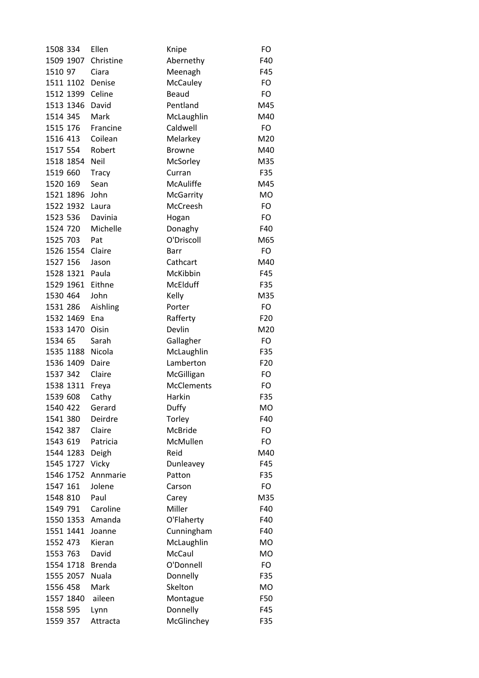| 1508 334  | Ellen         | Knipe             | FO              |
|-----------|---------------|-------------------|-----------------|
| 1509 1907 | Christine     | Abernethy         | F40             |
| 1510 97   | Ciara         | Meenagh           | F45             |
| 1511 1102 | Denise        | McCauley          | FO              |
| 1512 1399 | Celine        | <b>Beaud</b>      | FO              |
| 1513 1346 | David         | Pentland          | M45             |
| 1514 345  | Mark          | McLaughlin        | M40             |
| 1515 176  | Francine      | Caldwell          | <b>FO</b>       |
| 1516 413  | Coilean       | Melarkey          | M20             |
| 1517 554  | Robert        | <b>Browne</b>     | M40             |
| 1518 1854 | Neil          | McSorley          | M35             |
| 1519 660  | <b>Tracy</b>  | Curran            | F35             |
| 1520 169  | Sean          | McAuliffe         | M45             |
| 1521 1896 | John          | <b>McGarrity</b>  | <b>MO</b>       |
| 1522 1932 | Laura         | McCreesh          | FO              |
| 1523 536  | Davinia       | Hogan             | FO              |
| 1524 720  | Michelle      | Donaghy           | F40             |
| 1525 703  | Pat           | O'Driscoll        | M65             |
| 1526 1554 | Claire        | Barr              | FO              |
| 1527 156  | Jason         | Cathcart          | M40             |
| 1528 1321 | Paula         | McKibbin          | F45             |
| 1529 1961 | Eithne        | McElduff          | F35             |
| 1530 464  | John          | Kelly             | M35             |
| 1531 286  | Aishling      | Porter            | FO              |
| 1532 1469 | Ena           | Rafferty          | F <sub>20</sub> |
| 1533 1470 | Oisin         | Devlin            | M20             |
| 1534 65   | Sarah         | Gallagher         | FO              |
| 1535 1188 | Nicola        | McLaughlin        | F35             |
| 1536 1409 | Daire         | Lamberton         | F <sub>20</sub> |
| 1537 342  | Claire        | McGilligan        | FO              |
| 1538 1311 | Freya         | <b>McClements</b> | <b>FO</b>       |
| 1539 608  | Cathy         | Harkin            | F35             |
| 1540 422  | Gerard        | Duffy             | МO              |
| 1541 380  | Deirdre       | Torley            | F40             |
| 1542 387  | Claire        | <b>McBride</b>    | FO              |
| 1543 619  | Patricia      | McMullen          | FO              |
| 1544 1283 | Deigh         | Reid              | M40             |
| 1545 1727 | Vicky         | Dunleavey         | F45             |
| 1546 1752 | Annmarie      | Patton            | F35             |
| 1547 161  | Jolene        | Carson            | FO              |
| 1548 810  | Paul          | Carey             | M35             |
| 1549 791  | Caroline      | Miller            | F40             |
| 1550 1353 | Amanda        | O'Flaherty        | F40             |
| 1551 1441 | Joanne        | Cunningham        | F40             |
| 1552 473  | Kieran        | McLaughlin        | <b>MO</b>       |
| 1553 763  | David         | <b>McCaul</b>     | <b>MO</b>       |
| 1554 1718 | <b>Brenda</b> | O'Donnell         | <b>FO</b>       |
| 1555 2057 | Nuala         | Donnelly          | F35             |
| 1556 458  | Mark          | Skelton           | <b>MO</b>       |
| 1557 1840 | aileen        | Montague          | F50             |
| 1558 595  | Lynn          | Donnelly          | F45             |
| 1559 357  | Attracta      | McGlinchey        | F35             |
|           |               |                   |                 |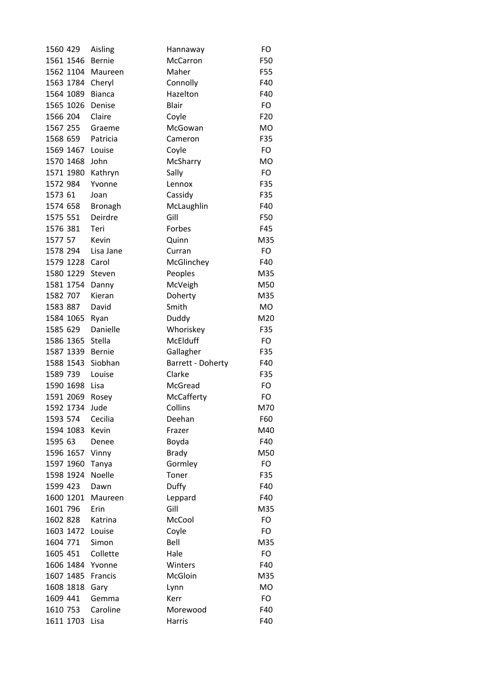| 1560 429  | Aisling           | Hannaway          | FO              |
|-----------|-------------------|-------------------|-----------------|
| 1561 1546 | Bernie            | McCarron          | F50             |
| 1562 1104 | Maureen           | Maher             | F55             |
| 1563 1784 | Cheryl            | Connolly          | F40             |
| 1564 1089 | <b>Bianca</b>     | Hazelton          | F40             |
| 1565 1026 | Denise            | <b>Blair</b>      | FO              |
| 1566 204  | Claire            | Coyle             | F <sub>20</sub> |
| 1567 255  | Graeme            | McGowan           | <b>MO</b>       |
| 1568 659  | Patricia          | Cameron           | F35             |
|           | 1569 1467 Louise  | Coyle             | <b>FO</b>       |
| 1570 1468 | John              | McSharry          | <b>MO</b>       |
| 1571 1980 | Kathryn           | Sally             | <b>FO</b>       |
| 1572 984  | Yvonne            | Lennox            | F35             |
| 1573 61   | Joan              | Cassidy           | F35             |
| 1574 658  | <b>Bronagh</b>    | McLaughlin        | F40             |
| 1575 551  | Deirdre           | Gill              | F50             |
| 1576 381  | Teri              | Forbes            | F45             |
| 1577 57   | Kevin             | Quinn             | M35             |
| 1578 294  | Lisa Jane         | Curran            | <b>FO</b>       |
| 1579 1228 | Carol             | McGlinchey        | F40             |
| 1580 1229 | Steven            | Peoples           | M35             |
| 1581 1754 | Danny             | McVeigh           | M50             |
| 1582 707  | Kieran            | Doherty           | M35             |
| 1583 887  | David             | Smith             | <b>MO</b>       |
| 1584 1065 | Ryan              | Duddy             | M20             |
| 1585 629  | Danielle          | Whoriskey         | F35             |
| 1586 1365 | Stella            | McElduff          | FO              |
| 1587 1339 | Bernie            | Gallagher         | F35             |
| 1588 1543 | Siobhan           | Barrett - Doherty | F40             |
| 1589 739  | Louise            | Clarke            | F35             |
| 1590 1698 | Lisa              | McGread           | FO              |
| 1591 2069 | Rosey             | McCafferty        | FO              |
| 1592 1734 | Jude              | Collins           | M70             |
| 1593 574  | Cecilia           | Deehan            | F60             |
| 1594 1083 | Kevin             | Frazer            | M40             |
| 1595 63   | Denee             | Boyda             | F40             |
| 1596 1657 | Vinny             | <b>Brady</b>      | M50             |
| 1597 1960 | Tanya             | Gormley           | FO              |
| 1598 1924 | Noelle            | Toner             | F35             |
| 1599 423  | Dawn              | Duffy             | F40             |
| 1600 1201 | Maureen           | Leppard           | F40             |
| 1601 796  | Erin              | Gill              | M35             |
| 1602 828  | Katrina           | McCool            | FO              |
| 1603 1472 | Louise            | Coyle             | FO              |
| 1604 771  | Simon             | Bell              | M35             |
| 1605 451  | Collette          | Hale              | FO              |
| 1606 1484 | Yvonne            | Winters           | F40             |
| 1607 1485 | Francis           | McGloin           | M35             |
| 1608 1818 | Gary              | Lynn              | <b>MO</b>       |
| 1609 441  | Gemma             | Kerr              | <b>FO</b>       |
| 1610 753  | Caroline          | Morewood          | F40             |
|           | 1611 1703<br>Lisa | Harris            | F40             |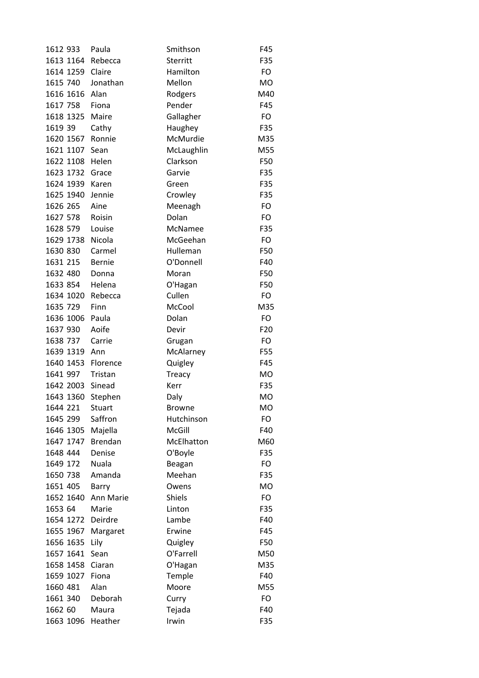| 1612 933  | Paula          | Smithson        | F45             |
|-----------|----------------|-----------------|-----------------|
| 1613 1164 | Rebecca        | <b>Sterritt</b> | F35             |
| 1614 1259 | Claire         | Hamilton        | FO              |
| 1615 740  | Jonathan       | Mellon          | <b>MO</b>       |
| 1616 1616 | Alan           | Rodgers         | M40             |
| 1617 758  | Fiona          | Pender          | F45             |
| 1618 1325 | Maire          | Gallagher       | FO              |
| 1619 39   | Cathy          | Haughey         | F35             |
| 1620 1567 | Ronnie         | McMurdie        | M35             |
| 1621 1107 | Sean           | McLaughlin      | M55             |
| 1622 1108 | Helen          | Clarkson        | F50             |
| 1623 1732 | Grace          | Garvie          | F35             |
| 1624 1939 | Karen          | Green           | F35             |
| 1625 1940 | Jennie         | Crowley         | F35             |
| 1626 265  | Aine           | Meenagh         | FO              |
| 1627 578  | Roisin         | Dolan           | <b>FO</b>       |
| 1628 579  | Louise         | McNamee         | F35             |
| 1629 1738 | Nicola         | McGeehan        | FO              |
| 1630 830  | Carmel         | Hulleman        | F50             |
| 1631 215  | <b>Bernie</b>  | O'Donnell       | F40             |
| 1632 480  | Donna          | Moran           | F50             |
| 1633 854  | Helena         | O'Hagan         | F50             |
| 1634 1020 | Rebecca        | Cullen          | FO              |
| 1635 729  | Finn           | McCool          | M35             |
| 1636 1006 | Paula          | Dolan           | FO              |
| 1637 930  | Aoife          | Devir           | F <sub>20</sub> |
| 1638 737  | Carrie         | Grugan          | FO              |
| 1639 1319 | Ann            | McAlarney       | F55             |
| 1640 1453 | Florence       | Quigley         | F45             |
| 1641 997  | Tristan        | <b>Treacy</b>   | MO              |
| 1642 2003 | Sinead         | Kerr            | F35             |
| 1643 1360 | Stephen        | Daly            | <b>MO</b>       |
| 1644 221  | <b>Stuart</b>  | <b>Browne</b>   | мo              |
| 1645 299  | Saffron        | Hutchinson      | FO              |
| 1646 1305 | Majella        | McGill          | F40             |
| 1647 1747 | <b>Brendan</b> | McElhatton      | M60             |
| 1648 444  | Denise         | O'Boyle         | F35             |
| 1649 172  | Nuala          | Beagan          | FO              |
| 1650 738  | Amanda         | Meehan          | F35             |
| 1651 405  | Barry          | Owens           | MO              |
| 1652 1640 | Ann Marie      | <b>Shiels</b>   | FO              |
| 1653 64   | Marie          | Linton          | F35             |
| 1654 1272 | Deirdre        | Lambe           | F40             |
| 1655 1967 | Margaret       | Erwine          | F45             |
| 1656 1635 | Lily           | Quigley         | F50             |
| 1657 1641 | Sean           | O'Farrell       | M50             |
| 1658 1458 | Ciaran         | O'Hagan         | M35             |
| 1659 1027 | Fiona          | Temple          | F40             |
| 1660 481  | Alan           | Moore           | M55             |
| 1661 340  | Deborah        | Curry           | FO              |
| 1662 60   | Maura          | Tejada          | F40             |
| 1663 1096 | Heather        | Irwin           | F35             |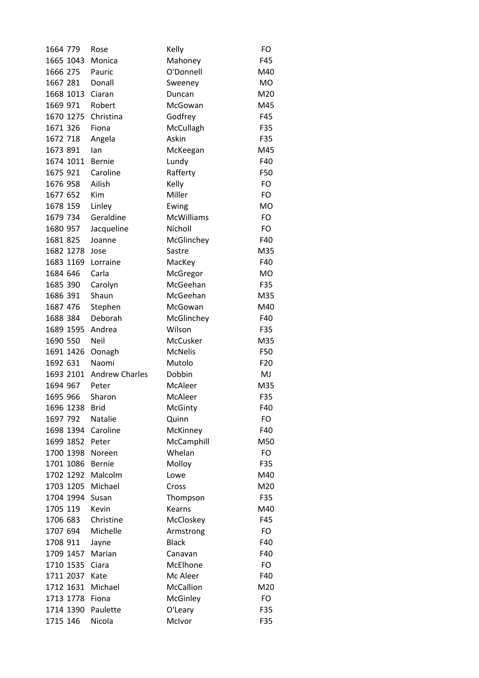| 1664 779  | Rose                  | Kelly             | FO              |
|-----------|-----------------------|-------------------|-----------------|
| 1665 1043 | Monica                | Mahoney           | F45             |
| 1666 275  | Pauric                | O'Donnell         | M40             |
| 1667 281  | Donall                | Sweeney           | <b>MO</b>       |
| 1668 1013 | Ciaran                | Duncan            | M20             |
| 1669 971  | Robert                | McGowan           | M45             |
| 1670 1275 | Christina             | Godfrey           | F45             |
| 1671 326  | Fiona                 | McCullagh         | F35             |
| 1672 718  | Angela                | Askin             | F35             |
| 1673 891  | lan                   | McKeegan          | M45             |
| 1674 1011 | <b>Bernie</b>         | Lundy             | F40             |
| 1675 921  | Caroline              | Rafferty          | F50             |
| 1676 958  | Ailish                | Kelly             | FO              |
| 1677 652  | Kim                   | Miller            | FO              |
| 1678 159  | Linley                | Ewing             | <b>MO</b>       |
| 1679 734  | Geraldine             | <b>McWilliams</b> | FO              |
| 1680 957  | Jacqueline            | Nicholl           | FO              |
| 1681 825  | Joanne                | McGlinchey        | F40             |
| 1682 1278 | Jose                  | Sastre            | M35             |
| 1683 1169 | Lorraine              | MacKey            | F40             |
| 1684 646  | Carla                 | McGregor          | <b>MO</b>       |
| 1685 390  | Carolyn               | McGeehan          | F35             |
| 1686 391  | Shaun                 | McGeehan          | M35             |
| 1687 476  | Stephen               | McGowan           | M40             |
| 1688 384  | Deborah               | McGlinchey        | F40             |
| 1689 1595 | Andrea                | Wilson            | F35             |
| 1690 550  | <b>Neil</b>           | McCusker          | M35             |
| 1691 1426 | Oonagh                | <b>McNelis</b>    | F50             |
| 1692 631  | Naomi                 | Mutolo            | F <sub>20</sub> |
| 1693 2101 | <b>Andrew Charles</b> | Dobbin            | MJ              |
| 1694 967  | Peter                 | McAleer           | M35             |
| 1695 966  | Sharon                | McAleer           | F35             |
| 1696 1238 | Brid                  | McGinty           | F40             |
| 1697 792  | <b>Natalie</b>        | Quinn             | FO              |
| 1698 1394 | Caroline              | McKinney          | F40             |
| 1699 1852 | Peter                 | McCamphill        | M50             |
| 1700 1398 | Noreen                | Whelan            | <b>FO</b>       |
| 1701 1086 | Bernie                | Molloy            | F35             |
| 1702 1292 | Malcolm               | Lowe              | M40             |
| 1703 1205 | Michael               | Cross             | M20             |
| 1704 1994 | Susan                 | Thompson          | F35             |
| 1705 119  | Kevin                 | Kearns            | M40             |
| 1706 683  | Christine             | McCloskey         | F45             |
| 1707 694  | Michelle              | Armstrong         | FO              |
| 1708 911  | Jayne                 | <b>Black</b>      | F40             |
| 1709 1457 | Marian                | Canavan           | F40             |
| 1710 1535 | Ciara                 | McElhone          | FO              |
| 1711 2037 | Kate                  | Mc Aleer          | F40             |
| 1712 1631 | Michael               | McCallion         | M20             |
| 1713 1778 | Fiona                 | McGinley          | FO              |
| 1714 1390 | Paulette              | O'Leary           | F35             |
| 1715 146  | Nicola                | McIvor            | F35             |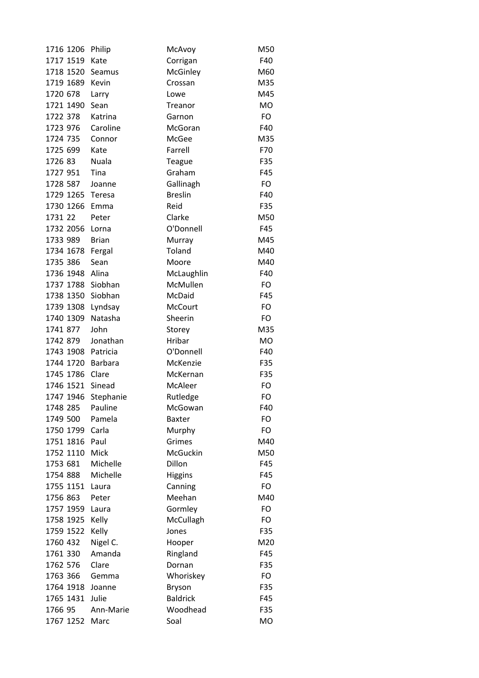| 1716 1206 | Philip       | McAvoy          | M50       |
|-----------|--------------|-----------------|-----------|
| 1717 1519 | Kate         | Corrigan        | F40       |
| 1718 1520 | Seamus       | McGinley        | M60       |
| 1719 1689 | Kevin        | Crossan         | M35       |
| 1720 678  | Larry        | Lowe            | M45       |
| 1721 1490 | Sean         | Treanor         | <b>MO</b> |
| 1722 378  | Katrina      | Garnon          | FO        |
| 1723 976  | Caroline     | McGoran         | F40       |
| 1724 735  | Connor       | McGee           | M35       |
| 1725 699  | Kate         | Farrell         | F70       |
| 1726 83   | Nuala        | Teague          | F35       |
| 1727 951  | Tina         | Graham          | F45       |
| 1728 587  | Joanne       | Gallinagh       | FO        |
| 1729 1265 | Teresa       | <b>Breslin</b>  | F40       |
| 1730 1266 | Emma         | Reid            | F35       |
| 1731 22   | Peter        | Clarke          | M50       |
| 1732 2056 | Lorna        | O'Donnell       | F45       |
| 1733 989  | <b>Brian</b> | Murray          | M45       |
| 1734 1678 | Fergal       | Toland          | M40       |
| 1735 386  | Sean         | Moore           | M40       |
| 1736 1948 | Alina        | McLaughlin      | F40       |
| 1737 1788 | Siobhan      | McMullen        | <b>FO</b> |
| 1738 1350 | Siobhan      | McDaid          | F45       |
| 1739 1308 | Lyndsay      | McCourt         | <b>FO</b> |
| 1740 1309 | Natasha      | Sheerin         | <b>FO</b> |
| 1741 877  | John         | Storey          | M35       |
| 1742 879  | Jonathan     | Hribar          | <b>MO</b> |
| 1743 1908 | Patricia     | O'Donnell       | F40       |
| 1744 1720 | Barbara      | McKenzie        | F35       |
| 1745 1786 | Clare        | McKernan        | F35       |
| 1746 1521 | Sinead       | McAleer         | <b>FO</b> |
| 1747 1946 | Stephanie    | Rutledge        | FO        |
| 1748 285  | Pauline      | McGowan         | F40       |
| 1749 500  | Pamela       | Baxter          | FO        |
| 1750 1799 | Carla        | Murphy          | <b>FO</b> |
| 1751 1816 | Paul         | Grimes          | M40       |
| 1752 1110 | Mick         | McGuckin        | M50       |
| 1753 681  | Michelle     | Dillon          | F45       |
| 1754 888  | Michelle     | <b>Higgins</b>  | F45       |
| 1755 1151 | Laura        | Canning         | <b>FO</b> |
| 1756 863  | Peter        | Meehan          | M40       |
| 1757 1959 | Laura        | Gormley         | FO        |
| 1758 1925 | Kelly        | McCullagh       | FO        |
| 1759 1522 | Kelly        | Jones           | F35       |
| 1760 432  | Nigel C.     | Hooper          | M20       |
| 1761 330  | Amanda       | Ringland        | F45       |
| 1762 576  | Clare        | Dornan          | F35       |
| 1763 366  | Gemma        | Whoriskey       | <b>FO</b> |
| 1764 1918 | Joanne       | Bryson          | F35       |
| 1765 1431 | Julie        | <b>Baldrick</b> | F45       |
| 1766 95   | Ann-Marie    | Woodhead        | F35       |
| 1767 1252 | Marc         | Soal            | MO        |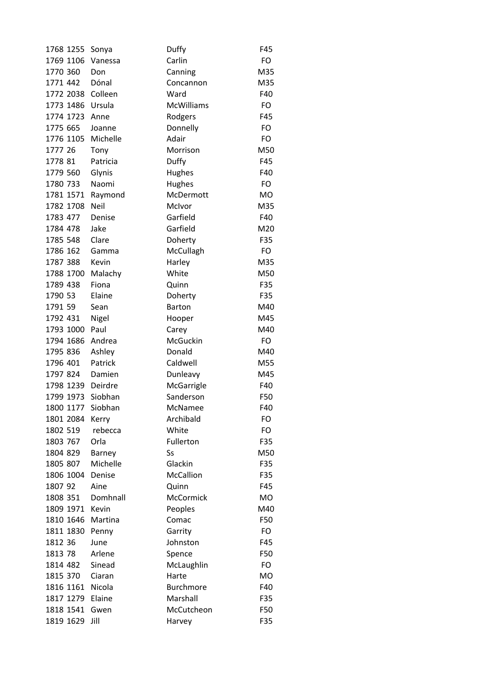| 1768 1255         | Sonya    | Duffy             | F45       |
|-------------------|----------|-------------------|-----------|
| 1769 1106         | Vanessa  | Carlin            | <b>FO</b> |
| 1770 360          | Don      | Canning           | M35       |
| 1771 442          | Dónal    | Concannon         | M35       |
| 1772 2038         | Colleen  | Ward              | F40       |
| 1773 1486         | Ursula   | <b>McWilliams</b> | FO        |
| 1774 1723         | Anne     | Rodgers           | F45       |
| 1775 665          | Joanne   | Donnelly          | FO        |
| 1776 1105         | Michelle | Adair             | FO        |
| 1777 26           | Tony     | Morrison          | M50       |
| 1778 81           | Patricia | Duffy             | F45       |
| 1779 560          | Glynis   | Hughes            | F40       |
| 1780 733          | Naomi    | Hughes            | FO.       |
| 1781 1571         | Raymond  | McDermott         | <b>MO</b> |
| 1782 1708         | Neil     | McIvor            | M35       |
| 1783 477          | Denise   | Garfield          | F40       |
| 1784 478          | Jake     | Garfield          | M20       |
| 1785 548          | Clare    | Doherty           | F35       |
| 1786 162          | Gamma    | McCullagh         | FO        |
| 1787 388          | Kevin    | Harley            | M35       |
| 1788 1700         | Malachy  | White             | M50       |
| 1789 438          | Fiona    | Quinn             | F35       |
| 1790 53           | Elaine   | Doherty           | F35       |
| 1791 59           | Sean     | <b>Barton</b>     | M40       |
| 1792 431          | Nigel    | Hooper            | M45       |
| 1793 1000         | Paul     | Carey             | M40       |
| 1794 1686         | Andrea   | McGuckin          | FO        |
| 1795 836          | Ashley   | Donald            | M40       |
| 1796 401          | Patrick  | Caldwell          | M55       |
| 1797 824          | Damien   | Dunleavy          | M45       |
| 1798 1239 Deirdre |          | McGarrigle        | F40       |
| 1799 1973         | Siobhan  | Sanderson         | F50       |
| 1800 1177         | Siobhan  | McNamee           | F40       |
| 1801 2084         | Kerry    | Archibald         | FO        |
| 1802 519          | rebecca  | White             | FO        |
| 1803 767          | Orla     | Fullerton         | F35       |
| 1804 829          | Barney   | Ss                | M50       |
| 1805 807          | Michelle | Glackin           | F35       |
| 1806 1004         | Denise   | <b>McCallion</b>  | F35       |
| 1807 92           | Aine     | Quinn             | F45       |
| 1808 351          | Domhnall | <b>McCormick</b>  | <b>MO</b> |
| 1809 1971         | Kevin    | Peoples           | M40       |
| 1810 1646         | Martina  | Comac             | F50       |
| 1811 1830         | Penny    | Garrity           | FO        |
| 1812 36           | June     | Johnston          | F45       |
| 1813 78           | Arlene   | Spence            | F50       |
| 1814 482          | Sinead   | McLaughlin        | FO        |
| 1815 370          | Ciaran   | Harte             | <b>MO</b> |
| 1816 1161         | Nicola   | <b>Burchmore</b>  | F40       |
| 1817 1279         | Elaine   | Marshall          | F35       |
| 1818 1541         | Gwen     | McCutcheon        | F50       |
| 1819 1629         | Jill     | Harvey            | F35       |
|                   |          |                   |           |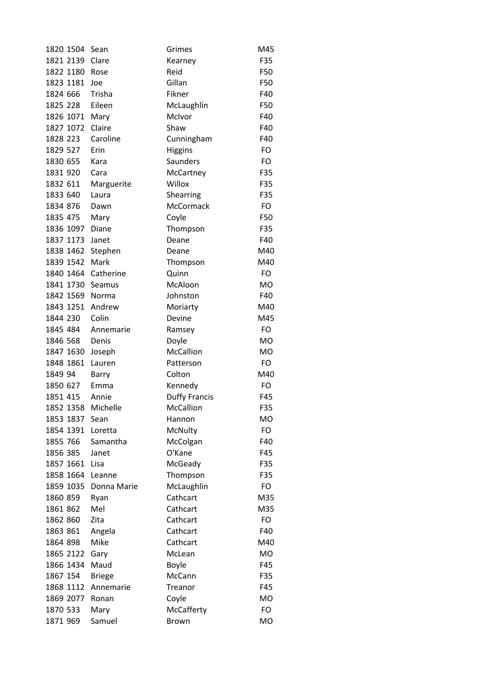| 1820 1504 | Sean          | Grimes               | M45       |
|-----------|---------------|----------------------|-----------|
| 1821 2139 | Clare         | Kearney              | F35       |
| 1822 1180 | Rose          | Reid                 | F50       |
| 1823 1181 | Joe           | Gillan               | F50       |
| 1824 666  | Trisha        | Fikner               | F40       |
| 1825 228  | Eileen        | McLaughlin           | F50       |
| 1826 1071 | Mary          | McIvor               | F40       |
| 1827 1072 | Claire        | Shaw                 | F40       |
| 1828 223  | Caroline      | Cunningham           | F40       |
| 1829 527  | Erin          | <b>Higgins</b>       | FO        |
| 1830 655  | Kara          | Saunders             | FO        |
| 1831 920  | Cara          | McCartney            | F35       |
| 1832 611  | Marguerite    | Willox               | F35       |
| 1833 640  | Laura         | Shearring            | F35       |
| 1834 876  | Dawn          | McCormack            | FO        |
| 1835 475  | Mary          | Coyle                | F50       |
| 1836 1097 | Diane         | Thompson             | F35       |
| 1837 1173 | Janet         | Deane                | F40       |
| 1838 1462 | Stephen       | Deane                | M40       |
| 1839 1542 | Mark          | Thompson             | M40       |
| 1840 1464 | Catherine     | Quinn                | FO        |
| 1841 1730 | Seamus        | McAloon              | <b>MO</b> |
| 1842 1569 | Norma         | Johnston             | F40       |
| 1843 1251 | Andrew        | Moriarty             | M40       |
| 1844 230  | Colin         | Devine               | M45       |
| 1845 484  | Annemarie     | Ramsey               | FO        |
| 1846 568  | Denis         | Doyle                | <b>MO</b> |
| 1847 1630 | Joseph        | <b>McCallion</b>     | <b>MO</b> |
| 1848 1861 | Lauren        | Patterson            | <b>FO</b> |
| 1849 94   | Barry         | Colton               | M40       |
| 1850 627  | Emma          | Kennedy              | FO        |
| 1851 415  | Annie         | <b>Duffy Francis</b> | F45       |
| 1852 1358 | Michelle      | McCallion            | F35       |
| 1853 1837 | Sean          | Hannon               | MO        |
| 1854 1391 | Loretta       | McNulty              | FO        |
| 1855 766  | Samantha      | McColgan             | F40       |
| 1856 385  | Janet         | O'Kane               | F45       |
| 1857 1661 | Lisa          | McGeady              | F35       |
| 1858 1664 | Leanne        | Thompson             | F35       |
| 1859 1035 | Donna Marie   | McLaughlin           | FO        |
| 1860 859  | Ryan          | Cathcart             | M35       |
| 1861 862  | Mel           | Cathcart             | M35       |
| 1862 860  | Zita          | Cathcart             | FO        |
| 1863 861  | Angela        | Cathcart             | F40       |
| 1864 898  | Mike          | Cathcart             | M40       |
| 1865 2122 | Gary          | McLean               | <b>MO</b> |
| 1866 1434 | Maud          | <b>Boyle</b>         | F45       |
| 1867 154  | <b>Briege</b> | McCann               | F35       |
| 1868 1112 | Annemarie     | Treanor              | F45       |
| 1869 2077 | Ronan         | Coyle                | <b>MO</b> |
| 1870 533  | Mary          | McCafferty           | FO        |
| 1871 969  | Samuel        | Brown                | MO        |
|           |               |                      |           |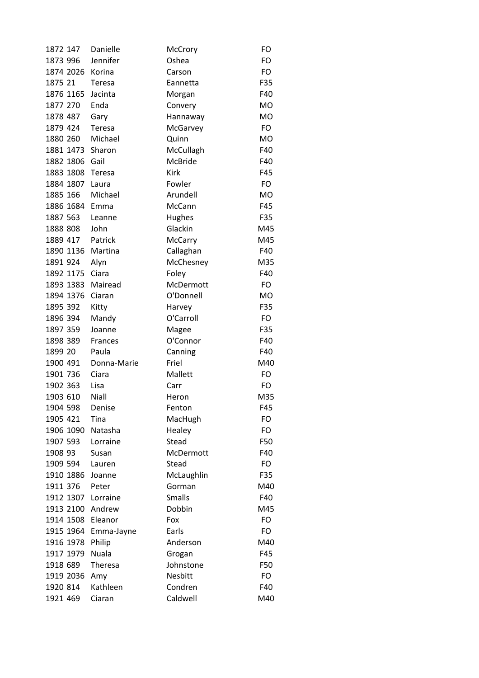| 1872 147         | Danielle      | McCrory         | FO        |
|------------------|---------------|-----------------|-----------|
| 1873 996         | Jennifer      | Oshea           | FO        |
| 1874 2026        | Korina        | Carson          | FO        |
| 1875 21          | <b>Teresa</b> | Eannetta        | F35       |
| 1876 1165        | Jacinta       | Morgan          | F40       |
| 1877 270         | Enda          | Convery         | <b>MO</b> |
| 1878 487         | Gary          | Hannaway        | <b>MO</b> |
| 1879 424         | Teresa        | McGarvey        | FO        |
| 1880 260         | Michael       | Quinn           | <b>MO</b> |
| 1881 1473 Sharon |               | McCullagh       | F40       |
| 1882 1806        | Gail          | <b>McBride</b>  | F40       |
| 1883 1808        | Teresa        | Kirk            | F45       |
| 1884 1807        | Laura         | Fowler          | FO        |
| 1885 166         | Michael       | Arundell        | <b>MO</b> |
| 1886 1684        | Emma          | McCann          | F45       |
| 1887 563         | Leanne        | Hughes          | F35       |
| 1888 808         | John          | Glackin         | M45       |
| 1889 417         | Patrick       | <b>McCarry</b>  | M45       |
| 1890 1136        | Martina       | Callaghan       | F40       |
| 1891 924         | Alyn          | McChesney       | M35       |
| 1892 1175        | Ciara         | Foley           | F40       |
| 1893 1383        | Mairead       | McDermott       | FO        |
| 1894 1376        | Ciaran        | O'Donnell       | <b>MO</b> |
| 1895 392         | Kitty         | Harvey          | F35       |
| 1896 394         | Mandy         | O'Carroll       | FO        |
| 1897 359         | Joanne        | Magee           | F35       |
| 1898 389         | Frances       | O'Connor        | F40       |
| 1899 20          | Paula         | Canning         | F40       |
| 1900 491         | Donna-Marie   | Friel           | M40       |
| 1901 736         | Ciara         | Mallett         | FO        |
| 1902 363         | Lisa          | Carr            | FO        |
| 1903 610         | Niall         |                 | M35       |
| 1904 598         | Denise        | Heron<br>Fenton | F45       |
| 1905 421         | Tina          |                 | FO        |
| 1906 1090        | Natasha       | MacHugh         | FO        |
| 1907 593         | Lorraine      | Healey<br>Stead | F50       |
|                  |               |                 |           |
| 1908 93          | Susan         | McDermott       | F40       |
| 1909 594         | Lauren        | Stead           | FO        |
| 1910 1886        | Joanne        | McLaughlin      | F35       |
| 1911 376         | Peter         | Gorman          | M40       |
| 1912 1307        | Lorraine      | <b>Smalls</b>   | F40       |
| 1913 2100        | Andrew        | Dobbin          | M45       |
| 1914 1508        | Eleanor       | Fox             | FO        |
| 1915 1964        | Emma-Jayne    | Earls           | FO        |
| 1916 1978        | Philip        | Anderson        | M40       |
| 1917 1979        | Nuala         | Grogan          | F45       |
| 1918 689         | Theresa       | Johnstone       | F50       |
| 1919 2036        | Amy           | Nesbitt         | FO        |
| 1920 814         | Kathleen      | Condren         | F40       |
| 1921 469         | Ciaran        | Caldwell        | M40       |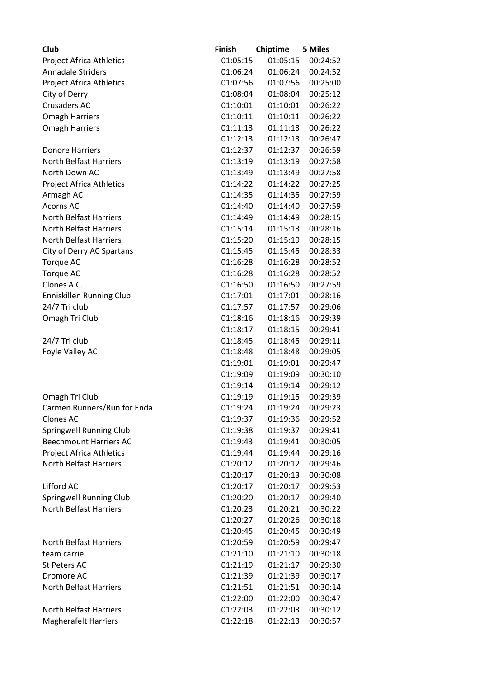| Club                            | <b>Finish</b> | Chiptime | <b>5 Miles</b> |
|---------------------------------|---------------|----------|----------------|
| <b>Project Africa Athletics</b> | 01:05:15      | 01:05:15 | 00:24:52       |
| <b>Annadale Striders</b>        | 01:06:24      | 01:06:24 | 00:24:52       |
| <b>Project Africa Athletics</b> | 01:07:56      | 01:07:56 | 00:25:00       |
| City of Derry                   | 01:08:04      | 01:08:04 | 00:25:12       |
| <b>Crusaders AC</b>             | 01:10:01      | 01:10:01 | 00:26:22       |
| <b>Omagh Harriers</b>           | 01:10:11      | 01:10:11 | 00:26:22       |
| <b>Omagh Harriers</b>           | 01:11:13      | 01:11:13 | 00:26:22       |
|                                 | 01:12:13      | 01:12:13 | 00:26:47       |
| <b>Donore Harriers</b>          | 01:12:37      | 01:12:37 | 00:26:59       |
| <b>North Belfast Harriers</b>   | 01:13:19      | 01:13:19 | 00:27:58       |
| North Down AC                   | 01:13:49      | 01:13:49 | 00:27:58       |
| <b>Project Africa Athletics</b> | 01:14:22      | 01:14:22 | 00:27:25       |
| Armagh AC                       | 01:14:35      | 01:14:35 | 00:27:59       |
| <b>Acorns AC</b>                | 01:14:40      | 01:14:40 | 00:27:59       |
| <b>North Belfast Harriers</b>   | 01:14:49      | 01:14:49 | 00:28:15       |
| <b>North Belfast Harriers</b>   | 01:15:14      | 01:15:13 | 00:28:16       |
| <b>North Belfast Harriers</b>   | 01:15:20      | 01:15:19 | 00:28:15       |
| City of Derry AC Spartans       | 01:15:45      | 01:15:45 | 00:28:33       |
| Torque AC                       | 01:16:28      | 01:16:28 | 00:28:52       |
| <b>Torque AC</b>                | 01:16:28      | 01:16:28 | 00:28:52       |
| Clones A.C.                     | 01:16:50      | 01:16:50 | 00:27:59       |
| <b>Enniskillen Running Club</b> | 01:17:01      | 01:17:01 | 00:28:16       |
| 24/7 Tri club                   | 01:17:57      | 01:17:57 | 00:29:06       |
| Omagh Tri Club                  | 01:18:16      | 01:18:16 | 00:29:39       |
|                                 | 01:18:17      | 01:18:15 | 00:29:41       |
| 24/7 Tri club                   | 01:18:45      | 01:18:45 | 00:29:11       |
| Foyle Valley AC                 | 01:18:48      | 01:18:48 | 00:29:05       |
|                                 | 01:19:01      | 01:19:01 | 00:29:47       |
|                                 | 01:19:09      | 01:19:09 | 00:30:10       |
|                                 | 01:19:14      | 01:19:14 | 00:29:12       |
| Omagh Tri Club                  | 01:19:19      | 01:19:15 | 00:29:39       |
| Carmen Runners/Run for Enda     | 01:19:24      | 01:19:24 | 00:29:23       |
| <b>Clones AC</b>                | 01:19:37      | 01:19:36 | 00:29:52       |
| <b>Springwell Running Club</b>  | 01:19:38      | 01:19:37 | 00:29:41       |
| <b>Beechmount Harriers AC</b>   | 01:19:43      | 01:19:41 | 00:30:05       |
| <b>Project Africa Athletics</b> | 01:19:44      | 01:19:44 | 00:29:16       |
| <b>North Belfast Harriers</b>   | 01:20:12      | 01:20:12 | 00:29:46       |
|                                 | 01:20:17      | 01:20:13 | 00:30:08       |
| Lifford AC                      | 01:20:17      | 01:20:17 | 00:29:53       |
| Springwell Running Club         | 01:20:20      | 01:20:17 | 00:29:40       |
| <b>North Belfast Harriers</b>   | 01:20:23      | 01:20:21 | 00:30:22       |
|                                 | 01:20:27      | 01:20:26 | 00:30:18       |
|                                 | 01:20:45      | 01:20:45 | 00:30:49       |
| <b>North Belfast Harriers</b>   | 01:20:59      | 01:20:59 | 00:29:47       |
| team carrie                     | 01:21:10      | 01:21:10 | 00:30:18       |
| <b>St Peters AC</b>             | 01:21:19      | 01:21:17 | 00:29:30       |
| Dromore AC                      | 01:21:39      | 01:21:39 | 00:30:17       |
| North Belfast Harriers          | 01:21:51      | 01:21:51 | 00:30:14       |
|                                 | 01:22:00      | 01:22:00 | 00:30:47       |
| <b>North Belfast Harriers</b>   | 01:22:03      | 01:22:03 | 00:30:12       |
| <b>Magherafelt Harriers</b>     | 01:22:18      | 01:22:13 | 00:30:57       |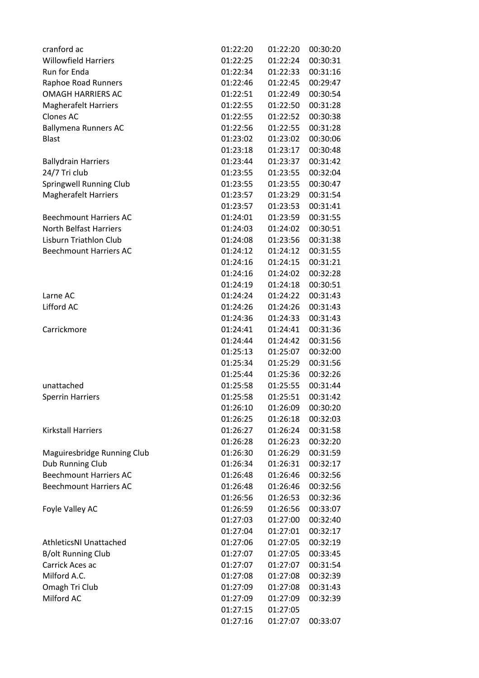| cranford ac                    | 01:22:20 | 01:22:20 | 00:30:20 |
|--------------------------------|----------|----------|----------|
| <b>Willowfield Harriers</b>    | 01:22:25 | 01:22:24 | 00:30:31 |
| Run for Enda                   | 01:22:34 | 01:22:33 | 00:31:16 |
| Raphoe Road Runners            | 01:22:46 | 01:22:45 | 00:29:47 |
| <b>OMAGH HARRIERS AC</b>       | 01:22:51 | 01:22:49 | 00:30:54 |
| <b>Magherafelt Harriers</b>    | 01:22:55 | 01:22:50 | 00:31:28 |
| <b>Clones AC</b>               | 01:22:55 | 01:22:52 | 00:30:38 |
| <b>Ballymena Runners AC</b>    | 01:22:56 | 01:22:55 | 00:31:28 |
| <b>Blast</b>                   | 01:23:02 | 01:23:02 | 00:30:06 |
|                                | 01:23:18 | 01:23:17 | 00:30:48 |
| <b>Ballydrain Harriers</b>     | 01:23:44 | 01:23:37 | 00:31:42 |
| 24/7 Tri club                  | 01:23:55 | 01:23:55 | 00:32:04 |
| <b>Springwell Running Club</b> | 01:23:55 | 01:23:55 | 00:30:47 |
| <b>Magherafelt Harriers</b>    | 01:23:57 | 01:23:29 | 00:31:54 |
|                                | 01:23:57 | 01:23:53 | 00:31:41 |
| <b>Beechmount Harriers AC</b>  | 01:24:01 | 01:23:59 | 00:31:55 |
| <b>North Belfast Harriers</b>  | 01:24:03 | 01:24:02 | 00:30:51 |
| Lisburn Triathlon Club         | 01:24:08 | 01:23:56 | 00:31:38 |
| <b>Beechmount Harriers AC</b>  | 01:24:12 | 01:24:12 | 00:31:55 |
|                                | 01:24:16 | 01:24:15 | 00:31:21 |
|                                | 01:24:16 | 01:24:02 | 00:32:28 |
|                                | 01:24:19 | 01:24:18 | 00:30:51 |
| Larne AC                       | 01:24:24 | 01:24:22 | 00:31:43 |
| Lifford AC                     | 01:24:26 | 01:24:26 | 00:31:43 |
|                                | 01:24:36 | 01:24:33 | 00:31:43 |
| Carrickmore                    | 01:24:41 | 01:24:41 | 00:31:36 |
|                                | 01:24:44 | 01:24:42 | 00:31:56 |
|                                | 01:25:13 | 01:25:07 | 00:32:00 |
|                                | 01:25:34 | 01:25:29 | 00:31:56 |
|                                | 01:25:44 | 01:25:36 | 00:32:26 |
| unattached                     | 01:25:58 | 01:25:55 | 00:31:44 |
| <b>Sperrin Harriers</b>        | 01:25:58 | 01:25:51 | 00:31:42 |
|                                | 01:26:10 | 01:26:09 | 00:30:20 |
|                                | 01:26:25 | 01:26:18 | 00:32:03 |
| <b>Kirkstall Harriers</b>      | 01:26:27 | 01:26:24 | 00:31:58 |
|                                | 01:26:28 | 01:26:23 | 00:32:20 |
| Maguiresbridge Running Club    | 01:26:30 | 01:26:29 | 00:31:59 |
| Dub Running Club               | 01:26:34 | 01:26:31 | 00:32:17 |
| <b>Beechmount Harriers AC</b>  | 01:26:48 | 01:26:46 | 00:32:56 |
| <b>Beechmount Harriers AC</b>  | 01:26:48 | 01:26:46 | 00:32:56 |
|                                | 01:26:56 | 01:26:53 | 00:32:36 |
| Foyle Valley AC                | 01:26:59 | 01:26:56 | 00:33:07 |
|                                | 01:27:03 | 01:27:00 | 00:32:40 |
|                                | 01:27:04 | 01:27:01 | 00:32:17 |
| <b>AthleticsNI Unattached</b>  | 01:27:06 | 01:27:05 | 00:32:19 |
| <b>B/olt Running Club</b>      | 01:27:07 | 01:27:05 | 00:33:45 |
| Carrick Aces ac                | 01:27:07 | 01:27:07 | 00:31:54 |
| Milford A.C.                   | 01:27:08 | 01:27:08 | 00:32:39 |
| Omagh Tri Club                 | 01:27:09 | 01:27:08 | 00:31:43 |
| Milford AC                     | 01:27:09 | 01:27:09 | 00:32:39 |
|                                | 01:27:15 | 01:27:05 |          |
|                                | 01:27:16 | 01:27:07 | 00:33:07 |
|                                |          |          |          |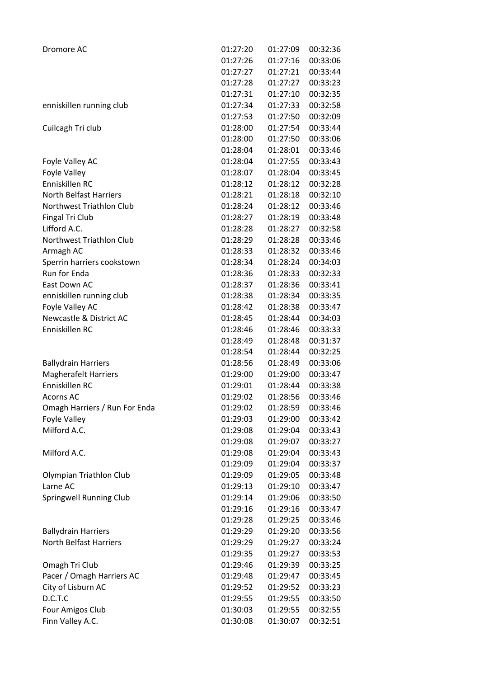| Dromore AC                         | 01:27:20 | 01:27:09 | 00:32:36 |
|------------------------------------|----------|----------|----------|
|                                    | 01:27:26 | 01:27:16 | 00:33:06 |
|                                    | 01:27:27 | 01:27:21 | 00:33:44 |
|                                    | 01:27:28 | 01:27:27 | 00:33:23 |
|                                    | 01:27:31 | 01:27:10 | 00:32:35 |
| enniskillen running club           | 01:27:34 | 01:27:33 | 00:32:58 |
|                                    | 01:27:53 | 01:27:50 | 00:32:09 |
| Cuilcagh Tri club                  | 01:28:00 | 01:27:54 | 00:33:44 |
|                                    | 01:28:00 | 01:27:50 | 00:33:06 |
|                                    | 01:28:04 | 01:28:01 | 00:33:46 |
| Foyle Valley AC                    | 01:28:04 | 01:27:55 | 00:33:43 |
| Foyle Valley                       | 01:28:07 | 01:28:04 | 00:33:45 |
| Enniskillen RC                     | 01:28:12 | 01:28:12 | 00:32:28 |
| <b>North Belfast Harriers</b>      | 01:28:21 | 01:28:18 | 00:32:10 |
| Northwest Triathlon Club           | 01:28:24 | 01:28:12 | 00:33:46 |
| <b>Fingal Tri Club</b>             | 01:28:27 | 01:28:19 | 00:33:48 |
| Lifford A.C.                       | 01:28:28 | 01:28:27 | 00:32:58 |
| Northwest Triathlon Club           | 01:28:29 | 01:28:28 | 00:33:46 |
| Armagh AC                          | 01:28:33 | 01:28:32 | 00:33:46 |
| Sperrin harriers cookstown         | 01:28:34 | 01:28:24 | 00:34:03 |
| Run for Enda                       | 01:28:36 | 01:28:33 | 00:32:33 |
| East Down AC                       | 01:28:37 | 01:28:36 | 00:33:41 |
| enniskillen running club           | 01:28:38 | 01:28:34 | 00:33:35 |
| Foyle Valley AC                    | 01:28:42 | 01:28:38 | 00:33:47 |
| <b>Newcastle &amp; District AC</b> | 01:28:45 | 01:28:44 | 00:34:03 |
| Enniskillen RC                     | 01:28:46 | 01:28:46 | 00:33:33 |
|                                    | 01:28:49 | 01:28:48 | 00:31:37 |
|                                    | 01:28:54 | 01:28:44 | 00:32:25 |
| <b>Ballydrain Harriers</b>         | 01:28:56 | 01:28:49 | 00:33:06 |
| <b>Magherafelt Harriers</b>        | 01:29:00 | 01:29:00 | 00:33:47 |
| Enniskillen RC                     | 01:29:01 | 01:28:44 | 00:33:38 |
| <b>Acorns AC</b>                   | 01:29:02 | 01:28:56 | 00:33:46 |
| Omagh Harriers / Run For Enda      | 01:29:02 | 01:28:59 | 00:33:46 |
| Foyle Valley                       | 01:29:03 | 01:29:00 | 00:33:42 |
| Milford A.C.                       | 01:29:08 | 01:29:04 | 00:33:43 |
|                                    | 01:29:08 | 01:29:07 | 00:33:27 |
| Milford A.C.                       | 01:29:08 | 01:29:04 | 00:33:43 |
|                                    | 01:29:09 | 01:29:04 | 00:33:37 |
| Olympian Triathlon Club            | 01:29:09 | 01:29:05 | 00:33:48 |
| Larne AC                           | 01:29:13 | 01:29:10 | 00:33:47 |
| Springwell Running Club            | 01:29:14 | 01:29:06 | 00:33:50 |
|                                    | 01:29:16 | 01:29:16 | 00:33:47 |
|                                    | 01:29:28 | 01:29:25 | 00:33:46 |
| <b>Ballydrain Harriers</b>         | 01:29:29 | 01:29:20 | 00:33:56 |
| <b>North Belfast Harriers</b>      | 01:29:29 | 01:29:27 | 00:33:24 |
|                                    | 01:29:35 | 01:29:27 | 00:33:53 |
|                                    |          |          |          |
| Omagh Tri Club                     | 01:29:46 | 01:29:39 | 00:33:25 |
| Pacer / Omagh Harriers AC          | 01:29:48 | 01:29:47 | 00:33:45 |
| City of Lisburn AC                 | 01:29:52 | 01:29:52 | 00:33:23 |
| D.C.T.C                            | 01:29:55 | 01:29:55 | 00:33:50 |
| Four Amigos Club                   | 01:30:03 | 01:29:55 | 00:32:55 |
| Finn Valley A.C.                   | 01:30:08 | 01:30:07 | 00:32:51 |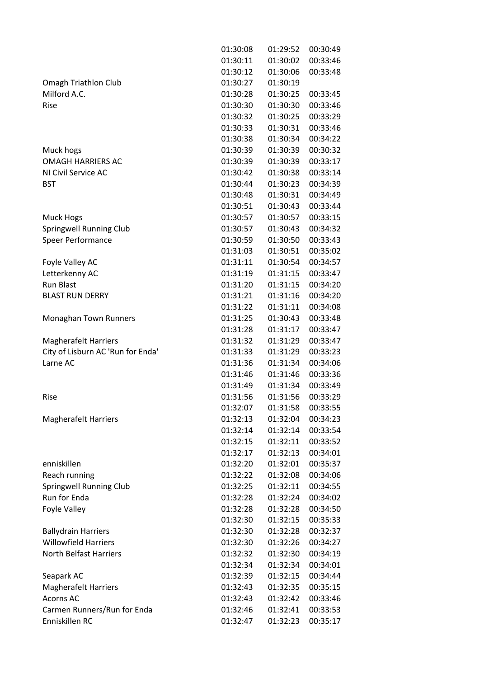|                                   | 01:30:08 | 01:29:52 | 00:30:49 |
|-----------------------------------|----------|----------|----------|
|                                   | 01:30:11 | 01:30:02 | 00:33:46 |
|                                   | 01:30:12 | 01:30:06 | 00:33:48 |
| Omagh Triathlon Club              | 01:30:27 | 01:30:19 |          |
| Milford A.C.                      | 01:30:28 | 01:30:25 | 00:33:45 |
| Rise                              | 01:30:30 | 01:30:30 | 00:33:46 |
|                                   | 01:30:32 | 01:30:25 | 00:33:29 |
|                                   | 01:30:33 | 01:30:31 | 00:33:46 |
|                                   | 01:30:38 | 01:30:34 | 00:34:22 |
| Muck hogs                         | 01:30:39 | 01:30:39 | 00:30:32 |
| <b>OMAGH HARRIERS AC</b>          | 01:30:39 | 01:30:39 | 00:33:17 |
| NI Civil Service AC               | 01:30:42 | 01:30:38 | 00:33:14 |
| <b>BST</b>                        | 01:30:44 | 01:30:23 | 00:34:39 |
|                                   | 01:30:48 | 01:30:31 | 00:34:49 |
|                                   | 01:30:51 |          |          |
|                                   |          | 01:30:43 | 00:33:44 |
| Muck Hogs                         | 01:30:57 | 01:30:57 | 00:33:15 |
| Springwell Running Club           | 01:30:57 | 01:30:43 | 00:34:32 |
| Speer Performance                 | 01:30:59 | 01:30:50 | 00:33:43 |
|                                   | 01:31:03 | 01:30:51 | 00:35:02 |
| Foyle Valley AC                   | 01:31:11 | 01:30:54 | 00:34:57 |
| Letterkenny AC                    | 01:31:19 | 01:31:15 | 00:33:47 |
| <b>Run Blast</b>                  | 01:31:20 | 01:31:15 | 00:34:20 |
| <b>BLAST RUN DERRY</b>            | 01:31:21 | 01:31:16 | 00:34:20 |
|                                   | 01:31:22 | 01:31:11 | 00:34:08 |
| Monaghan Town Runners             | 01:31:25 | 01:30:43 | 00:33:48 |
|                                   | 01:31:28 | 01:31:17 | 00:33:47 |
| <b>Magherafelt Harriers</b>       | 01:31:32 | 01:31:29 | 00:33:47 |
| City of Lisburn AC 'Run for Enda' | 01:31:33 | 01:31:29 | 00:33:23 |
| Larne AC                          | 01:31:36 | 01:31:34 | 00:34:06 |
|                                   | 01:31:46 | 01:31:46 | 00:33:36 |
|                                   | 01:31:49 | 01:31:34 | 00:33:49 |
| Rise                              | 01:31:56 | 01:31:56 | 00:33:29 |
|                                   | 01:32:07 | 01:31:58 |          |
|                                   |          |          | 00:33:55 |
| <b>Magherafelt Harriers</b>       | 01:32:13 | 01:32:04 | 00:34:23 |
|                                   | 01:32:14 | 01:32:14 | 00:33:54 |
|                                   | 01:32:15 | 01:32:11 | 00:33:52 |
|                                   | 01:32:17 | 01:32:13 | 00:34:01 |
| enniskillen                       | 01:32:20 | 01:32:01 | 00:35:37 |
| Reach running                     | 01:32:22 | 01:32:08 | 00:34:06 |
| <b>Springwell Running Club</b>    | 01:32:25 | 01:32:11 | 00:34:55 |
| Run for Enda                      | 01:32:28 | 01:32:24 | 00:34:02 |
| Foyle Valley                      | 01:32:28 | 01:32:28 | 00:34:50 |
|                                   | 01:32:30 | 01:32:15 | 00:35:33 |
| <b>Ballydrain Harriers</b>        | 01:32:30 | 01:32:28 | 00:32:37 |
| <b>Willowfield Harriers</b>       | 01:32:30 | 01:32:26 | 00:34:27 |
| <b>North Belfast Harriers</b>     | 01:32:32 | 01:32:30 | 00:34:19 |
|                                   | 01:32:34 | 01:32:34 | 00:34:01 |
| Seapark AC                        | 01:32:39 | 01:32:15 | 00:34:44 |
| <b>Magherafelt Harriers</b>       | 01:32:43 | 01:32:35 | 00:35:15 |
| <b>Acorns AC</b>                  | 01:32:43 | 01:32:42 | 00:33:46 |
| Carmen Runners/Run for Enda       | 01:32:46 | 01:32:41 | 00:33:53 |
| Enniskillen RC                    | 01:32:47 | 01:32:23 | 00:35:17 |
|                                   |          |          |          |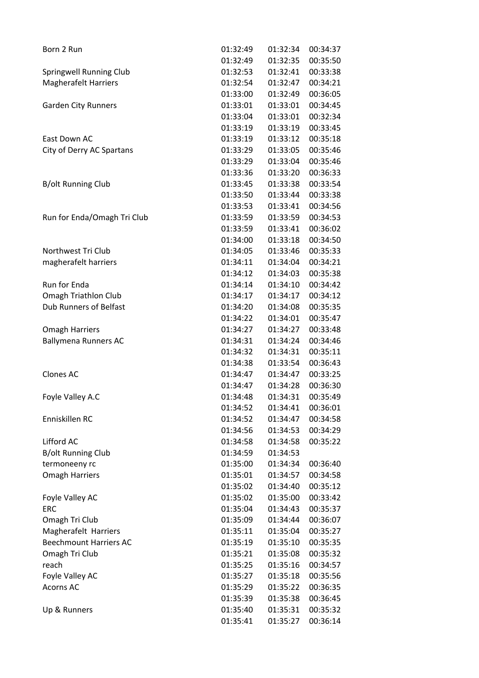| Born 2 Run                    | 01:32:49 | 01:32:34 | 00:34:37 |
|-------------------------------|----------|----------|----------|
|                               | 01:32:49 | 01:32:35 | 00:35:50 |
| Springwell Running Club       | 01:32:53 | 01:32:41 | 00:33:38 |
| <b>Magherafelt Harriers</b>   | 01:32:54 | 01:32:47 | 00:34:21 |
|                               | 01:33:00 | 01:32:49 | 00:36:05 |
| <b>Garden City Runners</b>    | 01:33:01 | 01:33:01 | 00:34:45 |
|                               | 01:33:04 | 01:33:01 | 00:32:34 |
|                               | 01:33:19 | 01:33:19 | 00:33:45 |
| East Down AC                  | 01:33:19 | 01:33:12 | 00:35:18 |
| City of Derry AC Spartans     | 01:33:29 | 01:33:05 | 00:35:46 |
|                               | 01:33:29 | 01:33:04 | 00:35:46 |
|                               | 01:33:36 | 01:33:20 | 00:36:33 |
| <b>B/olt Running Club</b>     | 01:33:45 | 01:33:38 | 00:33:54 |
|                               | 01:33:50 | 01:33:44 | 00:33:38 |
|                               | 01:33:53 | 01:33:41 | 00:34:56 |
| Run for Enda/Omagh Tri Club   | 01:33:59 | 01:33:59 | 00:34:53 |
|                               | 01:33:59 | 01:33:41 | 00:36:02 |
|                               | 01:34:00 | 01:33:18 | 00:34:50 |
| Northwest Tri Club            | 01:34:05 | 01:33:46 | 00:35:33 |
| magherafelt harriers          | 01:34:11 | 01:34:04 | 00:34:21 |
|                               | 01:34:12 | 01:34:03 | 00:35:38 |
| Run for Enda                  | 01:34:14 | 01:34:10 | 00:34:42 |
| <b>Omagh Triathlon Club</b>   | 01:34:17 | 01:34:17 | 00:34:12 |
| <b>Dub Runners of Belfast</b> | 01:34:20 | 01:34:08 | 00:35:35 |
|                               | 01:34:22 | 01:34:01 | 00:35:47 |
| <b>Omagh Harriers</b>         | 01:34:27 | 01:34:27 | 00:33:48 |
| <b>Ballymena Runners AC</b>   | 01:34:31 | 01:34:24 | 00:34:46 |
|                               | 01:34:32 | 01:34:31 | 00:35:11 |
|                               | 01:34:38 | 01:33:54 | 00:36:43 |
| <b>Clones AC</b>              | 01:34:47 | 01:34:47 | 00:33:25 |
|                               | 01:34:47 | 01:34:28 | 00:36:30 |
| Foyle Valley A.C              | 01:34:48 | 01:34:31 | 00:35:49 |
|                               | 01:34:52 | 01:34:41 | 00:36:01 |
| Enniskillen RC                | 01:34:52 | 01:34:47 | 00:34:58 |
|                               | 01:34:56 | 01:34:53 | 00:34:29 |
| Lifford AC                    | 01:34:58 | 01:34:58 | 00:35:22 |
| <b>B/olt Running Club</b>     | 01:34:59 | 01:34:53 |          |
| termoneeny rc                 | 01:35:00 | 01:34:34 | 00:36:40 |
| <b>Omagh Harriers</b>         | 01:35:01 | 01:34:57 | 00:34:58 |
|                               | 01:35:02 | 01:34:40 | 00:35:12 |
| Foyle Valley AC               | 01:35:02 | 01:35:00 | 00:33:42 |
| <b>ERC</b>                    | 01:35:04 | 01:34:43 | 00:35:37 |
| Omagh Tri Club                | 01:35:09 | 01:34:44 | 00:36:07 |
| Magherafelt Harriers          | 01:35:11 | 01:35:04 | 00:35:27 |
| <b>Beechmount Harriers AC</b> | 01:35:19 | 01:35:10 | 00:35:35 |
| Omagh Tri Club                | 01:35:21 | 01:35:08 | 00:35:32 |
| reach                         | 01:35:25 | 01:35:16 | 00:34:57 |
| Foyle Valley AC               | 01:35:27 | 01:35:18 | 00:35:56 |
| <b>Acorns AC</b>              | 01:35:29 | 01:35:22 | 00:36:35 |
|                               | 01:35:39 | 01:35:38 | 00:36:45 |
| Up & Runners                  | 01:35:40 | 01:35:31 | 00:35:32 |
|                               | 01:35:41 | 01:35:27 | 00:36:14 |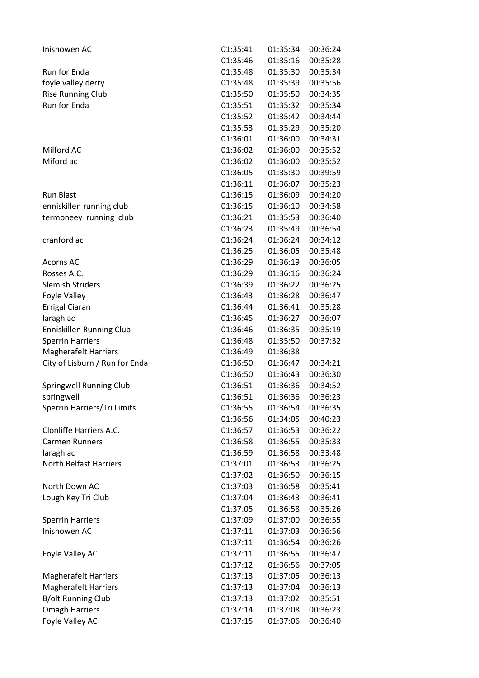| Inishowen AC                            | 01:35:41             | 01:35:34 | 00:36:24 |
|-----------------------------------------|----------------------|----------|----------|
|                                         | 01:35:46             | 01:35:16 | 00:35:28 |
| Run for Enda                            | 01:35:48             | 01:35:30 | 00:35:34 |
| foyle valley derry                      | 01:35:48             | 01:35:39 | 00:35:56 |
| <b>Rise Running Club</b>                | 01:35:50             | 01:35:50 | 00:34:35 |
| Run for Enda                            | 01:35:51             | 01:35:32 | 00:35:34 |
|                                         | 01:35:52             | 01:35:42 | 00:34:44 |
|                                         | 01:35:53             | 01:35:29 | 00:35:20 |
|                                         | 01:36:01             | 01:36:00 | 00:34:31 |
| Milford AC                              | 01:36:02             | 01:36:00 | 00:35:52 |
| Miford ac                               | 01:36:02             | 01:36:00 | 00:35:52 |
|                                         | 01:36:05             | 01:35:30 | 00:39:59 |
|                                         | 01:36:11             | 01:36:07 | 00:35:23 |
| <b>Run Blast</b>                        | 01:36:15             | 01:36:09 | 00:34:20 |
| enniskillen running club                | 01:36:15             | 01:36:10 | 00:34:58 |
| termoneey running club                  | 01:36:21             | 01:35:53 | 00:36:40 |
|                                         | 01:36:23             | 01:35:49 | 00:36:54 |
| cranford ac                             | 01:36:24             | 01:36:24 | 00:34:12 |
|                                         | 01:36:25             | 01:36:05 | 00:35:48 |
| Acorns AC                               | 01:36:29             | 01:36:19 | 00:36:05 |
| Rosses A.C.                             | 01:36:29             | 01:36:16 | 00:36:24 |
| <b>Slemish Striders</b>                 | 01:36:39             | 01:36:22 | 00:36:25 |
| Foyle Valley                            | 01:36:43             | 01:36:28 | 00:36:47 |
| Errigal Ciaran                          | 01:36:44             | 01:36:41 | 00:35:28 |
| laragh ac                               | 01:36:45             | 01:36:27 | 00:36:07 |
| Enniskillen Running Club                | 01:36:46             | 01:36:35 | 00:35:19 |
| <b>Sperrin Harriers</b>                 | 01:36:48             | 01:35:50 | 00:37:32 |
| <b>Magherafelt Harriers</b>             | 01:36:49             | 01:36:38 |          |
| City of Lisburn / Run for Enda          | 01:36:50             | 01:36:47 | 00:34:21 |
|                                         | 01:36:50             | 01:36:43 | 00:36:30 |
| Springwell Running Club                 | 01:36:51             | 01:36:36 | 00:34:52 |
| springwell                              | 01:36:51             | 01:36:36 | 00:36:23 |
| Sperrin Harriers/Tri Limits             | 01:36:55             | 01:36:54 | 00:36:35 |
|                                         | 01:36:56             | 01:34:05 | 00:40:23 |
| Clonliffe Harriers A.C.                 | 01:36:57             | 01:36:53 | 00:36:22 |
| <b>Carmen Runners</b>                   | 01:36:58             | 01:36:55 | 00:35:33 |
| laragh ac                               | 01:36:59             | 01:36:58 | 00:33:48 |
| North Belfast Harriers                  | 01:37:01             | 01:36:53 | 00:36:25 |
|                                         | 01:37:02             | 01:36:50 | 00:36:15 |
| North Down AC                           | 01:37:03             | 01:36:58 | 00:35:41 |
| Lough Key Tri Club                      | 01:37:04             | 01:36:43 | 00:36:41 |
|                                         |                      | 01:36:58 | 00:35:26 |
|                                         | 01:37:05<br>01:37:09 |          |          |
| <b>Sperrin Harriers</b><br>Inishowen AC |                      | 01:37:00 | 00:36:55 |
|                                         | 01:37:11             | 01:37:03 | 00:36:56 |
|                                         | 01:37:11             | 01:36:54 | 00:36:26 |
| Foyle Valley AC                         | 01:37:11             | 01:36:55 | 00:36:47 |
|                                         | 01:37:12             | 01:36:56 | 00:37:05 |
| <b>Magherafelt Harriers</b>             | 01:37:13             | 01:37:05 | 00:36:13 |
| <b>Magherafelt Harriers</b>             | 01:37:13             | 01:37:04 | 00:36:13 |
| <b>B/olt Running Club</b>               | 01:37:13             | 01:37:02 | 00:35:51 |
| <b>Omagh Harriers</b>                   | 01:37:14             | 01:37:08 | 00:36:23 |
| Foyle Valley AC                         | 01:37:15             | 01:37:06 | 00:36:40 |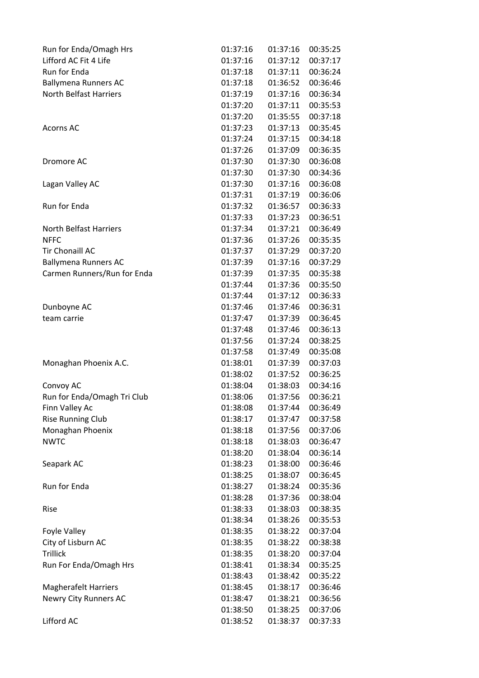| Run for Enda/Omagh Hrs        | 01:37:16 | 01:37:16 | 00:35:25 |
|-------------------------------|----------|----------|----------|
| Lifford AC Fit 4 Life         | 01:37:16 | 01:37:12 | 00:37:17 |
| Run for Enda                  | 01:37:18 | 01:37:11 | 00:36:24 |
| Ballymena Runners AC          | 01:37:18 | 01:36:52 | 00:36:46 |
| <b>North Belfast Harriers</b> | 01:37:19 | 01:37:16 | 00:36:34 |
|                               | 01:37:20 | 01:37:11 | 00:35:53 |
|                               | 01:37:20 | 01:35:55 | 00:37:18 |
| <b>Acorns AC</b>              | 01:37:23 | 01:37:13 | 00:35:45 |
|                               | 01:37:24 | 01:37:15 | 00:34:18 |
|                               | 01:37:26 | 01:37:09 | 00:36:35 |
| Dromore AC                    | 01:37:30 | 01:37:30 | 00:36:08 |
|                               | 01:37:30 | 01:37:30 | 00:34:36 |
| Lagan Valley AC               | 01:37:30 | 01:37:16 | 00:36:08 |
|                               | 01:37:31 | 01:37:19 | 00:36:06 |
| Run for Enda                  | 01:37:32 | 01:36:57 | 00:36:33 |
|                               | 01:37:33 | 01:37:23 | 00:36:51 |
| <b>North Belfast Harriers</b> | 01:37:34 | 01:37:21 | 00:36:49 |
| <b>NFFC</b>                   | 01:37:36 | 01:37:26 | 00:35:35 |
| <b>Tir Chonaill AC</b>        | 01:37:37 | 01:37:29 | 00:37:20 |
| <b>Ballymena Runners AC</b>   | 01:37:39 | 01:37:16 | 00:37:29 |
| Carmen Runners/Run for Enda   | 01:37:39 | 01:37:35 | 00:35:38 |
|                               | 01:37:44 | 01:37:36 | 00:35:50 |
|                               | 01:37:44 | 01:37:12 | 00:36:33 |
| Dunboyne AC                   | 01:37:46 | 01:37:46 | 00:36:31 |
| team carrie                   | 01:37:47 | 01:37:39 | 00:36:45 |
|                               | 01:37:48 | 01:37:46 | 00:36:13 |
|                               | 01:37:56 | 01:37:24 | 00:38:25 |
|                               | 01:37:58 | 01:37:49 | 00:35:08 |
| Monaghan Phoenix A.C.         | 01:38:01 | 01:37:39 | 00:37:03 |
|                               | 01:38:02 | 01:37:52 | 00:36:25 |
| Convoy AC                     | 01:38:04 | 01:38:03 | 00:34:16 |
| Run for Enda/Omagh Tri Club   | 01:38:06 | 01:37:56 | 00:36:21 |
| Finn Valley Ac                | 01:38:08 | 01:37:44 | 00:36:49 |
| <b>Rise Running Club</b>      | 01:38:17 | 01:37:47 | 00:37:58 |
| Monaghan Phoenix              | 01:38:18 | 01:37:56 | 00:37:06 |
| <b>NWTC</b>                   | 01:38:18 | 01:38:03 | 00:36:47 |
|                               |          |          |          |
|                               | 01:38:20 | 01:38:04 | 00:36:14 |
| Seapark AC                    | 01:38:23 | 01:38:00 | 00:36:46 |
| Run for Enda                  | 01:38:25 | 01:38:07 | 00:36:45 |
|                               | 01:38:27 | 01:38:24 | 00:35:36 |
|                               | 01:38:28 | 01:37:36 | 00:38:04 |
| Rise                          | 01:38:33 | 01:38:03 | 00:38:35 |
|                               | 01:38:34 | 01:38:26 | 00:35:53 |
| Foyle Valley                  | 01:38:35 | 01:38:22 | 00:37:04 |
| City of Lisburn AC            | 01:38:35 | 01:38:22 | 00:38:38 |
| <b>Trillick</b>               | 01:38:35 | 01:38:20 | 00:37:04 |
| Run For Enda/Omagh Hrs        | 01:38:41 | 01:38:34 | 00:35:25 |
|                               | 01:38:43 | 01:38:42 | 00:35:22 |
| <b>Magherafelt Harriers</b>   | 01:38:45 | 01:38:17 | 00:36:46 |
| Newry City Runners AC         | 01:38:47 | 01:38:21 | 00:36:56 |
|                               | 01:38:50 | 01:38:25 | 00:37:06 |
| Lifford AC                    | 01:38:52 | 01:38:37 | 00:37:33 |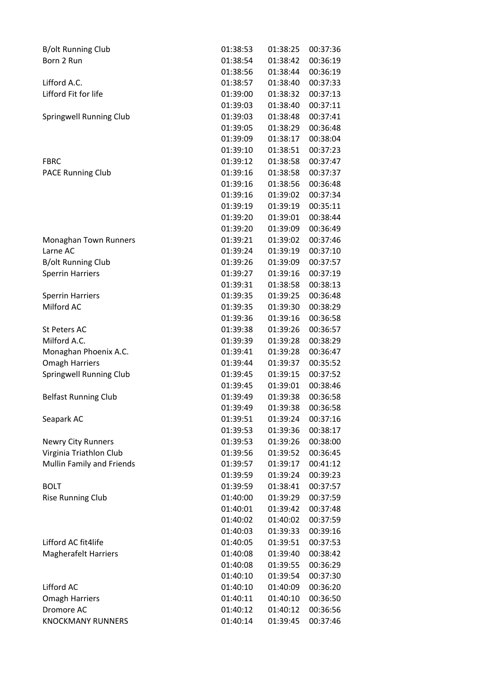| <b>B/olt Running Club</b>   | 01:38:53 | 01:38:25 | 00:37:36 |
|-----------------------------|----------|----------|----------|
| Born 2 Run                  | 01:38:54 | 01:38:42 | 00:36:19 |
|                             | 01:38:56 | 01:38:44 | 00:36:19 |
| Lifford A.C.                | 01:38:57 | 01:38:40 | 00:37:33 |
| Lifford Fit for life        | 01:39:00 | 01:38:32 | 00:37:13 |
|                             | 01:39:03 | 01:38:40 | 00:37:11 |
| Springwell Running Club     | 01:39:03 | 01:38:48 | 00:37:41 |
|                             | 01:39:05 | 01:38:29 | 00:36:48 |
|                             | 01:39:09 | 01:38:17 | 00:38:04 |
|                             | 01:39:10 | 01:38:51 | 00:37:23 |
| <b>FBRC</b>                 | 01:39:12 | 01:38:58 | 00:37:47 |
| <b>PACE Running Club</b>    | 01:39:16 | 01:38:58 | 00:37:37 |
|                             | 01:39:16 | 01:38:56 | 00:36:48 |
|                             | 01:39:16 | 01:39:02 | 00:37:34 |
|                             | 01:39:19 | 01:39:19 | 00:35:11 |
|                             | 01:39:20 | 01:39:01 | 00:38:44 |
|                             | 01:39:20 | 01:39:09 | 00:36:49 |
| Monaghan Town Runners       | 01:39:21 | 01:39:02 | 00:37:46 |
| Larne AC                    | 01:39:24 | 01:39:19 | 00:37:10 |
| <b>B/olt Running Club</b>   | 01:39:26 | 01:39:09 | 00:37:57 |
| <b>Sperrin Harriers</b>     | 01:39:27 | 01:39:16 | 00:37:19 |
|                             | 01:39:31 | 01:38:58 | 00:38:13 |
| <b>Sperrin Harriers</b>     | 01:39:35 | 01:39:25 | 00:36:48 |
| Milford AC                  | 01:39:35 | 01:39:30 | 00:38:29 |
|                             | 01:39:36 | 01:39:16 | 00:36:58 |
| <b>St Peters AC</b>         | 01:39:38 | 01:39:26 | 00:36:57 |
| Milford A.C.                | 01:39:39 | 01:39:28 | 00:38:29 |
| Monaghan Phoenix A.C.       | 01:39:41 | 01:39:28 | 00:36:47 |
| <b>Omagh Harriers</b>       | 01:39:44 | 01:39:37 | 00:35:52 |
| Springwell Running Club     | 01:39:45 | 01:39:15 | 00:37:52 |
|                             | 01:39:45 | 01:39:01 | 00:38:46 |
| <b>Belfast Running Club</b> | 01:39:49 | 01:39:38 | 00:36:58 |
|                             | 01:39:49 | 01:39:38 | 00:36:58 |
| Seapark AC                  | 01:39:51 | 01:39:24 | 00:37:16 |
|                             | 01:39:53 | 01:39:36 | 00:38:17 |
| <b>Newry City Runners</b>   | 01:39:53 | 01:39:26 | 00:38:00 |
| Virginia Triathlon Club     | 01:39:56 | 01:39:52 | 00:36:45 |
| Mullin Family and Friends   | 01:39:57 | 01:39:17 | 00:41:12 |
|                             | 01:39:59 | 01:39:24 | 00:39:23 |
| <b>BOLT</b>                 | 01:39:59 | 01:38:41 | 00:37:57 |
| <b>Rise Running Club</b>    | 01:40:00 | 01:39:29 | 00:37:59 |
|                             | 01:40:01 | 01:39:42 | 00:37:48 |
|                             | 01:40:02 | 01:40:02 | 00:37:59 |
|                             | 01:40:03 | 01:39:33 | 00:39:16 |
| Lifford AC fit4life         | 01:40:05 | 01:39:51 | 00:37:53 |
| <b>Magherafelt Harriers</b> | 01:40:08 | 01:39:40 | 00:38:42 |
|                             | 01:40:08 | 01:39:55 | 00:36:29 |
|                             | 01:40:10 | 01:39:54 | 00:37:30 |
| Lifford AC                  | 01:40:10 | 01:40:09 | 00:36:20 |
| <b>Omagh Harriers</b>       | 01:40:11 | 01:40:10 | 00:36:50 |
| Dromore AC                  | 01:40:12 | 01:40:12 | 00:36:56 |
| <b>KNOCKMANY RUNNERS</b>    | 01:40:14 | 01:39:45 | 00:37:46 |
|                             |          |          |          |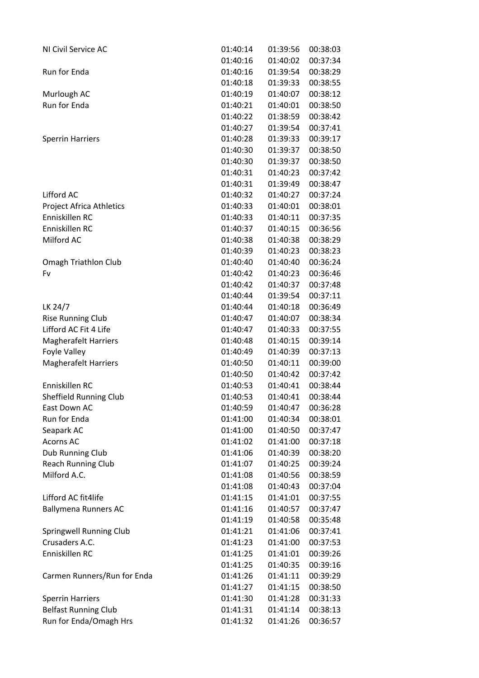| NI Civil Service AC             | 01:40:14 | 01:39:56 | 00:38:03 |
|---------------------------------|----------|----------|----------|
|                                 | 01:40:16 | 01:40:02 | 00:37:34 |
| Run for Enda                    | 01:40:16 | 01:39:54 | 00:38:29 |
|                                 | 01:40:18 | 01:39:33 | 00:38:55 |
| Murlough AC                     | 01:40:19 | 01:40:07 | 00:38:12 |
| Run for Enda                    | 01:40:21 | 01:40:01 | 00:38:50 |
|                                 | 01:40:22 | 01:38:59 | 00:38:42 |
|                                 | 01:40:27 | 01:39:54 | 00:37:41 |
| <b>Sperrin Harriers</b>         | 01:40:28 | 01:39:33 | 00:39:17 |
|                                 | 01:40:30 | 01:39:37 | 00:38:50 |
|                                 |          |          |          |
|                                 | 01:40:30 | 01:39:37 | 00:38:50 |
|                                 | 01:40:31 | 01:40:23 | 00:37:42 |
|                                 | 01:40:31 | 01:39:49 | 00:38:47 |
| Lifford AC                      | 01:40:32 | 01:40:27 | 00:37:24 |
| <b>Project Africa Athletics</b> | 01:40:33 | 01:40:01 | 00:38:01 |
| Enniskillen RC                  | 01:40:33 | 01:40:11 | 00:37:35 |
| Enniskillen RC                  | 01:40:37 | 01:40:15 | 00:36:56 |
| Milford AC                      | 01:40:38 | 01:40:38 | 00:38:29 |
|                                 | 01:40:39 | 01:40:23 | 00:38:23 |
| Omagh Triathlon Club            | 01:40:40 | 01:40:40 | 00:36:24 |
| Fv                              | 01:40:42 | 01:40:23 | 00:36:46 |
|                                 | 01:40:42 | 01:40:37 | 00:37:48 |
|                                 | 01:40:44 | 01:39:54 | 00:37:11 |
| LK 24/7                         | 01:40:44 | 01:40:18 | 00:36:49 |
| <b>Rise Running Club</b>        | 01:40:47 | 01:40:07 | 00:38:34 |
| Lifford AC Fit 4 Life           | 01:40:47 | 01:40:33 | 00:37:55 |
| <b>Magherafelt Harriers</b>     | 01:40:48 | 01:40:15 | 00:39:14 |
| Foyle Valley                    | 01:40:49 | 01:40:39 | 00:37:13 |
| <b>Magherafelt Harriers</b>     | 01:40:50 | 01:40:11 | 00:39:00 |
|                                 | 01:40:50 | 01:40:42 | 00:37:42 |
| Enniskillen RC                  | 01:40:53 | 01:40:41 | 00:38:44 |
| <b>Sheffield Running Club</b>   | 01:40:53 | 01:40:41 | 00:38:44 |
| East Down AC                    | 01:40:59 | 01:40:47 | 00:36:28 |
| <b>Run for Enda</b>             | 01:41:00 | 01:40:34 | 00:38:01 |
| Seapark AC                      | 01:41:00 | 01:40:50 | 00:37:47 |
| <b>Acorns AC</b>                | 01:41:02 | 01:41:00 | 00:37:18 |
| Dub Running Club                | 01:41:06 | 01:40:39 | 00:38:20 |
| <b>Reach Running Club</b>       | 01:41:07 | 01:40:25 | 00:39:24 |
| Milford A.C.                    | 01:41:08 | 01:40:56 | 00:38:59 |
|                                 | 01:41:08 | 01:40:43 | 00:37:04 |
| Lifford AC fit4life             | 01:41:15 | 01:41:01 | 00:37:55 |
|                                 |          |          |          |
| <b>Ballymena Runners AC</b>     | 01:41:16 | 01:40:57 | 00:37:47 |
|                                 | 01:41:19 | 01:40:58 | 00:35:48 |
| Springwell Running Club         | 01:41:21 | 01:41:06 | 00:37:41 |
| Crusaders A.C.                  | 01:41:23 | 01:41:00 | 00:37:53 |
| Enniskillen RC                  | 01:41:25 | 01:41:01 | 00:39:26 |
|                                 | 01:41:25 | 01:40:35 | 00:39:16 |
| Carmen Runners/Run for Enda     | 01:41:26 | 01:41:11 | 00:39:29 |
|                                 | 01:41:27 | 01:41:15 | 00:38:50 |
| <b>Sperrin Harriers</b>         | 01:41:30 | 01:41:28 | 00:31:33 |
| <b>Belfast Running Club</b>     | 01:41:31 | 01:41:14 | 00:38:13 |
| Run for Enda/Omagh Hrs          | 01:41:32 | 01:41:26 | 00:36:57 |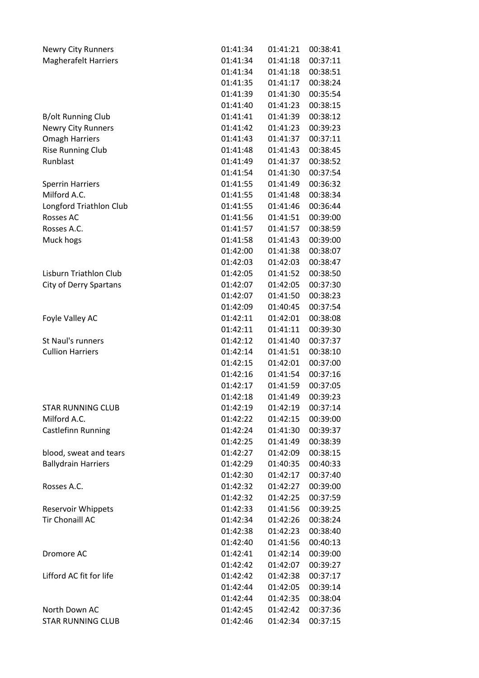| <b>Newry City Runners</b>     | 01:41:34 | 01:41:21 | 00:38:41 |
|-------------------------------|----------|----------|----------|
| <b>Magherafelt Harriers</b>   | 01:41:34 | 01:41:18 | 00:37:11 |
|                               | 01:41:34 | 01:41:18 | 00:38:51 |
|                               | 01:41:35 | 01:41:17 | 00:38:24 |
|                               | 01:41:39 | 01:41:30 | 00:35:54 |
|                               | 01:41:40 | 01:41:23 | 00:38:15 |
| B/olt Running Club            | 01:41:41 | 01:41:39 | 00:38:12 |
| <b>Newry City Runners</b>     | 01:41:42 | 01:41:23 | 00:39:23 |
| <b>Omagh Harriers</b>         | 01:41:43 | 01:41:37 | 00:37:11 |
| <b>Rise Running Club</b>      | 01:41:48 | 01:41:43 | 00:38:45 |
| Runblast                      | 01:41:49 | 01:41:37 | 00:38:52 |
|                               | 01:41:54 | 01:41:30 | 00:37:54 |
| <b>Sperrin Harriers</b>       | 01:41:55 | 01:41:49 | 00:36:32 |
| Milford A.C.                  | 01:41:55 | 01:41:48 | 00:38:34 |
| Longford Triathlon Club       | 01:41:55 | 01:41:46 | 00:36:44 |
| Rosses AC                     | 01:41:56 | 01:41:51 | 00:39:00 |
| Rosses A.C.                   | 01:41:57 | 01:41:57 | 00:38:59 |
| Muck hogs                     | 01:41:58 | 01:41:43 | 00:39:00 |
|                               | 01:42:00 | 01:41:38 | 00:38:07 |
|                               | 01:42:03 | 01:42:03 | 00:38:47 |
| <b>Lisburn Triathlon Club</b> | 01:42:05 | 01:41:52 | 00:38:50 |
| City of Derry Spartans        | 01:42:07 | 01:42:05 | 00:37:30 |
|                               | 01:42:07 | 01:41:50 | 00:38:23 |
|                               | 01:42:09 | 01:40:45 | 00:37:54 |
| Foyle Valley AC               | 01:42:11 | 01:42:01 | 00:38:08 |
|                               | 01:42:11 | 01:41:11 | 00:39:30 |
| St Naul's runners             | 01:42:12 | 01:41:40 | 00:37:37 |
| <b>Cullion Harriers</b>       | 01:42:14 | 01:41:51 | 00:38:10 |
|                               | 01:42:15 | 01:42:01 | 00:37:00 |
|                               | 01:42:16 | 01:41:54 | 00:37:16 |
|                               | 01:42:17 | 01:41:59 | 00:37:05 |
|                               | 01:42:18 | 01:41:49 | 00:39:23 |
| STAR RUNNING CLUB             | 01:42:19 | 01:42:19 | 00:37:14 |
| Milford A.C.                  | 01:42:22 | 01:42:15 | 00:39:00 |
| Castlefinn Running            | 01:42:24 | 01:41:30 | 00:39:37 |
|                               | 01:42:25 | 01:41:49 | 00:38:39 |
| blood, sweat and tears        | 01:42:27 | 01:42:09 | 00:38:15 |
| <b>Ballydrain Harriers</b>    | 01:42:29 | 01:40:35 | 00:40:33 |
|                               | 01:42:30 | 01:42:17 | 00:37:40 |
| Rosses A.C.                   | 01:42:32 | 01:42:27 | 00:39:00 |
|                               | 01:42:32 | 01:42:25 | 00:37:59 |
| <b>Reservoir Whippets</b>     | 01:42:33 | 01:41:56 | 00:39:25 |
| <b>Tir Chonaill AC</b>        | 01:42:34 | 01:42:26 | 00:38:24 |
|                               | 01:42:38 | 01:42:23 | 00:38:40 |
|                               | 01:42:40 | 01:41:56 | 00:40:13 |
|                               | 01:42:41 | 01:42:14 | 00:39:00 |
| Dromore AC                    | 01:42:42 | 01:42:07 | 00:39:27 |
| Lifford AC fit for life       |          |          |          |
|                               | 01:42:42 | 01:42:38 | 00:37:17 |
|                               | 01:42:44 | 01:42:05 | 00:39:14 |
| North Down AC                 | 01:42:44 | 01:42:35 | 00:38:04 |
|                               | 01:42:45 | 01:42:42 | 00:37:36 |
| <b>STAR RUNNING CLUB</b>      | 01:42:46 | 01:42:34 | 00:37:15 |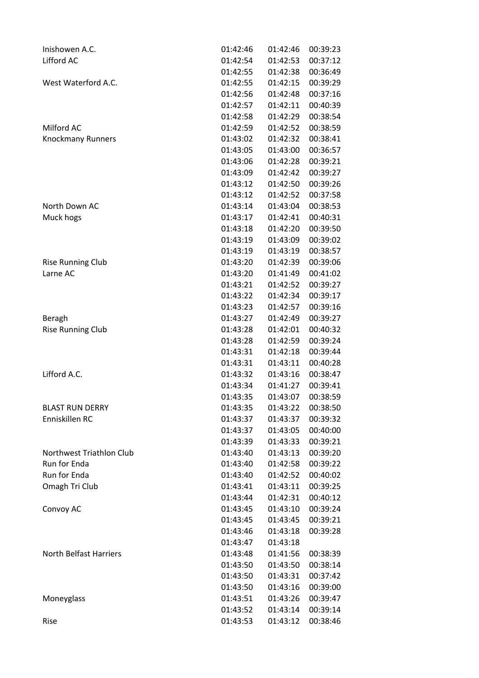| Inishowen A.C.                | 01:42:46             | 01:42:46             | 00:39:23 |
|-------------------------------|----------------------|----------------------|----------|
| Lifford AC                    | 01:42:54             | 01:42:53             | 00:37:12 |
|                               | 01:42:55             | 01:42:38             | 00:36:49 |
| West Waterford A.C.           | 01:42:55             | 01:42:15             | 00:39:29 |
|                               | 01:42:56             | 01:42:48             | 00:37:16 |
|                               | 01:42:57             | 01:42:11             | 00:40:39 |
|                               | 01:42:58             | 01:42:29             | 00:38:54 |
| Milford AC                    | 01:42:59             | 01:42:52             | 00:38:59 |
| <b>Knockmany Runners</b>      | 01:43:02             | 01:42:32             | 00:38:41 |
|                               | 01:43:05             | 01:43:00             | 00:36:57 |
|                               | 01:43:06             | 01:42:28             | 00:39:21 |
|                               | 01:43:09             | 01:42:42             | 00:39:27 |
|                               | 01:43:12             | 01:42:50             | 00:39:26 |
|                               | 01:43:12             | 01:42:52             | 00:37:58 |
| North Down AC                 | 01:43:14             | 01:43:04             | 00:38:53 |
| Muck hogs                     | 01:43:17             | 01:42:41             | 00:40:31 |
|                               | 01:43:18             | 01:42:20             | 00:39:50 |
|                               | 01:43:19             | 01:43:09             | 00:39:02 |
|                               | 01:43:19             | 01:43:19             | 00:38:57 |
| <b>Rise Running Club</b>      | 01:43:20             | 01:42:39             | 00:39:06 |
| Larne AC                      | 01:43:20             | 01:41:49             | 00:41:02 |
|                               | 01:43:21             | 01:42:52             | 00:39:27 |
|                               | 01:43:22             | 01:42:34             | 00:39:17 |
|                               | 01:43:23             | 01:42:57             | 00:39:16 |
| Beragh                        | 01:43:27             | 01:42:49             | 00:39:27 |
| <b>Rise Running Club</b>      | 01:43:28             | 01:42:01             | 00:40:32 |
|                               | 01:43:28             | 01:42:59             | 00:39:24 |
|                               | 01:43:31             | 01:42:18             | 00:39:44 |
|                               | 01:43:31             | 01:43:11             | 00:40:28 |
| Lifford A.C.                  | 01:43:32             | 01:43:16             | 00:38:47 |
|                               | 01:43:34             | 01:41:27             | 00:39:41 |
|                               | 01:43:35             | 01:43:07             | 00:38:59 |
| <b>BLAST RUN DERRY</b>        | 01:43:35             | 01:43:22             | 00:38:50 |
| Enniskillen RC                | 01:43:37             | 01:43:37             | 00:39:32 |
|                               | 01:43:37             | 01:43:05             | 00:40:00 |
|                               | 01:43:39             | 01:43:33             | 00:39:21 |
| Northwest Triathlon Club      | 01:43:40             | 01:43:13             | 00:39:20 |
| Run for Enda                  | 01:43:40             | 01:42:58             | 00:39:22 |
| <b>Run for Enda</b>           | 01:43:40             | 01:42:52             | 00:40:02 |
| Omagh Tri Club                | 01:43:41             | 01:43:11             | 00:39:25 |
|                               | 01:43:44             | 01:42:31             | 00:40:12 |
| Convoy AC                     | 01:43:45             | 01:43:10             | 00:39:24 |
|                               | 01:43:45             | 01:43:45             | 00:39:21 |
|                               | 01:43:46             | 01:43:18             | 00:39:28 |
|                               | 01:43:47             | 01:43:18             |          |
| <b>North Belfast Harriers</b> | 01:43:48             | 01:41:56             | 00:38:39 |
|                               | 01:43:50             | 01:43:50             | 00:38:14 |
|                               |                      |                      |          |
|                               | 01:43:50             | 01:43:31             | 00:37:42 |
|                               | 01:43:50<br>01:43:51 | 01:43:16<br>01:43:26 | 00:39:00 |
| Moneyglass                    |                      |                      | 00:39:47 |
|                               | 01:43:52             | 01:43:14             | 00:39:14 |
| Rise                          | 01:43:53             | 01:43:12             | 00:38:46 |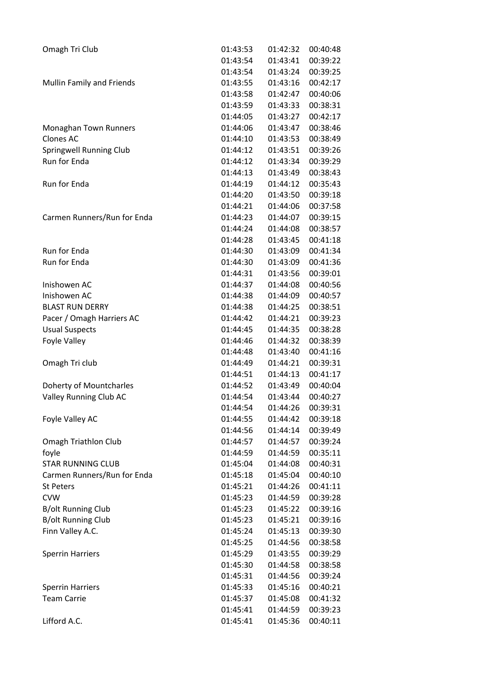| Omagh Tri Club                    | 01:43:53 | 01:42:32 | 00:40:48 |
|-----------------------------------|----------|----------|----------|
|                                   | 01:43:54 | 01:43:41 | 00:39:22 |
|                                   | 01:43:54 | 01:43:24 | 00:39:25 |
| Mullin Family and Friends         | 01:43:55 | 01:43:16 | 00:42:17 |
|                                   | 01:43:58 | 01:42:47 | 00:40:06 |
|                                   | 01:43:59 | 01:43:33 | 00:38:31 |
|                                   | 01:44:05 | 01:43:27 | 00:42:17 |
| Monaghan Town Runners             | 01:44:06 | 01:43:47 | 00:38:46 |
| <b>Clones AC</b>                  | 01:44:10 | 01:43:53 | 00:38:49 |
| Springwell Running Club           | 01:44:12 | 01:43:51 | 00:39:26 |
| Run for Enda                      | 01:44:12 | 01:43:34 | 00:39:29 |
|                                   | 01:44:13 | 01:43:49 | 00:38:43 |
| Run for Enda                      | 01:44:19 | 01:44:12 | 00:35:43 |
|                                   | 01:44:20 | 01:43:50 | 00:39:18 |
|                                   | 01:44:21 | 01:44:06 | 00:37:58 |
| Carmen Runners/Run for Enda       | 01:44:23 | 01:44:07 | 00:39:15 |
|                                   | 01:44:24 | 01:44:08 | 00:38:57 |
|                                   | 01:44:28 | 01:43:45 | 00:41:18 |
| Run for Enda                      | 01:44:30 | 01:43:09 | 00:41:34 |
| <b>Run for Enda</b>               | 01:44:30 | 01:43:09 | 00:41:36 |
|                                   | 01:44:31 | 01:43:56 | 00:39:01 |
| Inishowen AC                      | 01:44:37 | 01:44:08 | 00:40:56 |
| Inishowen AC                      | 01:44:38 | 01:44:09 | 00:40:57 |
| <b>BLAST RUN DERRY</b>            | 01:44:38 | 01:44:25 | 00:38:51 |
| Pacer / Omagh Harriers AC         | 01:44:42 | 01:44:21 | 00:39:23 |
| <b>Usual Suspects</b>             | 01:44:45 | 01:44:35 | 00:38:28 |
| Foyle Valley                      | 01:44:46 | 01:44:32 | 00:38:39 |
|                                   | 01:44:48 | 01:43:40 | 00:41:16 |
| Omagh Tri club                    | 01:44:49 | 01:44:21 | 00:39:31 |
|                                   | 01:44:51 | 01:44:13 | 00:41:17 |
| Doherty of Mountcharles           | 01:44:52 | 01:43:49 | 00:40:04 |
| Valley Running Club AC            | 01:44:54 | 01:43:44 | 00:40:27 |
|                                   | 01:44:54 | 01:44:26 | 00:39:31 |
| Foyle Valley AC                   | 01:44:55 | 01:44:42 | 00:39:18 |
|                                   | 01:44:56 | 01:44:14 | 00:39:49 |
| <b>Omagh Triathlon Club</b>       | 01:44:57 | 01:44:57 | 00:39:24 |
|                                   | 01:44:59 | 01:44:59 | 00:35:11 |
| foyle<br><b>STAR RUNNING CLUB</b> | 01:45:04 | 01:44:08 | 00:40:31 |
|                                   | 01:45:18 | 01:45:04 | 00:40:10 |
| Carmen Runners/Run for Enda       | 01:45:21 | 01:44:26 | 00:41:11 |
| <b>St Peters</b><br><b>CVW</b>    | 01:45:23 |          |          |
|                                   | 01:45:23 | 01:44:59 | 00:39:28 |
| <b>B/olt Running Club</b>         |          | 01:45:22 | 00:39:16 |
| <b>B/olt Running Club</b>         | 01:45:23 | 01:45:21 | 00:39:16 |
| Finn Valley A.C.                  | 01:45:24 | 01:45:13 | 00:39:30 |
|                                   | 01:45:25 | 01:44:56 | 00:38:58 |
| <b>Sperrin Harriers</b>           | 01:45:29 | 01:43:55 | 00:39:29 |
|                                   | 01:45:30 | 01:44:58 | 00:38:58 |
|                                   | 01:45:31 | 01:44:56 | 00:39:24 |
| <b>Sperrin Harriers</b>           | 01:45:33 | 01:45:16 | 00:40:21 |
| <b>Team Carrie</b>                | 01:45:37 | 01:45:08 | 00:41:32 |
|                                   | 01:45:41 | 01:44:59 | 00:39:23 |
| Lifford A.C.                      | 01:45:41 | 01:45:36 | 00:40:11 |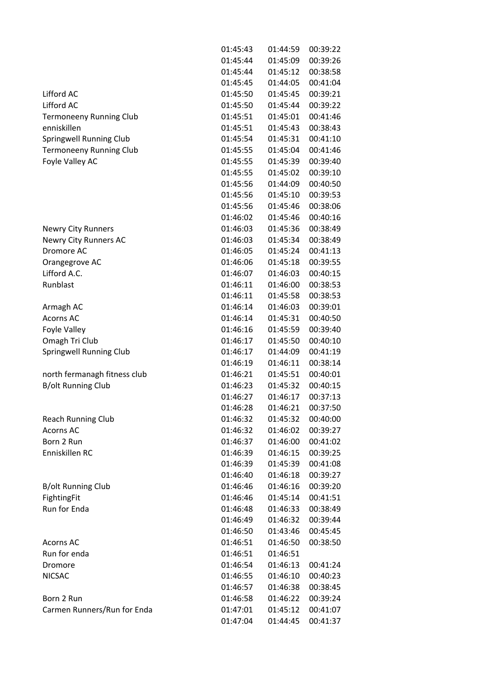|                                | 01:45:43 | 01:44:59 | 00:39:22 |
|--------------------------------|----------|----------|----------|
|                                | 01:45:44 | 01:45:09 | 00:39:26 |
|                                | 01:45:44 | 01:45:12 | 00:38:58 |
|                                | 01:45:45 | 01:44:05 | 00:41:04 |
| Lifford AC                     | 01:45:50 | 01:45:45 | 00:39:21 |
| Lifford AC                     | 01:45:50 | 01:45:44 | 00:39:22 |
| <b>Termoneeny Running Club</b> | 01:45:51 | 01:45:01 | 00:41:46 |
| enniskillen                    | 01:45:51 | 01:45:43 | 00:38:43 |
| Springwell Running Club        | 01:45:54 | 01:45:31 | 00:41:10 |
| <b>Termoneeny Running Club</b> | 01:45:55 | 01:45:04 | 00:41:46 |
| Foyle Valley AC                | 01:45:55 | 01:45:39 | 00:39:40 |
|                                | 01:45:55 | 01:45:02 | 00:39:10 |
|                                | 01:45:56 | 01:44:09 | 00:40:50 |
|                                | 01:45:56 | 01:45:10 | 00:39:53 |
|                                | 01:45:56 | 01:45:46 | 00:38:06 |
|                                | 01:46:02 | 01:45:46 | 00:40:16 |
| <b>Newry City Runners</b>      | 01:46:03 | 01:45:36 | 00:38:49 |
| <b>Newry City Runners AC</b>   | 01:46:03 | 01:45:34 | 00:38:49 |
| Dromore AC                     | 01:46:05 | 01:45:24 | 00:41:13 |
| Orangegrove AC                 | 01:46:06 | 01:45:18 | 00:39:55 |
| Lifford A.C.                   | 01:46:07 | 01:46:03 | 00:40:15 |
| Runblast                       | 01:46:11 | 01:46:00 | 00:38:53 |
|                                | 01:46:11 | 01:45:58 | 00:38:53 |
| Armagh AC                      | 01:46:14 | 01:46:03 | 00:39:01 |
| <b>Acorns AC</b>               | 01:46:14 | 01:45:31 | 00:40:50 |
| Foyle Valley                   | 01:46:16 | 01:45:59 | 00:39:40 |
| Omagh Tri Club                 | 01:46:17 | 01:45:50 | 00:40:10 |
| Springwell Running Club        | 01:46:17 | 01:44:09 | 00:41:19 |
|                                | 01:46:19 | 01:46:11 | 00:38:14 |
| north fermanagh fitness club   | 01:46:21 | 01:45:51 | 00:40:01 |
| <b>B/olt Running Club</b>      | 01:46:23 | 01:45:32 | 00:40:15 |
|                                | 01:46:27 | 01:46:17 | 00:37:13 |
|                                | 01:46:28 | 01:46:21 | 00:37:50 |
| <b>Reach Running Club</b>      | 01:46:32 | 01:45:32 | 00:40:00 |
| <b>Acorns AC</b>               | 01:46:32 | 01:46:02 | 00:39:27 |
| Born 2 Run                     | 01:46:37 | 01:46:00 | 00:41:02 |
| Enniskillen RC                 | 01:46:39 | 01:46:15 | 00:39:25 |
|                                | 01:46:39 | 01:45:39 | 00:41:08 |
|                                | 01:46:40 | 01:46:18 | 00:39:27 |
| <b>B/olt Running Club</b>      | 01:46:46 | 01:46:16 | 00:39:20 |
| FightingFit                    | 01:46:46 | 01:45:14 | 00:41:51 |
| Run for Enda                   | 01:46:48 | 01:46:33 | 00:38:49 |
|                                | 01:46:49 | 01:46:32 | 00:39:44 |
|                                | 01:46:50 | 01:43:46 | 00:45:45 |
| <b>Acorns AC</b>               | 01:46:51 | 01:46:50 | 00:38:50 |
| Run for enda                   | 01:46:51 | 01:46:51 |          |
| Dromore                        | 01:46:54 | 01:46:13 | 00:41:24 |
| <b>NICSAC</b>                  | 01:46:55 | 01:46:10 | 00:40:23 |
|                                | 01:46:57 | 01:46:38 | 00:38:45 |
| Born 2 Run                     | 01:46:58 | 01:46:22 | 00:39:24 |
|                                | 01:47:01 |          | 00:41:07 |
| Carmen Runners/Run for Enda    |          | 01:45:12 |          |
|                                | 01:47:04 | 01:44:45 | 00:41:37 |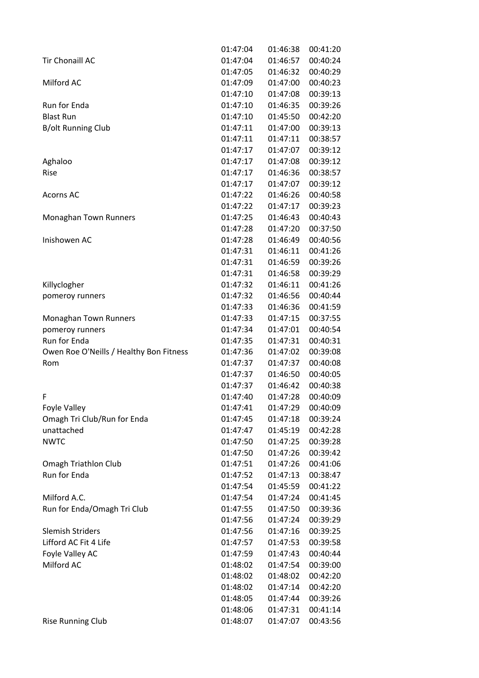|                                         | 01:47:04 | 01:46:38 | 00:41:20 |
|-----------------------------------------|----------|----------|----------|
| <b>Tir Chonaill AC</b>                  | 01:47:04 | 01:46:57 | 00:40:24 |
|                                         | 01:47:05 | 01:46:32 | 00:40:29 |
| Milford AC                              | 01:47:09 | 01:47:00 | 00:40:23 |
|                                         | 01:47:10 | 01:47:08 | 00:39:13 |
| Run for Enda                            | 01:47:10 | 01:46:35 | 00:39:26 |
| <b>Blast Run</b>                        | 01:47:10 | 01:45:50 | 00:42:20 |
| <b>B/olt Running Club</b>               | 01:47:11 | 01:47:00 | 00:39:13 |
|                                         | 01:47:11 | 01:47:11 | 00:38:57 |
|                                         | 01:47:17 | 01:47:07 | 00:39:12 |
| Aghaloo                                 | 01:47:17 | 01:47:08 | 00:39:12 |
| Rise                                    | 01:47:17 | 01:46:36 | 00:38:57 |
|                                         | 01:47:17 | 01:47:07 | 00:39:12 |
| <b>Acorns AC</b>                        | 01:47:22 | 01:46:26 | 00:40:58 |
|                                         | 01:47:22 | 01:47:17 | 00:39:23 |
| Monaghan Town Runners                   | 01:47:25 | 01:46:43 | 00:40:43 |
|                                         | 01:47:28 | 01:47:20 | 00:37:50 |
| Inishowen AC                            | 01:47:28 | 01:46:49 | 00:40:56 |
|                                         | 01:47:31 | 01:46:11 | 00:41:26 |
|                                         | 01:47:31 | 01:46:59 | 00:39:26 |
|                                         | 01:47:31 | 01:46:58 | 00:39:29 |
| Killyclogher                            | 01:47:32 | 01:46:11 | 00:41:26 |
| pomeroy runners                         | 01:47:32 | 01:46:56 | 00:40:44 |
|                                         | 01:47:33 | 01:46:36 | 00:41:59 |
| Monaghan Town Runners                   | 01:47:33 | 01:47:15 | 00:37:55 |
| pomeroy runners                         | 01:47:34 | 01:47:01 | 00:40:54 |
| Run for Enda                            | 01:47:35 | 01:47:31 | 00:40:31 |
| Owen Roe O'Neills / Healthy Bon Fitness | 01:47:36 | 01:47:02 | 00:39:08 |
| Rom                                     | 01:47:37 | 01:47:37 | 00:40:08 |
|                                         | 01:47:37 | 01:46:50 | 00:40:05 |
|                                         | 01:47:37 | 01:46:42 | 00:40:38 |
| F                                       | 01:47:40 | 01:47:28 | 00:40:09 |
| <b>Foyle Valley</b>                     | 01:47:41 | 01:47:29 | 00:40:09 |
| Omagh Tri Club/Run for Enda             | 01:47:45 | 01:47:18 | 00:39:24 |
| unattached                              | 01:47:47 | 01:45:19 | 00:42:28 |
| <b>NWTC</b>                             | 01:47:50 | 01:47:25 | 00:39:28 |
|                                         | 01:47:50 | 01:47:26 | 00:39:42 |
| <b>Omagh Triathlon Club</b>             | 01:47:51 | 01:47:26 | 00:41:06 |
| <b>Run for Enda</b>                     | 01:47:52 | 01:47:13 | 00:38:47 |
|                                         | 01:47:54 | 01:45:59 | 00:41:22 |
| Milford A.C.                            | 01:47:54 | 01:47:24 | 00:41:45 |
| Run for Enda/Omagh Tri Club             | 01:47:55 | 01:47:50 | 00:39:36 |
|                                         | 01:47:56 | 01:47:24 | 00:39:29 |
| <b>Slemish Striders</b>                 | 01:47:56 | 01:47:16 | 00:39:25 |
| Lifford AC Fit 4 Life                   | 01:47:57 | 01:47:53 | 00:39:58 |
| Foyle Valley AC                         | 01:47:59 | 01:47:43 | 00:40:44 |
| Milford AC                              | 01:48:02 | 01:47:54 | 00:39:00 |
|                                         | 01:48:02 | 01:48:02 | 00:42:20 |
|                                         | 01:48:02 | 01:47:14 | 00:42:20 |
|                                         | 01:48:05 | 01:47:44 | 00:39:26 |
|                                         | 01:48:06 | 01:47:31 | 00:41:14 |
| <b>Rise Running Club</b>                | 01:48:07 | 01:47:07 | 00:43:56 |
|                                         |          |          |          |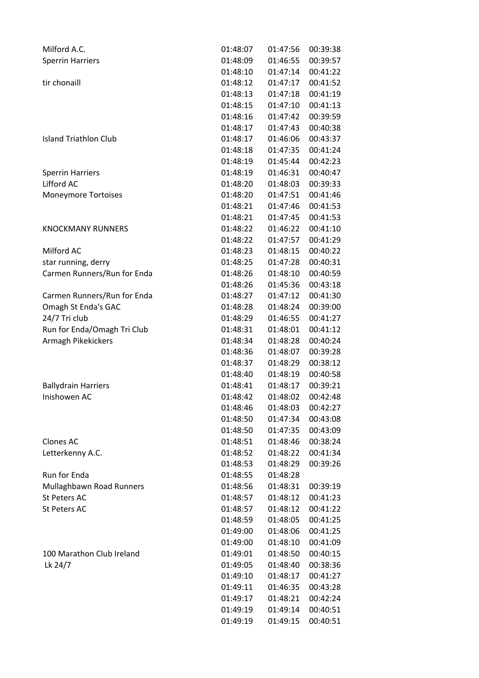| Milford A.C.                | 01:48:07 | 01:47:56 | 00:39:38 |
|-----------------------------|----------|----------|----------|
| <b>Sperrin Harriers</b>     | 01:48:09 | 01:46:55 | 00:39:57 |
|                             | 01:48:10 | 01:47:14 | 00:41:22 |
| tir chonaill                | 01:48:12 | 01:47:17 | 00:41:52 |
|                             | 01:48:13 | 01:47:18 | 00:41:19 |
|                             | 01:48:15 | 01:47:10 | 00:41:13 |
|                             | 01:48:16 | 01:47:42 | 00:39:59 |
|                             | 01:48:17 | 01:47:43 | 00:40:38 |
| Island Triathlon Club       | 01:48:17 | 01:46:06 | 00:43:37 |
|                             | 01:48:18 | 01:47:35 | 00:41:24 |
|                             | 01:48:19 | 01:45:44 | 00:42:23 |
| <b>Sperrin Harriers</b>     | 01:48:19 | 01:46:31 | 00:40:47 |
| Lifford AC                  | 01:48:20 | 01:48:03 | 00:39:33 |
| <b>Moneymore Tortoises</b>  | 01:48:20 | 01:47:51 | 00:41:46 |
|                             | 01:48:21 | 01:47:46 | 00:41:53 |
|                             | 01:48:21 | 01:47:45 | 00:41:53 |
| <b>KNOCKMANY RUNNERS</b>    | 01:48:22 | 01:46:22 | 00:41:10 |
|                             | 01:48:22 | 01:47:57 | 00:41:29 |
| Milford AC                  | 01:48:23 | 01:48:15 | 00:40:22 |
| star running, derry         | 01:48:25 | 01:47:28 | 00:40:31 |
| Carmen Runners/Run for Enda | 01:48:26 | 01:48:10 | 00:40:59 |
|                             | 01:48:26 | 01:45:36 | 00:43:18 |
| Carmen Runners/Run for Enda | 01:48:27 | 01:47:12 | 00:41:30 |
| Omagh St Enda's GAC         | 01:48:28 | 01:48:24 | 00:39:00 |
| 24/7 Tri club               | 01:48:29 | 01:46:55 | 00:41:27 |
| Run for Enda/Omagh Tri Club | 01:48:31 | 01:48:01 | 00:41:12 |
| Armagh Pikekickers          | 01:48:34 | 01:48:28 | 00:40:24 |
|                             | 01:48:36 | 01:48:07 | 00:39:28 |
|                             | 01:48:37 | 01:48:29 | 00:38:12 |
|                             | 01:48:40 | 01:48:19 | 00:40:58 |
| <b>Ballydrain Harriers</b>  | 01:48:41 | 01:48:17 | 00:39:21 |
| Inishowen AC                | 01:48:42 | 01:48:02 | 00:42:48 |
|                             | 01:48:46 | 01:48:03 | 00:42:27 |
|                             | 01:48:50 | 01:47:34 | 00:43:08 |
|                             | 01:48:50 | 01:47:35 | 00:43:09 |
| Clones AC                   | 01:48:51 | 01:48:46 | 00:38:24 |
| Letterkenny A.C.            | 01:48:52 | 01:48:22 | 00:41:34 |
|                             | 01:48:53 | 01:48:29 | 00:39:26 |
| Run for Enda                | 01:48:55 | 01:48:28 |          |
| Mullaghbawn Road Runners    | 01:48:56 | 01:48:31 | 00:39:19 |
| <b>St Peters AC</b>         | 01:48:57 | 01:48:12 | 00:41:23 |
| St Peters AC                | 01:48:57 | 01:48:12 | 00:41:22 |
|                             | 01:48:59 | 01:48:05 | 00:41:25 |
|                             | 01:49:00 | 01:48:06 | 00:41:25 |
|                             | 01:49:00 | 01:48:10 | 00:41:09 |
| 100 Marathon Club Ireland   | 01:49:01 | 01:48:50 | 00:40:15 |
| Lk 24/7                     | 01:49:05 | 01:48:40 | 00:38:36 |
|                             | 01:49:10 | 01:48:17 | 00:41:27 |
|                             | 01:49:11 | 01:46:35 | 00:43:28 |
|                             | 01:49:17 | 01:48:21 | 00:42:24 |
|                             | 01:49:19 | 01:49:14 | 00:40:51 |
|                             | 01:49:19 | 01:49:15 | 00:40:51 |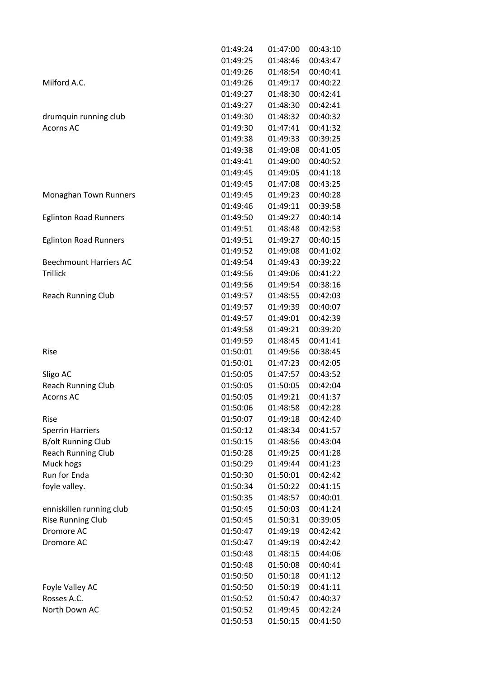|                               | 01:49:24 | 01:47:00 | 00:43:10 |
|-------------------------------|----------|----------|----------|
|                               | 01:49:25 | 01:48:46 | 00:43:47 |
|                               | 01:49:26 | 01:48:54 | 00:40:41 |
| Milford A.C.                  | 01:49:26 | 01:49:17 | 00:40:22 |
|                               | 01:49:27 | 01:48:30 | 00:42:41 |
|                               | 01:49:27 | 01:48:30 | 00:42:41 |
| drumquin running club         | 01:49:30 | 01:48:32 | 00:40:32 |
| <b>Acorns AC</b>              | 01:49:30 | 01:47:41 | 00:41:32 |
|                               | 01:49:38 | 01:49:33 | 00:39:25 |
|                               | 01:49:38 | 01:49:08 | 00:41:05 |
|                               | 01:49:41 | 01:49:00 | 00:40:52 |
|                               | 01:49:45 | 01:49:05 | 00:41:18 |
|                               | 01:49:45 | 01:47:08 | 00:43:25 |
| Monaghan Town Runners         | 01:49:45 | 01:49:23 | 00:40:28 |
|                               | 01:49:46 | 01:49:11 | 00:39:58 |
| <b>Eglinton Road Runners</b>  | 01:49:50 | 01:49:27 | 00:40:14 |
|                               | 01:49:51 | 01:48:48 | 00:42:53 |
| <b>Eglinton Road Runners</b>  | 01:49:51 | 01:49:27 | 00:40:15 |
|                               | 01:49:52 | 01:49:08 | 00:41:02 |
| <b>Beechmount Harriers AC</b> | 01:49:54 | 01:49:43 | 00:39:22 |
| <b>Trillick</b>               | 01:49:56 | 01:49:06 | 00:41:22 |
|                               | 01:49:56 | 01:49:54 | 00:38:16 |
| <b>Reach Running Club</b>     | 01:49:57 | 01:48:55 | 00:42:03 |
|                               | 01:49:57 | 01:49:39 | 00:40:07 |
|                               | 01:49:57 | 01:49:01 | 00:42:39 |
|                               | 01:49:58 | 01:49:21 | 00:39:20 |
|                               | 01:49:59 | 01:48:45 | 00:41:41 |
| Rise                          | 01:50:01 | 01:49:56 | 00:38:45 |
|                               | 01:50:01 | 01:47:23 | 00:42:05 |
| Sligo AC                      | 01:50:05 | 01:47:57 | 00:43:52 |
| <b>Reach Running Club</b>     | 01:50:05 | 01:50:05 | 00:42:04 |
| <b>Acorns AC</b>              | 01:50:05 | 01:49:21 | 00:41:37 |
|                               | 01:50:06 | 01:48:58 | 00:42:28 |
| Rise                          | 01:50:07 | 01:49:18 | 00:42:40 |
| <b>Sperrin Harriers</b>       | 01:50:12 | 01:48:34 | 00:41:57 |
| <b>B/olt Running Club</b>     | 01:50:15 | 01:48:56 | 00:43:04 |
| <b>Reach Running Club</b>     | 01:50:28 | 01:49:25 | 00:41:28 |
| Muck hogs                     | 01:50:29 | 01:49:44 | 00:41:23 |
| <b>Run for Enda</b>           | 01:50:30 | 01:50:01 | 00:42:42 |
| foyle valley.                 | 01:50:34 | 01:50:22 | 00:41:15 |
|                               | 01:50:35 | 01:48:57 | 00:40:01 |
| enniskillen running club      | 01:50:45 | 01:50:03 | 00:41:24 |
| <b>Rise Running Club</b>      | 01:50:45 | 01:50:31 | 00:39:05 |
| Dromore AC                    | 01:50:47 | 01:49:19 | 00:42:42 |
| Dromore AC                    | 01:50:47 | 01:49:19 | 00:42:42 |
|                               | 01:50:48 | 01:48:15 | 00:44:06 |
|                               | 01:50:48 | 01:50:08 | 00:40:41 |
|                               | 01:50:50 | 01:50:18 | 00:41:12 |
| Foyle Valley AC               | 01:50:50 | 01:50:19 | 00:41:11 |
| Rosses A.C.                   | 01:50:52 | 01:50:47 | 00:40:37 |
| North Down AC                 | 01:50:52 | 01:49:45 | 00:42:24 |
|                               | 01:50:53 | 01:50:15 | 00:41:50 |
|                               |          |          |          |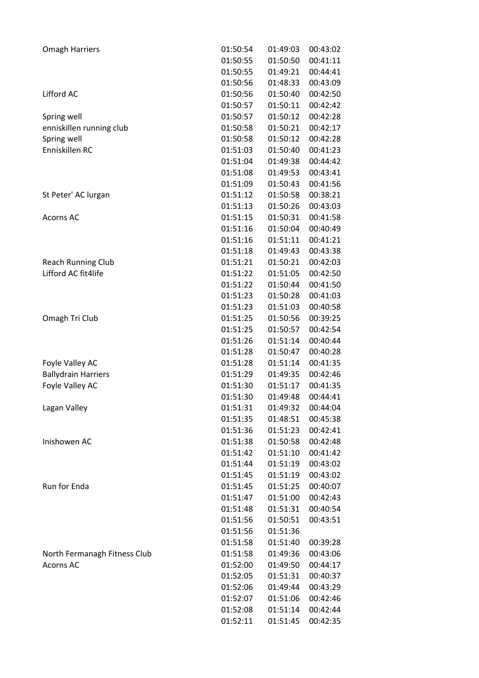| <b>Omagh Harriers</b>        | 01:50:54 | 01:49:03 | 00:43:02 |
|------------------------------|----------|----------|----------|
|                              | 01:50:55 | 01:50:50 | 00:41:11 |
|                              | 01:50:55 | 01:49:21 | 00:44:41 |
|                              | 01:50:56 | 01:48:33 | 00:43:09 |
| Lifford AC                   | 01:50:56 | 01:50:40 | 00:42:50 |
|                              | 01:50:57 | 01:50:11 | 00:42:42 |
| Spring well                  | 01:50:57 | 01:50:12 | 00:42:28 |
| enniskillen running club     | 01:50:58 | 01:50:21 | 00:42:17 |
| Spring well                  | 01:50:58 | 01:50:12 | 00:42:28 |
| Enniskillen RC               | 01:51:03 | 01:50:40 | 00:41:23 |
|                              | 01:51:04 | 01:49:38 | 00:44:42 |
|                              | 01:51:08 | 01:49:53 | 00:43:41 |
|                              | 01:51:09 | 01:50:43 | 00:41:56 |
| St Peter' AC lurgan          | 01:51:12 | 01:50:58 | 00:38:21 |
|                              | 01:51:13 | 01:50:26 | 00:43:03 |
| <b>Acorns AC</b>             | 01:51:15 | 01:50:31 | 00:41:58 |
|                              | 01:51:16 | 01:50:04 | 00:40:49 |
|                              | 01:51:16 | 01:51:11 | 00:41:21 |
|                              | 01:51:18 | 01:49:43 | 00:43:38 |
| <b>Reach Running Club</b>    | 01:51:21 | 01:50:21 | 00:42:03 |
| Lifford AC fit4life          | 01:51:22 | 01:51:05 | 00:42:50 |
|                              | 01:51:22 | 01:50:44 | 00:41:50 |
|                              | 01:51:23 | 01:50:28 | 00:41:03 |
|                              | 01:51:23 | 01:51:03 | 00:40:58 |
| Omagh Tri Club               | 01:51:25 | 01:50:56 | 00:39:25 |
|                              | 01:51:25 | 01:50:57 | 00:42:54 |
|                              | 01:51:26 | 01:51:14 | 00:40:44 |
|                              | 01:51:28 | 01:50:47 | 00:40:28 |
| Foyle Valley AC              | 01:51:28 | 01:51:14 | 00:41:35 |
| <b>Ballydrain Harriers</b>   | 01:51:29 | 01:49:35 | 00:42:46 |
| Foyle Valley AC              | 01:51:30 | 01:51:17 | 00:41:35 |
|                              | 01:51:30 | 01:49:48 | 00:44:41 |
| Lagan Valley                 | 01:51:31 | 01:49:32 | 00:44:04 |
|                              | 01:51:35 | 01:48:51 | 00:45:38 |
|                              | 01:51:36 | 01:51:23 | 00:42:41 |
| Inishowen AC                 | 01:51:38 | 01:50:58 | 00:42:48 |
|                              | 01:51:42 | 01:51:10 | 00:41:42 |
|                              | 01:51:44 | 01:51:19 | 00:43:02 |
|                              | 01:51:45 | 01:51:19 | 00:43:02 |
| <b>Run for Enda</b>          | 01:51:45 | 01:51:25 | 00:40:07 |
|                              | 01:51:47 | 01:51:00 | 00:42:43 |
|                              | 01:51:48 | 01:51:31 | 00:40:54 |
|                              | 01:51:56 |          |          |
|                              | 01:51:56 | 01:50:51 | 00:43:51 |
|                              |          | 01:51:36 |          |
|                              | 01:51:58 | 01:51:40 | 00:39:28 |
| North Fermanagh Fitness Club | 01:51:58 | 01:49:36 | 00:43:06 |
| <b>Acorns AC</b>             | 01:52:00 | 01:49:50 | 00:44:17 |
|                              | 01:52:05 | 01:51:31 | 00:40:37 |
|                              | 01:52:06 | 01:49:44 | 00:43:29 |
|                              | 01:52:07 | 01:51:06 | 00:42:46 |
|                              | 01:52:08 | 01:51:14 | 00:42:44 |
|                              | 01:52:11 | 01:51:45 | 00:42:35 |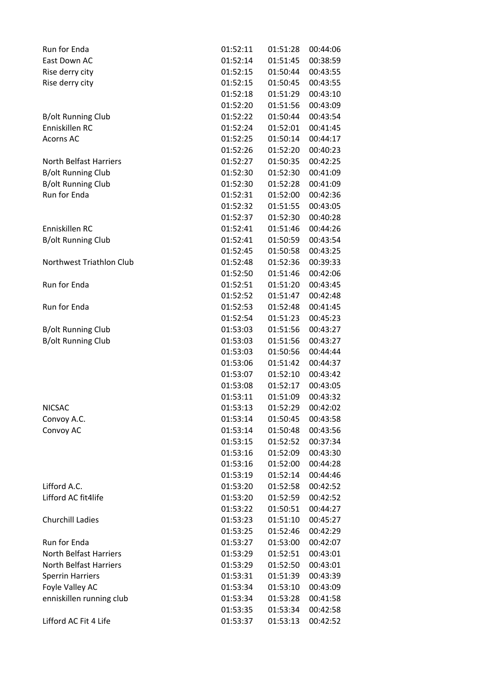| Run for Enda                  | 01:52:11 | 01:51:28 | 00:44:06 |
|-------------------------------|----------|----------|----------|
| East Down AC                  | 01:52:14 | 01:51:45 | 00:38:59 |
| Rise derry city               | 01:52:15 | 01:50:44 | 00:43:55 |
| Rise derry city               | 01:52:15 | 01:50:45 | 00:43:55 |
|                               | 01:52:18 | 01:51:29 | 00:43:10 |
|                               | 01:52:20 | 01:51:56 | 00:43:09 |
| <b>B/olt Running Club</b>     | 01:52:22 | 01:50:44 | 00:43:54 |
| Enniskillen RC                | 01:52:24 | 01:52:01 | 00:41:45 |
| <b>Acorns AC</b>              | 01:52:25 | 01:50:14 | 00:44:17 |
|                               | 01:52:26 | 01:52:20 | 00:40:23 |
| <b>North Belfast Harriers</b> | 01:52:27 | 01:50:35 | 00:42:25 |
| <b>B/olt Running Club</b>     | 01:52:30 | 01:52:30 | 00:41:09 |
| <b>B/olt Running Club</b>     | 01:52:30 | 01:52:28 | 00:41:09 |
| Run for Enda                  | 01:52:31 | 01:52:00 | 00:42:36 |
|                               | 01:52:32 | 01:51:55 | 00:43:05 |
|                               | 01:52:37 | 01:52:30 | 00:40:28 |
| Enniskillen RC                | 01:52:41 | 01:51:46 | 00:44:26 |
| <b>B/olt Running Club</b>     | 01:52:41 | 01:50:59 | 00:43:54 |
|                               | 01:52:45 | 01:50:58 | 00:43:25 |
| Northwest Triathlon Club      | 01:52:48 | 01:52:36 | 00:39:33 |
|                               | 01:52:50 | 01:51:46 | 00:42:06 |
| Run for Enda                  | 01:52:51 | 01:51:20 | 00:43:45 |
|                               | 01:52:52 | 01:51:47 | 00:42:48 |
| Run for Enda                  | 01:52:53 | 01:52:48 | 00:41:45 |
|                               | 01:52:54 | 01:51:23 | 00:45:23 |
| <b>B/olt Running Club</b>     | 01:53:03 | 01:51:56 | 00:43:27 |
| <b>B/olt Running Club</b>     | 01:53:03 | 01:51:56 | 00:43:27 |
|                               | 01:53:03 | 01:50:56 | 00:44:44 |
|                               | 01:53:06 | 01:51:42 | 00:44:37 |
|                               | 01:53:07 | 01:52:10 | 00:43:42 |
|                               | 01:53:08 | 01:52:17 | 00:43:05 |
|                               | 01:53:11 | 01:51:09 | 00:43:32 |
| <b>NICSAC</b>                 | 01:53:13 | 01:52:29 | 00:42:02 |
| Convoy A.C.                   | 01:53:14 | 01:50:45 | 00:43:58 |
| Convoy AC                     | 01:53:14 | 01:50:48 | 00:43:56 |
|                               | 01:53:15 | 01:52:52 | 00:37:34 |
|                               | 01:53:16 | 01:52:09 | 00:43:30 |
|                               | 01:53:16 | 01:52:00 | 00:44:28 |
|                               | 01:53:19 | 01:52:14 | 00:44:46 |
| Lifford A.C.                  | 01:53:20 | 01:52:58 | 00:42:52 |
| Lifford AC fit4life           | 01:53:20 | 01:52:59 | 00:42:52 |
|                               | 01:53:22 | 01:50:51 | 00:44:27 |
| <b>Churchill Ladies</b>       | 01:53:23 | 01:51:10 | 00:45:27 |
|                               | 01:53:25 | 01:52:46 | 00:42:29 |
| Run for Enda                  | 01:53:27 | 01:53:00 | 00:42:07 |
| <b>North Belfast Harriers</b> | 01:53:29 | 01:52:51 | 00:43:01 |
| North Belfast Harriers        | 01:53:29 | 01:52:50 | 00:43:01 |
| <b>Sperrin Harriers</b>       | 01:53:31 | 01:51:39 | 00:43:39 |
| Foyle Valley AC               | 01:53:34 | 01:53:10 | 00:43:09 |
| enniskillen running club      | 01:53:34 | 01:53:28 | 00:41:58 |
|                               | 01:53:35 | 01:53:34 | 00:42:58 |
| Lifford AC Fit 4 Life         | 01:53:37 | 01:53:13 | 00:42:52 |
|                               |          |          |          |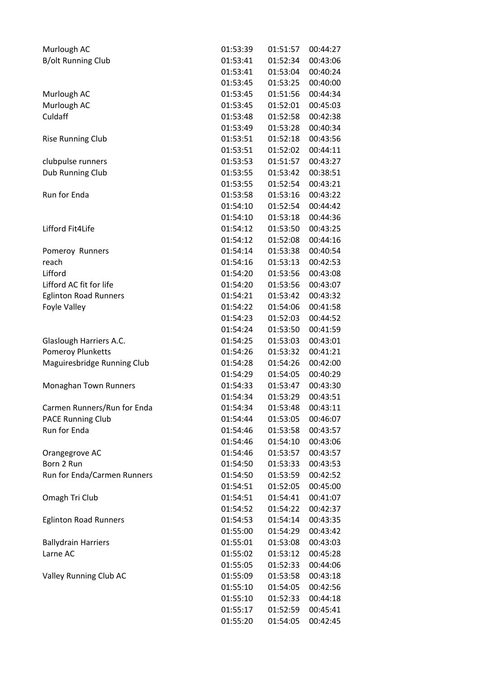| Murlough AC                  | 01:53:39             | 01:51:57 | 00:44:27             |
|------------------------------|----------------------|----------|----------------------|
| <b>B/olt Running Club</b>    | 01:53:41             | 01:52:34 | 00:43:06             |
|                              | 01:53:41             | 01:53:04 | 00:40:24             |
|                              | 01:53:45             | 01:53:25 | 00:40:00             |
| Murlough AC                  | 01:53:45             | 01:51:56 | 00:44:34             |
| Murlough AC                  | 01:53:45             | 01:52:01 | 00:45:03             |
| Culdaff                      | 01:53:48             | 01:52:58 | 00:42:38             |
|                              | 01:53:49             | 01:53:28 | 00:40:34             |
| <b>Rise Running Club</b>     | 01:53:51             | 01:52:18 | 00:43:56             |
|                              | 01:53:51             | 01:52:02 | 00:44:11             |
| clubpulse runners            | 01:53:53             | 01:51:57 | 00:43:27             |
| Dub Running Club             | 01:53:55             | 01:53:42 | 00:38:51             |
|                              | 01:53:55             | 01:52:54 | 00:43:21             |
| Run for Enda                 | 01:53:58             | 01:53:16 | 00:43:22             |
|                              | 01:54:10             | 01:52:54 | 00:44:42             |
|                              | 01:54:10             | 01:53:18 | 00:44:36             |
| Lifford Fit4Life             | 01:54:12             | 01:53:50 | 00:43:25             |
|                              | 01:54:12             | 01:52:08 | 00:44:16             |
| Pomeroy Runners              | 01:54:14             | 01:53:38 | 00:40:54             |
| reach                        | 01:54:16             | 01:53:13 | 00:42:53             |
| Lifford                      | 01:54:20             | 01:53:56 | 00:43:08             |
| Lifford AC fit for life      | 01:54:20             | 01:53:56 | 00:43:07             |
| <b>Eglinton Road Runners</b> | 01:54:21             | 01:53:42 | 00:43:32             |
| Foyle Valley                 | 01:54:22             | 01:54:06 | 00:41:58             |
|                              | 01:54:23             | 01:52:03 | 00:44:52             |
|                              | 01:54:24             | 01:53:50 | 00:41:59             |
| Glaslough Harriers A.C.      | 01:54:25             | 01:53:03 | 00:43:01             |
| <b>Pomeroy Plunketts</b>     | 01:54:26             | 01:53:32 | 00:41:21             |
|                              | 01:54:28             | 01:54:26 | 00:42:00             |
| Maguiresbridge Running Club  | 01:54:29             | 01:54:05 | 00:40:29             |
|                              |                      |          |                      |
| Monaghan Town Runners        | 01:54:33<br>01:54:34 | 01:53:47 | 00:43:30             |
|                              |                      | 01:53:29 | 00:43:51<br>00:43:11 |
| Carmen Runners/Run for Enda  | 01:54:34             | 01:53:48 |                      |
| <b>PACE Running Club</b>     | 01:54:44             | 01:53:05 | 00:46:07             |
| Run for Enda                 | 01:54:46             | 01:53:58 | 00:43:57             |
|                              | 01:54:46             | 01:54:10 | 00:43:06             |
| Orangegrove AC               | 01:54:46             | 01:53:57 | 00:43:57             |
| Born 2 Run                   | 01:54:50             | 01:53:33 | 00:43:53             |
| Run for Enda/Carmen Runners  | 01:54:50             | 01:53:59 | 00:42:52             |
|                              | 01:54:51             | 01:52:05 | 00:45:00             |
| Omagh Tri Club               | 01:54:51             | 01:54:41 | 00:41:07             |
|                              | 01:54:52             | 01:54:22 | 00:42:37             |
| <b>Eglinton Road Runners</b> | 01:54:53             | 01:54:14 | 00:43:35             |
|                              | 01:55:00             | 01:54:29 | 00:43:42             |
| <b>Ballydrain Harriers</b>   | 01:55:01             | 01:53:08 | 00:43:03             |
| Larne AC                     | 01:55:02             | 01:53:12 | 00:45:28             |
|                              | 01:55:05             | 01:52:33 | 00:44:06             |
| Valley Running Club AC       | 01:55:09             | 01:53:58 | 00:43:18             |
|                              | 01:55:10             | 01:54:05 | 00:42:56             |
|                              | 01:55:10             | 01:52:33 | 00:44:18             |
|                              | 01:55:17             | 01:52:59 | 00:45:41             |
|                              | 01:55:20             | 01:54:05 | 00:42:45             |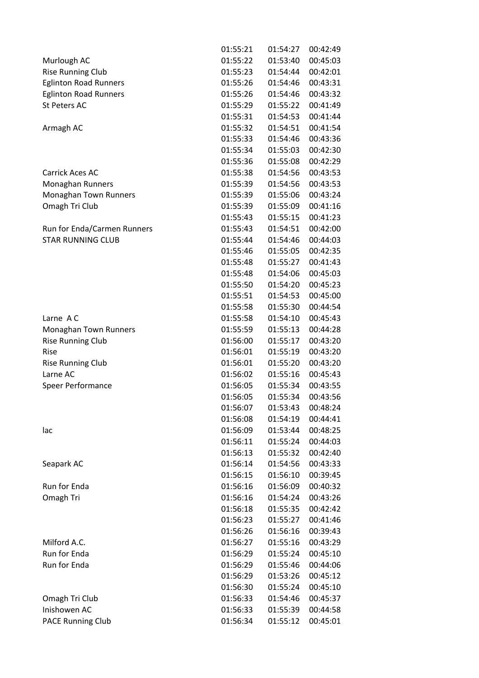|                              | 01:55:21 | 01:54:27 | 00:42:49 |
|------------------------------|----------|----------|----------|
| Murlough AC                  | 01:55:22 | 01:53:40 | 00:45:03 |
| <b>Rise Running Club</b>     | 01:55:23 | 01:54:44 | 00:42:01 |
| <b>Eglinton Road Runners</b> | 01:55:26 | 01:54:46 | 00:43:31 |
| <b>Eglinton Road Runners</b> | 01:55:26 | 01:54:46 | 00:43:32 |
| <b>St Peters AC</b>          | 01:55:29 | 01:55:22 | 00:41:49 |
|                              | 01:55:31 | 01:54:53 | 00:41:44 |
| Armagh AC                    | 01:55:32 | 01:54:51 | 00:41:54 |
|                              | 01:55:33 | 01:54:46 | 00:43:36 |
|                              | 01:55:34 | 01:55:03 | 00:42:30 |
|                              | 01:55:36 | 01:55:08 | 00:42:29 |
| Carrick Aces AC              | 01:55:38 | 01:54:56 | 00:43:53 |
| Monaghan Runners             | 01:55:39 | 01:54:56 | 00:43:53 |
| Monaghan Town Runners        | 01:55:39 | 01:55:06 | 00:43:24 |
| Omagh Tri Club               | 01:55:39 | 01:55:09 | 00:41:16 |
|                              | 01:55:43 | 01:55:15 | 00:41:23 |
| Run for Enda/Carmen Runners  | 01:55:43 | 01:54:51 | 00:42:00 |
| <b>STAR RUNNING CLUB</b>     | 01:55:44 | 01:54:46 | 00:44:03 |
|                              | 01:55:46 | 01:55:05 | 00:42:35 |
|                              | 01:55:48 | 01:55:27 | 00:41:43 |
|                              | 01:55:48 | 01:54:06 | 00:45:03 |
|                              | 01:55:50 | 01:54:20 | 00:45:23 |
|                              | 01:55:51 | 01:54:53 | 00:45:00 |
|                              | 01:55:58 | 01:55:30 | 00:44:54 |
| Larne AC                     | 01:55:58 | 01:54:10 | 00:45:43 |
| Monaghan Town Runners        | 01:55:59 | 01:55:13 | 00:44:28 |
| <b>Rise Running Club</b>     | 01:56:00 | 01:55:17 | 00:43:20 |
| Rise                         | 01:56:01 | 01:55:19 | 00:43:20 |
| <b>Rise Running Club</b>     | 01:56:01 | 01:55:20 | 00:43:20 |
| Larne AC                     | 01:56:02 | 01:55:16 | 00:45:43 |
| Speer Performance            | 01:56:05 | 01:55:34 | 00:43:55 |
|                              | 01:56:05 | 01:55:34 | 00:43:56 |
|                              | 01:56:07 | 01:53:43 | 00:48:24 |
|                              | 01:56:08 | 01:54:19 | 00:44:41 |
| lac                          | 01:56:09 | 01:53:44 | 00:48:25 |
|                              | 01:56:11 | 01:55:24 | 00:44:03 |
|                              | 01:56:13 | 01:55:32 | 00:42:40 |
| Seapark AC                   | 01:56:14 | 01:54:56 | 00:43:33 |
|                              | 01:56:15 | 01:56:10 | 00:39:45 |
| Run for Enda                 | 01:56:16 | 01:56:09 | 00:40:32 |
| Omagh Tri                    | 01:56:16 | 01:54:24 | 00:43:26 |
|                              | 01:56:18 | 01:55:35 | 00:42:42 |
|                              | 01:56:23 | 01:55:27 | 00:41:46 |
|                              | 01:56:26 | 01:56:16 | 00:39:43 |
| Milford A.C.                 | 01:56:27 | 01:55:16 | 00:43:29 |
| Run for Enda                 | 01:56:29 | 01:55:24 | 00:45:10 |
| Run for Enda                 | 01:56:29 | 01:55:46 | 00:44:06 |
|                              | 01:56:29 | 01:53:26 | 00:45:12 |
|                              | 01:56:30 | 01:55:24 | 00:45:10 |
| Omagh Tri Club               | 01:56:33 | 01:54:46 | 00:45:37 |
| Inishowen AC                 | 01:56:33 | 01:55:39 | 00:44:58 |
| <b>PACE Running Club</b>     | 01:56:34 | 01:55:12 | 00:45:01 |
|                              |          |          |          |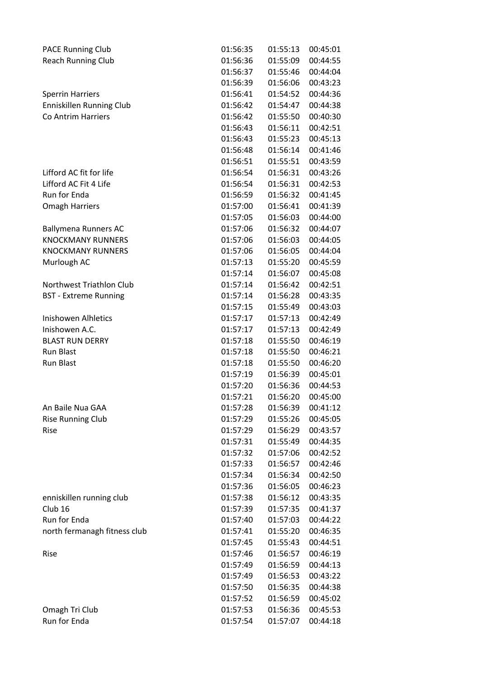| <b>PACE Running Club</b>        | 01:56:35 | 01:55:13 | 00:45:01 |
|---------------------------------|----------|----------|----------|
| <b>Reach Running Club</b>       | 01:56:36 | 01:55:09 | 00:44:55 |
|                                 | 01:56:37 | 01:55:46 | 00:44:04 |
|                                 | 01:56:39 | 01:56:06 | 00:43:23 |
| <b>Sperrin Harriers</b>         | 01:56:41 | 01:54:52 | 00:44:36 |
| <b>Enniskillen Running Club</b> | 01:56:42 | 01:54:47 | 00:44:38 |
| Co Antrim Harriers              | 01:56:42 | 01:55:50 | 00:40:30 |
|                                 | 01:56:43 | 01:56:11 | 00:42:51 |
|                                 | 01:56:43 | 01:55:23 | 00:45:13 |
|                                 | 01:56:48 | 01:56:14 | 00:41:46 |
|                                 | 01:56:51 | 01:55:51 | 00:43:59 |
| Lifford AC fit for life         | 01:56:54 | 01:56:31 | 00:43:26 |
| Lifford AC Fit 4 Life           | 01:56:54 | 01:56:31 | 00:42:53 |
| Run for Enda                    | 01:56:59 | 01:56:32 | 00:41:45 |
| <b>Omagh Harriers</b>           | 01:57:00 | 01:56:41 | 00:41:39 |
|                                 | 01:57:05 | 01:56:03 | 00:44:00 |
|                                 |          | 01:56:32 | 00:44:07 |
| <b>Ballymena Runners AC</b>     | 01:57:06 | 01:56:03 |          |
| <b>KNOCKMANY RUNNERS</b>        | 01:57:06 |          | 00:44:05 |
| <b>KNOCKMANY RUNNERS</b>        | 01:57:06 | 01:56:05 | 00:44:04 |
| Murlough AC                     | 01:57:13 | 01:55:20 | 00:45:59 |
|                                 | 01:57:14 | 01:56:07 | 00:45:08 |
| Northwest Triathlon Club        | 01:57:14 | 01:56:42 | 00:42:51 |
| <b>BST</b> - Extreme Running    | 01:57:14 | 01:56:28 | 00:43:35 |
|                                 | 01:57:15 | 01:55:49 | 00:43:03 |
| <b>Inishowen Alhletics</b>      | 01:57:17 | 01:57:13 | 00:42:49 |
| Inishowen A.C.                  | 01:57:17 | 01:57:13 | 00:42:49 |
| <b>BLAST RUN DERRY</b>          | 01:57:18 | 01:55:50 | 00:46:19 |
| <b>Run Blast</b>                | 01:57:18 | 01:55:50 | 00:46:21 |
| Run Blast                       | 01:57:18 | 01:55:50 | 00:46:20 |
|                                 | 01:57:19 | 01:56:39 | 00:45:01 |
|                                 | 01:57:20 | 01:56:36 | 00:44:53 |
|                                 | 01:57:21 | 01:56:20 | 00:45:00 |
| An Baile Nua GAA                | 01:57:28 | 01:56:39 | 00:41:12 |
| <b>Rise Running Club</b>        | 01:57:29 | 01:55:26 | 00:45:05 |
| Rise                            | 01:57:29 | 01:56:29 | 00:43:57 |
|                                 | 01:57:31 | 01:55:49 | 00:44:35 |
|                                 | 01:57:32 | 01:57:06 | 00:42:52 |
|                                 | 01:57:33 | 01:56:57 | 00:42:46 |
|                                 | 01:57:34 | 01:56:34 | 00:42:50 |
|                                 | 01:57:36 | 01:56:05 | 00:46:23 |
| enniskillen running club        | 01:57:38 | 01:56:12 | 00:43:35 |
| Club <sub>16</sub>              | 01:57:39 | 01:57:35 | 00:41:37 |
| Run for Enda                    | 01:57:40 | 01:57:03 | 00:44:22 |
| north fermanagh fitness club    | 01:57:41 | 01:55:20 | 00:46:35 |
|                                 | 01:57:45 | 01:55:43 | 00:44:51 |
| Rise                            | 01:57:46 | 01:56:57 | 00:46:19 |
|                                 | 01:57:49 | 01:56:59 | 00:44:13 |
|                                 | 01:57:49 | 01:56:53 | 00:43:22 |
|                                 | 01:57:50 | 01:56:35 | 00:44:38 |
|                                 | 01:57:52 | 01:56:59 | 00:45:02 |
|                                 |          |          |          |
| Omagh Tri Club                  | 01:57:53 | 01:56:36 | 00:45:53 |
| Run for Enda                    | 01:57:54 | 01:57:07 | 00:44:18 |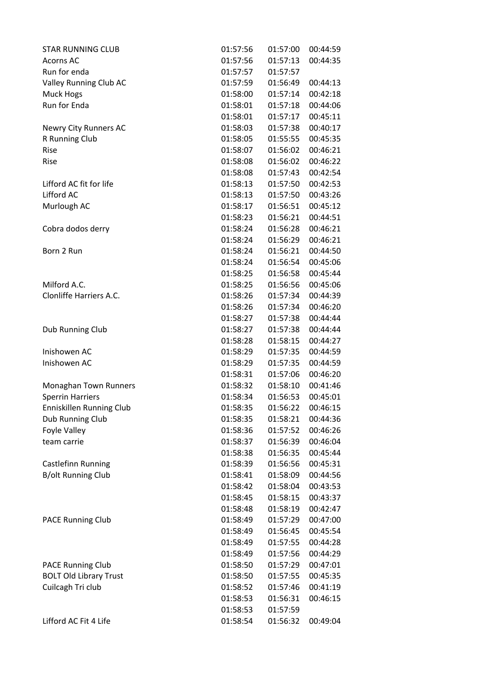| <b>STAR RUNNING CLUB</b>      | 01:57:56 | 01:57:00 | 00:44:59 |
|-------------------------------|----------|----------|----------|
| <b>Acorns AC</b>              | 01:57:56 | 01:57:13 | 00:44:35 |
| Run for enda                  | 01:57:57 | 01:57:57 |          |
| Valley Running Club AC        | 01:57:59 | 01:56:49 | 00:44:13 |
| Muck Hogs                     | 01:58:00 | 01:57:14 | 00:42:18 |
| Run for Enda                  | 01:58:01 | 01:57:18 | 00:44:06 |
|                               | 01:58:01 | 01:57:17 | 00:45:11 |
| Newry City Runners AC         | 01:58:03 | 01:57:38 | 00:40:17 |
| R Running Club                | 01:58:05 | 01:55:55 | 00:45:35 |
| Rise                          | 01:58:07 | 01:56:02 | 00:46:21 |
| Rise                          | 01:58:08 | 01:56:02 | 00:46:22 |
|                               | 01:58:08 | 01:57:43 | 00:42:54 |
| Lifford AC fit for life       | 01:58:13 | 01:57:50 | 00:42:53 |
| Lifford AC                    | 01:58:13 | 01:57:50 | 00:43:26 |
| Murlough AC                   | 01:58:17 | 01:56:51 | 00:45:12 |
|                               | 01:58:23 | 01:56:21 | 00:44:51 |
| Cobra dodos derry             | 01:58:24 | 01:56:28 | 00:46:21 |
|                               | 01:58:24 | 01:56:29 | 00:46:21 |
| Born 2 Run                    | 01:58:24 | 01:56:21 | 00:44:50 |
|                               | 01:58:24 | 01:56:54 | 00:45:06 |
|                               | 01:58:25 | 01:56:58 | 00:45:44 |
| Milford A.C.                  | 01:58:25 | 01:56:56 | 00:45:06 |
| Clonliffe Harriers A.C.       | 01:58:26 | 01:57:34 | 00:44:39 |
|                               | 01:58:26 | 01:57:34 | 00:46:20 |
|                               | 01:58:27 | 01:57:38 | 00:44:44 |
| Dub Running Club              | 01:58:27 | 01:57:38 | 00:44:44 |
|                               | 01:58:28 | 01:58:15 | 00:44:27 |
| Inishowen AC                  | 01:58:29 | 01:57:35 | 00:44:59 |
| Inishowen AC                  | 01:58:29 | 01:57:35 | 00:44:59 |
|                               | 01:58:31 | 01:57:06 | 00:46:20 |
| Monaghan Town Runners         | 01:58:32 | 01:58:10 | 00:41:46 |
| <b>Sperrin Harriers</b>       | 01:58:34 | 01:56:53 | 00:45:01 |
| Enniskillen Running Club      | 01:58:35 | 01:56:22 | 00:46:15 |
| Dub Running Club              | 01:58:35 | 01:58:21 | 00:44:36 |
| <b>Foyle Valley</b>           | 01:58:36 | 01:57:52 | 00:46:26 |
| team carrie                   | 01:58:37 | 01:56:39 | 00:46:04 |
|                               | 01:58:38 | 01:56:35 | 00:45:44 |
| Castlefinn Running            | 01:58:39 | 01:56:56 | 00:45:31 |
| <b>B/olt Running Club</b>     | 01:58:41 | 01:58:09 | 00:44:56 |
|                               | 01:58:42 | 01:58:04 | 00:43:53 |
|                               | 01:58:45 | 01:58:15 | 00:43:37 |
|                               | 01:58:48 | 01:58:19 | 00:42:47 |
| <b>PACE Running Club</b>      | 01:58:49 | 01:57:29 | 00:47:00 |
|                               | 01:58:49 | 01:56:45 | 00:45:54 |
|                               | 01:58:49 | 01:57:55 | 00:44:28 |
|                               | 01:58:49 | 01:57:56 | 00:44:29 |
| <b>PACE Running Club</b>      | 01:58:50 | 01:57:29 | 00:47:01 |
| <b>BOLT Old Library Trust</b> | 01:58:50 | 01:57:55 | 00:45:35 |
| Cuilcagh Tri club             | 01:58:52 | 01:57:46 | 00:41:19 |
|                               | 01:58:53 | 01:56:31 | 00:46:15 |
|                               | 01:58:53 | 01:57:59 |          |
| Lifford AC Fit 4 Life         | 01:58:54 | 01:56:32 | 00:49:04 |
|                               |          |          |          |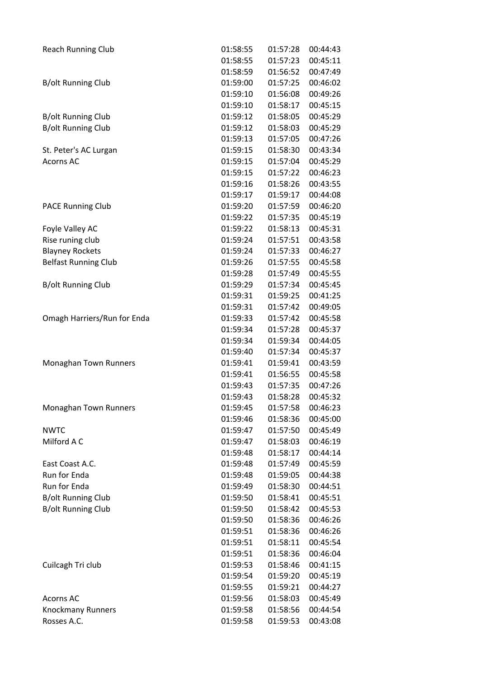| <b>Reach Running Club</b>   | 01:58:55 | 01:57:28 | 00:44:43 |
|-----------------------------|----------|----------|----------|
|                             | 01:58:55 | 01:57:23 | 00:45:11 |
|                             | 01:58:59 | 01:56:52 | 00:47:49 |
| <b>B/olt Running Club</b>   | 01:59:00 | 01:57:25 | 00:46:02 |
|                             | 01:59:10 | 01:56:08 | 00:49:26 |
|                             | 01:59:10 | 01:58:17 | 00:45:15 |
| <b>B/olt Running Club</b>   | 01:59:12 | 01:58:05 | 00:45:29 |
| <b>B/olt Running Club</b>   | 01:59:12 | 01:58:03 | 00:45:29 |
|                             | 01:59:13 | 01:57:05 | 00:47:26 |
| St. Peter's AC Lurgan       | 01:59:15 | 01:58:30 | 00:43:34 |
| <b>Acorns AC</b>            | 01:59:15 | 01:57:04 | 00:45:29 |
|                             | 01:59:15 | 01:57:22 | 00:46:23 |
|                             | 01:59:16 | 01:58:26 | 00:43:55 |
|                             | 01:59:17 | 01:59:17 | 00:44:08 |
| <b>PACE Running Club</b>    | 01:59:20 | 01:57:59 | 00:46:20 |
|                             | 01:59:22 | 01:57:35 | 00:45:19 |
| Foyle Valley AC             | 01:59:22 | 01:58:13 | 00:45:31 |
| Rise runing club            | 01:59:24 | 01:57:51 | 00:43:58 |
| <b>Blayney Rockets</b>      | 01:59:24 | 01:57:33 | 00:46:27 |
| <b>Belfast Running Club</b> | 01:59:26 | 01:57:55 | 00:45:58 |
|                             | 01:59:28 | 01:57:49 | 00:45:55 |
| <b>B/olt Running Club</b>   | 01:59:29 | 01:57:34 | 00:45:45 |
|                             | 01:59:31 | 01:59:25 | 00:41:25 |
|                             | 01:59:31 | 01:57:42 | 00:49:05 |
| Omagh Harriers/Run for Enda | 01:59:33 | 01:57:42 | 00:45:58 |
|                             | 01:59:34 | 01:57:28 | 00:45:37 |
|                             | 01:59:34 | 01:59:34 | 00:44:05 |
|                             | 01:59:40 | 01:57:34 | 00:45:37 |
| Monaghan Town Runners       | 01:59:41 | 01:59:41 | 00:43:59 |
|                             | 01:59:41 | 01:56:55 | 00:45:58 |
|                             | 01:59:43 | 01:57:35 | 00:47:26 |
|                             | 01:59:43 | 01:58:28 | 00:45:32 |
| Monaghan Town Runners       | 01:59:45 | 01:57:58 | 00:46:23 |
|                             | 01:59:46 | 01:58:36 | 00:45:00 |
| <b>NWTC</b>                 | 01:59:47 | 01:57:50 | 00:45:49 |
| Milford A C                 | 01:59:47 | 01:58:03 | 00:46:19 |
|                             | 01:59:48 | 01:58:17 | 00:44:14 |
| East Coast A.C.             | 01:59:48 | 01:57:49 | 00:45:59 |
| Run for Enda                | 01:59:48 | 01:59:05 | 00:44:38 |
| Run for Enda                | 01:59:49 | 01:58:30 | 00:44:51 |
| <b>B/olt Running Club</b>   | 01:59:50 | 01:58:41 | 00:45:51 |
| <b>B/olt Running Club</b>   | 01:59:50 | 01:58:42 | 00:45:53 |
|                             | 01:59:50 | 01:58:36 | 00:46:26 |
|                             | 01:59:51 | 01:58:36 | 00:46:26 |
|                             | 01:59:51 | 01:58:11 | 00:45:54 |
|                             | 01:59:51 | 01:58:36 | 00:46:04 |
| Cuilcagh Tri club           | 01:59:53 | 01:58:46 | 00:41:15 |
|                             | 01:59:54 | 01:59:20 | 00:45:19 |
|                             | 01:59:55 | 01:59:21 | 00:44:27 |
| Acorns AC                   | 01:59:56 | 01:58:03 | 00:45:49 |
| <b>Knockmany Runners</b>    | 01:59:58 | 01:58:56 | 00:44:54 |
| Rosses A.C.                 | 01:59:58 | 01:59:53 | 00:43:08 |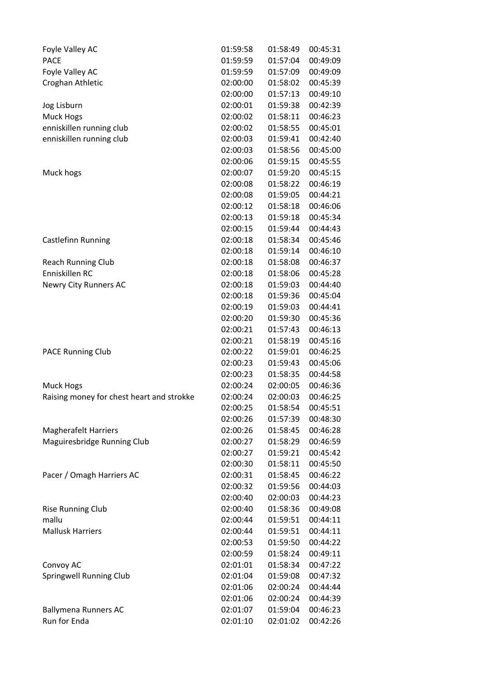| Foyle Valley AC                           | 01:59:58 | 01:58:49 | 00:45:31 |
|-------------------------------------------|----------|----------|----------|
| <b>PACE</b>                               | 01:59:59 | 01:57:04 | 00:49:09 |
| Foyle Valley AC                           | 01:59:59 | 01:57:09 | 00:49:09 |
| Croghan Athletic                          | 02:00:00 | 01:58:02 | 00:45:39 |
|                                           | 02:00:00 | 01:57:13 | 00:49:10 |
| Jog Lisburn                               | 02:00:01 | 01:59:38 | 00:42:39 |
| Muck Hogs                                 | 02:00:02 | 01:58:11 | 00:46:23 |
| enniskillen running club                  | 02:00:02 | 01:58:55 | 00:45:01 |
| enniskillen running club                  | 02:00:03 | 01:59:41 | 00:42:40 |
|                                           | 02:00:03 | 01:58:56 | 00:45:00 |
|                                           | 02:00:06 | 01:59:15 | 00:45:55 |
| Muck hogs                                 | 02:00:07 | 01:59:20 | 00:45:15 |
|                                           | 02:00:08 | 01:58:22 | 00:46:19 |
|                                           | 02:00:08 | 01:59:05 | 00:44:21 |
|                                           | 02:00:12 | 01:58:18 | 00:46:06 |
|                                           | 02:00:13 | 01:59:18 | 00:45:34 |
|                                           | 02:00:15 | 01:59:44 | 00:44:43 |
| Castlefinn Running                        | 02:00:18 | 01:58:34 | 00:45:46 |
|                                           | 02:00:18 | 01:59:14 | 00:46:10 |
| <b>Reach Running Club</b>                 | 02:00:18 | 01:58:08 | 00:46:37 |
| Enniskillen RC                            | 02:00:18 | 01:58:06 | 00:45:28 |
| Newry City Runners AC                     | 02:00:18 | 01:59:03 | 00:44:40 |
|                                           | 02:00:18 | 01:59:36 | 00:45:04 |
|                                           | 02:00:19 | 01:59:03 | 00:44:41 |
|                                           | 02:00:20 | 01:59:30 | 00:45:36 |
|                                           | 02:00:21 | 01:57:43 | 00:46:13 |
|                                           | 02:00:21 | 01:58:19 | 00:45:16 |
| <b>PACE Running Club</b>                  | 02:00:22 | 01:59:01 | 00:46:25 |
|                                           | 02:00:23 | 01:59:43 | 00:45:06 |
|                                           | 02:00:23 | 01:58:35 | 00:44:58 |
| Muck Hogs                                 | 02:00:24 | 02:00:05 | 00:46:36 |
| Raising money for chest heart and strokke | 02:00:24 | 02:00:03 | 00:46:25 |
|                                           | 02:00:25 | 01:58:54 | 00:45:51 |
|                                           | 02:00:26 | 01:57:39 | 00:48:30 |
| <b>Magherafelt Harriers</b>               | 02:00:26 | 01:58:45 | 00:46:28 |
| Maguiresbridge Running Club               | 02:00:27 | 01:58:29 | 00:46:59 |
|                                           | 02:00:27 | 01:59:21 | 00:45:42 |
|                                           | 02:00:30 | 01:58:11 | 00:45:50 |
| Pacer / Omagh Harriers AC                 | 02:00:31 | 01:58:45 | 00:46:22 |
|                                           | 02:00:32 | 01:59:56 | 00:44:03 |
|                                           | 02:00:40 | 02:00:03 | 00:44:23 |
| <b>Rise Running Club</b>                  | 02:00:40 | 01:58:36 | 00:49:08 |
| mallu                                     | 02:00:44 | 01:59:51 | 00:44:11 |
| <b>Mallusk Harriers</b>                   | 02:00:44 | 01:59:51 | 00:44:11 |
|                                           | 02:00:53 | 01:59:50 | 00:44:22 |
|                                           | 02:00:59 | 01:58:24 | 00:49:11 |
| Convoy AC                                 | 02:01:01 | 01:58:34 | 00:47:22 |
| <b>Springwell Running Club</b>            | 02:01:04 | 01:59:08 | 00:47:32 |
|                                           | 02:01:06 | 02:00:24 | 00:44:44 |
|                                           | 02:01:06 | 02:00:24 | 00:44:39 |
| <b>Ballymena Runners AC</b>               | 02:01:07 | 01:59:04 | 00:46:23 |
| Run for Enda                              | 02:01:10 | 02:01:02 | 00:42:26 |
|                                           |          |          |          |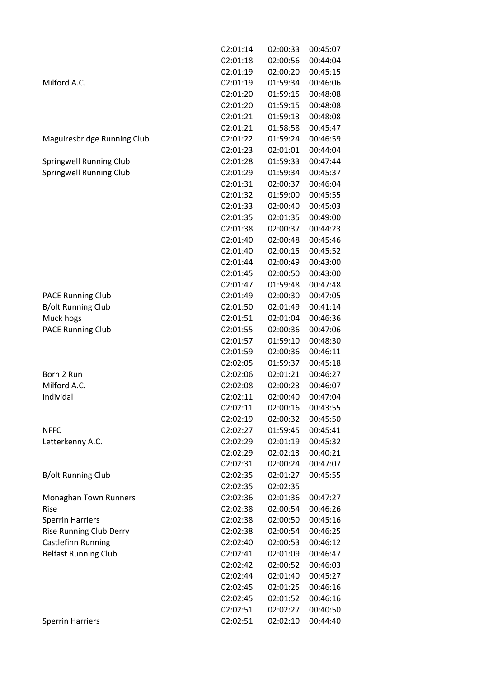|                                | 02:01:14 | 02:00:33 | 00:45:07 |
|--------------------------------|----------|----------|----------|
|                                | 02:01:18 | 02:00:56 | 00:44:04 |
|                                | 02:01:19 | 02:00:20 | 00:45:15 |
| Milford A.C.                   | 02:01:19 | 01:59:34 | 00:46:06 |
|                                | 02:01:20 | 01:59:15 | 00:48:08 |
|                                | 02:01:20 | 01:59:15 | 00:48:08 |
|                                | 02:01:21 | 01:59:13 | 00:48:08 |
|                                | 02:01:21 | 01:58:58 | 00:45:47 |
| Maguiresbridge Running Club    | 02:01:22 | 01:59:24 | 00:46:59 |
|                                | 02:01:23 | 02:01:01 | 00:44:04 |
| Springwell Running Club        | 02:01:28 | 01:59:33 | 00:47:44 |
| <b>Springwell Running Club</b> | 02:01:29 | 01:59:34 | 00:45:37 |
|                                | 02:01:31 | 02:00:37 | 00:46:04 |
|                                | 02:01:32 | 01:59:00 | 00:45:55 |
|                                | 02:01:33 | 02:00:40 | 00:45:03 |
|                                | 02:01:35 | 02:01:35 | 00:49:00 |
|                                | 02:01:38 | 02:00:37 | 00:44:23 |
|                                | 02:01:40 | 02:00:48 | 00:45:46 |
|                                | 02:01:40 | 02:00:15 | 00:45:52 |
|                                | 02:01:44 | 02:00:49 | 00:43:00 |
|                                | 02:01:45 | 02:00:50 | 00:43:00 |
|                                | 02:01:47 | 01:59:48 | 00:47:48 |
| <b>PACE Running Club</b>       | 02:01:49 | 02:00:30 | 00:47:05 |
| <b>B/olt Running Club</b>      | 02:01:50 | 02:01:49 | 00:41:14 |
| Muck hogs                      | 02:01:51 | 02:01:04 | 00:46:36 |
| <b>PACE Running Club</b>       | 02:01:55 | 02:00:36 | 00:47:06 |
|                                | 02:01:57 | 01:59:10 | 00:48:30 |
|                                | 02:01:59 | 02:00:36 | 00:46:11 |
|                                | 02:02:05 | 01:59:37 | 00:45:18 |
| Born 2 Run                     | 02:02:06 | 02:01:21 | 00:46:27 |
| Milford A.C.                   | 02:02:08 | 02:00:23 | 00:46:07 |
| Individal                      | 02:02:11 | 02:00:40 | 00:47:04 |
|                                | 02:02:11 | 02:00:16 | 00:43:55 |
|                                | 02:02:19 | 02:00:32 | 00:45:50 |
| <b>NFFC</b>                    | 02:02:27 | 01:59:45 | 00:45:41 |
| Letterkenny A.C.               | 02:02:29 | 02:01:19 | 00:45:32 |
|                                | 02:02:29 | 02:02:13 | 00:40:21 |
|                                | 02:02:31 | 02:00:24 | 00:47:07 |
| <b>B/olt Running Club</b>      | 02:02:35 | 02:01:27 | 00:45:55 |
|                                | 02:02:35 | 02:02:35 |          |
| Monaghan Town Runners          | 02:02:36 | 02:01:36 | 00:47:27 |
| Rise                           | 02:02:38 | 02:00:54 | 00:46:26 |
| <b>Sperrin Harriers</b>        | 02:02:38 | 02:00:50 | 00:45:16 |
| <b>Rise Running Club Derry</b> | 02:02:38 | 02:00:54 | 00:46:25 |
| <b>Castlefinn Running</b>      | 02:02:40 | 02:00:53 | 00:46:12 |
| <b>Belfast Running Club</b>    | 02:02:41 | 02:01:09 | 00:46:47 |
|                                | 02:02:42 | 02:00:52 | 00:46:03 |
|                                | 02:02:44 | 02:01:40 | 00:45:27 |
|                                | 02:02:45 | 02:01:25 | 00:46:16 |
|                                | 02:02:45 | 02:01:52 | 00:46:16 |
|                                | 02:02:51 | 02:02:27 | 00:40:50 |
| <b>Sperrin Harriers</b>        | 02:02:51 | 02:02:10 | 00:44:40 |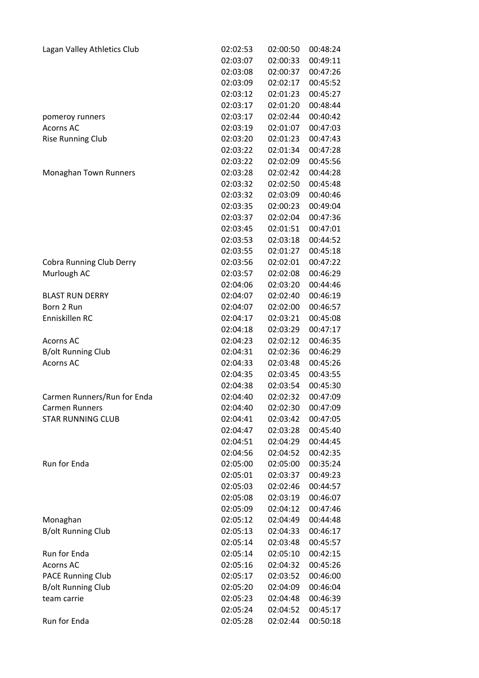| Lagan Valley Athletics Club | 02:02:53 | 02:00:50 | 00:48:24 |
|-----------------------------|----------|----------|----------|
|                             | 02:03:07 | 02:00:33 | 00:49:11 |
|                             | 02:03:08 | 02:00:37 | 00:47:26 |
|                             | 02:03:09 | 02:02:17 | 00:45:52 |
|                             | 02:03:12 | 02:01:23 | 00:45:27 |
|                             | 02:03:17 | 02:01:20 | 00:48:44 |
| pomeroy runners             | 02:03:17 | 02:02:44 | 00:40:42 |
| <b>Acorns AC</b>            | 02:03:19 | 02:01:07 | 00:47:03 |
| <b>Rise Running Club</b>    | 02:03:20 | 02:01:23 | 00:47:43 |
|                             | 02:03:22 | 02:01:34 | 00:47:28 |
|                             | 02:03:22 | 02:02:09 | 00:45:56 |
| Monaghan Town Runners       | 02:03:28 | 02:02:42 | 00:44:28 |
|                             | 02:03:32 | 02:02:50 | 00:45:48 |
|                             | 02:03:32 | 02:03:09 | 00:40:46 |
|                             | 02:03:35 | 02:00:23 | 00:49:04 |
|                             | 02:03:37 | 02:02:04 | 00:47:36 |
|                             | 02:03:45 | 02:01:51 | 00:47:01 |
|                             | 02:03:53 | 02:03:18 | 00:44:52 |
|                             | 02:03:55 | 02:01:27 | 00:45:18 |
| Cobra Running Club Derry    | 02:03:56 | 02:02:01 | 00:47:22 |
| Murlough AC                 | 02:03:57 | 02:02:08 | 00:46:29 |
|                             |          |          |          |
|                             | 02:04:06 | 02:03:20 | 00:44:46 |
| <b>BLAST RUN DERRY</b>      | 02:04:07 | 02:02:40 | 00:46:19 |
| Born 2 Run                  | 02:04:07 | 02:02:00 | 00:46:57 |
| Enniskillen RC              | 02:04:17 | 02:03:21 | 00:45:08 |
|                             | 02:04:18 | 02:03:29 | 00:47:17 |
| <b>Acorns AC</b>            | 02:04:23 | 02:02:12 | 00:46:35 |
| <b>B/olt Running Club</b>   | 02:04:31 | 02:02:36 | 00:46:29 |
| <b>Acorns AC</b>            | 02:04:33 | 02:03:48 | 00:45:26 |
|                             | 02:04:35 | 02:03:45 | 00:43:55 |
|                             | 02:04:38 | 02:03:54 | 00:45:30 |
| Carmen Runners/Run for Enda | 02:04:40 | 02:02:32 | 00:47:09 |
| <b>Carmen Runners</b>       | 02:04:40 | 02:02:30 | 00:47:09 |
| <b>STAR RUNNING CLUB</b>    | 02:04:41 | 02:03:42 | 00:47:05 |
|                             | 02:04:47 | 02:03:28 | 00:45:40 |
|                             | 02:04:51 | 02:04:29 | 00:44:45 |
|                             | 02:04:56 | 02:04:52 | 00:42:35 |
| <b>Run for Enda</b>         | 02:05:00 | 02:05:00 | 00:35:24 |
|                             | 02:05:01 | 02:03:37 | 00:49:23 |
|                             | 02:05:03 | 02:02:46 | 00:44:57 |
|                             | 02:05:08 | 02:03:19 | 00:46:07 |
|                             | 02:05:09 | 02:04:12 | 00:47:46 |
| Monaghan                    | 02:05:12 | 02:04:49 | 00:44:48 |
| <b>B/olt Running Club</b>   | 02:05:13 | 02:04:33 | 00:46:17 |
|                             | 02:05:14 | 02:03:48 | 00:45:57 |
| Run for Enda                | 02:05:14 | 02:05:10 | 00:42:15 |
| <b>Acorns AC</b>            | 02:05:16 | 02:04:32 | 00:45:26 |
| <b>PACE Running Club</b>    | 02:05:17 | 02:03:52 | 00:46:00 |
| <b>B/olt Running Club</b>   | 02:05:20 | 02:04:09 | 00:46:04 |
| team carrie                 | 02:05:23 | 02:04:48 | 00:46:39 |
|                             | 02:05:24 | 02:04:52 | 00:45:17 |
| Run for Enda                | 02:05:28 | 02:02:44 | 00:50:18 |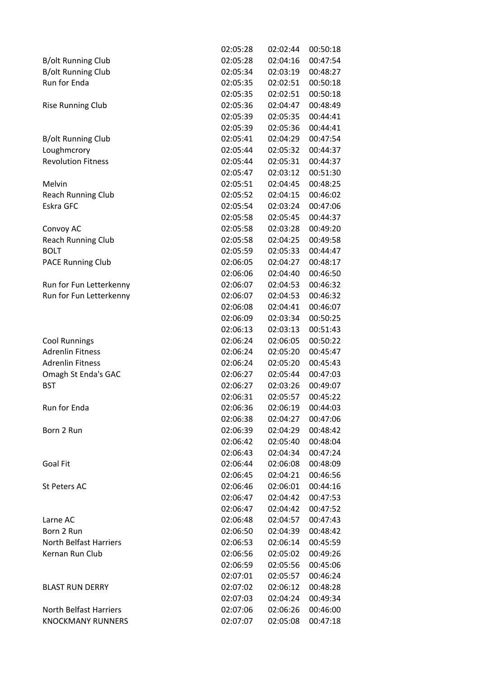|                                                 | 02:05:28 | 02:02:44 | 00:50:18 |
|-------------------------------------------------|----------|----------|----------|
| B/olt Running Club                              | 02:05:28 | 02:04:16 | 00:47:54 |
| <b>B/olt Running Club</b>                       | 02:05:34 | 02:03:19 | 00:48:27 |
| <b>Run for Enda</b>                             | 02:05:35 | 02:02:51 | 00:50:18 |
|                                                 | 02:05:35 | 02:02:51 | 00:50:18 |
| <b>Rise Running Club</b>                        | 02:05:36 | 02:04:47 | 00:48:49 |
|                                                 | 02:05:39 | 02:05:35 | 00:44:41 |
|                                                 | 02:05:39 | 02:05:36 | 00:44:41 |
| <b>B/olt Running Club</b>                       | 02:05:41 | 02:04:29 | 00:47:54 |
| Loughmcrory                                     | 02:05:44 | 02:05:32 | 00:44:37 |
| <b>Revolution Fitness</b>                       | 02:05:44 | 02:05:31 | 00:44:37 |
|                                                 | 02:05:47 | 02:03:12 | 00:51:30 |
| Melvin                                          | 02:05:51 | 02:04:45 | 00:48:25 |
| <b>Reach Running Club</b>                       | 02:05:52 | 02:04:15 | 00:46:02 |
| Eskra GFC                                       | 02:05:54 | 02:03:24 | 00:47:06 |
|                                                 | 02:05:58 | 02:05:45 | 00:44:37 |
| Convoy AC                                       | 02:05:58 | 02:03:28 | 00:49:20 |
| <b>Reach Running Club</b>                       | 02:05:58 | 02:04:25 | 00:49:58 |
| <b>BOLT</b>                                     | 02:05:59 | 02:05:33 | 00:44:47 |
| <b>PACE Running Club</b>                        | 02:06:05 | 02:04:27 | 00:48:17 |
|                                                 | 02:06:06 | 02:04:40 | 00:46:50 |
| Run for Fun Letterkenny                         | 02:06:07 | 02:04:53 | 00:46:32 |
| Run for Fun Letterkenny                         | 02:06:07 | 02:04:53 | 00:46:32 |
|                                                 | 02:06:08 | 02:04:41 | 00:46:07 |
|                                                 | 02:06:09 | 02:03:34 | 00:50:25 |
|                                                 |          |          | 00:51:43 |
|                                                 | 02:06:13 | 02:03:13 |          |
| <b>Cool Runnings</b><br><b>Adrenlin Fitness</b> | 02:06:24 | 02:06:05 | 00:50:22 |
|                                                 | 02:06:24 | 02:05:20 | 00:45:47 |
| <b>Adrenlin Fitness</b>                         | 02:06:24 | 02:05:20 | 00:45:43 |
| Omagh St Enda's GAC                             | 02:06:27 | 02:05:44 | 00:47:03 |
| <b>BST</b>                                      | 02:06:27 | 02:03:26 | 00:49:07 |
|                                                 | 02:06:31 | 02:05:57 | 00:45:22 |
| Run for Enda                                    | 02:06:36 | 02:06:19 | 00:44:03 |
|                                                 | 02:06:38 | 02:04:27 | 00:47:06 |
| Born 2 Run                                      | 02:06:39 | 02:04:29 | 00:48:42 |
|                                                 | 02:06:42 | 02:05:40 | 00:48:04 |
|                                                 | 02:06:43 | 02:04:34 | 00:47:24 |
| <b>Goal Fit</b>                                 | 02:06:44 | 02:06:08 | 00:48:09 |
|                                                 | 02:06:45 | 02:04:21 | 00:46:56 |
| St Peters AC                                    | 02:06:46 | 02:06:01 | 00:44:16 |
|                                                 | 02:06:47 | 02:04:42 | 00:47:53 |
|                                                 | 02:06:47 | 02:04:42 | 00:47:52 |
| Larne AC                                        | 02:06:48 | 02:04:57 | 00:47:43 |
| Born 2 Run                                      | 02:06:50 | 02:04:39 | 00:48:42 |
| <b>North Belfast Harriers</b>                   | 02:06:53 | 02:06:14 | 00:45:59 |
| Kernan Run Club                                 | 02:06:56 | 02:05:02 | 00:49:26 |
|                                                 | 02:06:59 | 02:05:56 | 00:45:06 |
|                                                 | 02:07:01 | 02:05:57 | 00:46:24 |
| <b>BLAST RUN DERRY</b>                          | 02:07:02 | 02:06:12 | 00:48:28 |
|                                                 | 02:07:03 | 02:04:24 | 00:49:34 |
| North Belfast Harriers                          | 02:07:06 | 02:06:26 | 00:46:00 |
| <b>KNOCKMANY RUNNERS</b>                        | 02:07:07 | 02:05:08 | 00:47:18 |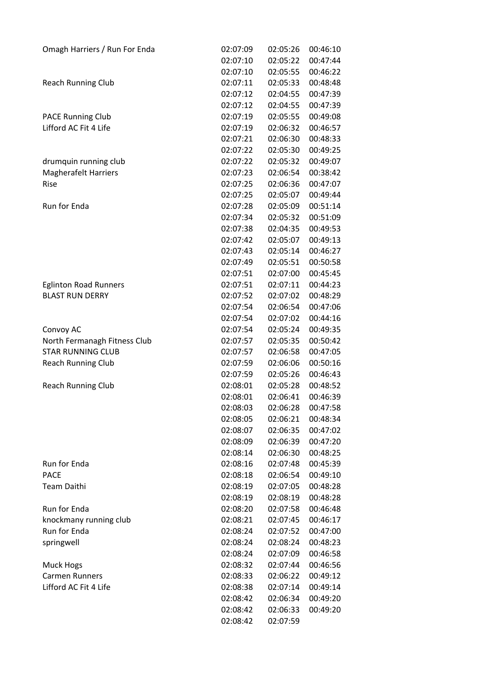| Omagh Harriers / Run For Enda | 02:07:09 | 02:05:26 | 00:46:10 |
|-------------------------------|----------|----------|----------|
|                               | 02:07:10 | 02:05:22 | 00:47:44 |
|                               | 02:07:10 | 02:05:55 | 00:46:22 |
| <b>Reach Running Club</b>     | 02:07:11 | 02:05:33 | 00:48:48 |
|                               | 02:07:12 | 02:04:55 | 00:47:39 |
|                               | 02:07:12 | 02:04:55 | 00:47:39 |
| <b>PACE Running Club</b>      | 02:07:19 | 02:05:55 | 00:49:08 |
| Lifford AC Fit 4 Life         | 02:07:19 | 02:06:32 | 00:46:57 |
|                               | 02:07:21 | 02:06:30 | 00:48:33 |
|                               | 02:07:22 | 02:05:30 | 00:49:25 |
| drumquin running club         | 02:07:22 | 02:05:32 | 00:49:07 |
| <b>Magherafelt Harriers</b>   | 02:07:23 | 02:06:54 | 00:38:42 |
| Rise                          | 02:07:25 | 02:06:36 | 00:47:07 |
|                               | 02:07:25 | 02:05:07 | 00:49:44 |
| <b>Run for Enda</b>           | 02:07:28 | 02:05:09 | 00:51:14 |
|                               | 02:07:34 | 02:05:32 | 00:51:09 |
|                               | 02:07:38 | 02:04:35 | 00:49:53 |
|                               | 02:07:42 | 02:05:07 | 00:49:13 |
|                               | 02:07:43 | 02:05:14 | 00:46:27 |
|                               | 02:07:49 | 02:05:51 | 00:50:58 |
|                               | 02:07:51 | 02:07:00 | 00:45:45 |
| <b>Eglinton Road Runners</b>  | 02:07:51 | 02:07:11 | 00:44:23 |
| <b>BLAST RUN DERRY</b>        | 02:07:52 | 02:07:02 | 00:48:29 |
|                               | 02:07:54 | 02:06:54 | 00:47:06 |
|                               | 02:07:54 | 02:07:02 | 00:44:16 |
| Convoy AC                     | 02:07:54 | 02:05:24 | 00:49:35 |
| North Fermanagh Fitness Club  | 02:07:57 | 02:05:35 | 00:50:42 |
| <b>STAR RUNNING CLUB</b>      | 02:07:57 | 02:06:58 | 00:47:05 |
| <b>Reach Running Club</b>     | 02:07:59 | 02:06:06 | 00:50:16 |
|                               | 02:07:59 | 02:05:26 | 00:46:43 |
| <b>Reach Running Club</b>     | 02:08:01 | 02:05:28 | 00:48:52 |
|                               | 02:08:01 | 02:06:41 | 00:46:39 |
|                               | 02:08:03 | 02:06:28 | 00:47:58 |
|                               | 02:08:05 | 02:06:21 | 00:48:34 |
|                               | 02:08:07 | 02:06:35 | 00:47:02 |
|                               | 02:08:09 | 02:06:39 | 00:47:20 |
|                               | 02:08:14 | 02:06:30 | 00:48:25 |
| Run for Enda                  | 02:08:16 | 02:07:48 | 00:45:39 |
| <b>PACE</b>                   | 02:08:18 | 02:06:54 | 00:49:10 |
| <b>Team Daithi</b>            | 02:08:19 | 02:07:05 | 00:48:28 |
|                               | 02:08:19 | 02:08:19 | 00:48:28 |
| Run for Enda                  | 02:08:20 | 02:07:58 | 00:46:48 |
| knockmany running club        | 02:08:21 | 02:07:45 | 00:46:17 |
| Run for Enda                  | 02:08:24 | 02:07:52 | 00:47:00 |
| springwell                    | 02:08:24 | 02:08:24 | 00:48:23 |
|                               | 02:08:24 | 02:07:09 | 00:46:58 |
| Muck Hogs                     | 02:08:32 | 02:07:44 | 00:46:56 |
| <b>Carmen Runners</b>         | 02:08:33 | 02:06:22 | 00:49:12 |
| Lifford AC Fit 4 Life         | 02:08:38 | 02:07:14 | 00:49:14 |
|                               | 02:08:42 | 02:06:34 | 00:49:20 |
|                               | 02:08:42 | 02:06:33 | 00:49:20 |
|                               | 02:08:42 | 02:07:59 |          |
|                               |          |          |          |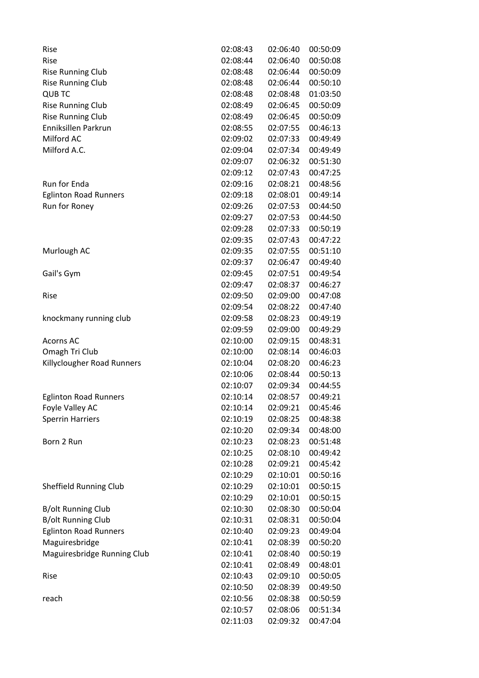| Rise                          | 02:08:43 | 02:06:40 | 00:50:09 |
|-------------------------------|----------|----------|----------|
| Rise                          | 02:08:44 | 02:06:40 | 00:50:08 |
| <b>Rise Running Club</b>      | 02:08:48 | 02:06:44 | 00:50:09 |
| <b>Rise Running Club</b>      | 02:08:48 | 02:06:44 | 00:50:10 |
| <b>QUB TC</b>                 | 02:08:48 | 02:08:48 | 01:03:50 |
| <b>Rise Running Club</b>      | 02:08:49 | 02:06:45 | 00:50:09 |
| <b>Rise Running Club</b>      | 02:08:49 | 02:06:45 | 00:50:09 |
| Enniksillen Parkrun           | 02:08:55 | 02:07:55 | 00:46:13 |
| Milford AC                    | 02:09:02 | 02:07:33 | 00:49:49 |
| Milford A.C.                  | 02:09:04 | 02:07:34 | 00:49:49 |
|                               | 02:09:07 | 02:06:32 | 00:51:30 |
|                               | 02:09:12 | 02:07:43 | 00:47:25 |
| Run for Enda                  | 02:09:16 | 02:08:21 | 00:48:56 |
| <b>Eglinton Road Runners</b>  | 02:09:18 | 02:08:01 | 00:49:14 |
| Run for Roney                 | 02:09:26 | 02:07:53 | 00:44:50 |
|                               | 02:09:27 | 02:07:53 | 00:44:50 |
|                               | 02:09:28 | 02:07:33 | 00:50:19 |
|                               | 02:09:35 | 02:07:43 | 00:47:22 |
| Murlough AC                   | 02:09:35 | 02:07:55 | 00:51:10 |
|                               | 02:09:37 | 02:06:47 | 00:49:40 |
| Gail's Gym                    | 02:09:45 | 02:07:51 | 00:49:54 |
|                               | 02:09:47 | 02:08:37 | 00:46:27 |
| Rise                          | 02:09:50 | 02:09:00 | 00:47:08 |
|                               | 02:09:54 | 02:08:22 | 00:47:40 |
| knockmany running club        | 02:09:58 | 02:08:23 | 00:49:19 |
|                               | 02:09:59 | 02:09:00 | 00:49:29 |
| <b>Acorns AC</b>              | 02:10:00 | 02:09:15 | 00:48:31 |
| Omagh Tri Club                | 02:10:00 | 02:08:14 | 00:46:03 |
| Killyclougher Road Runners    | 02:10:04 | 02:08:20 | 00:46:23 |
|                               | 02:10:06 | 02:08:44 | 00:50:13 |
|                               | 02:10:07 | 02:09:34 | 00:44:55 |
| <b>Eglinton Road Runners</b>  | 02:10:14 | 02:08:57 | 00:49:21 |
| Foyle Valley AC               | 02:10:14 | 02:09:21 | 00:45:46 |
| <b>Sperrin Harriers</b>       | 02:10:19 | 02:08:25 | 00:48:38 |
|                               | 02:10:20 | 02:09:34 | 00:48:00 |
| Born 2 Run                    | 02:10:23 | 02:08:23 | 00:51:48 |
|                               | 02:10:25 | 02:08:10 | 00:49:42 |
|                               | 02:10:28 | 02:09:21 | 00:45:42 |
|                               | 02:10:29 | 02:10:01 | 00:50:16 |
| <b>Sheffield Running Club</b> | 02:10:29 | 02:10:01 | 00:50:15 |
|                               | 02:10:29 | 02:10:01 | 00:50:15 |
| <b>B/olt Running Club</b>     | 02:10:30 | 02:08:30 | 00:50:04 |
| <b>B/olt Running Club</b>     | 02:10:31 | 02:08:31 | 00:50:04 |
| <b>Eglinton Road Runners</b>  | 02:10:40 | 02:09:23 | 00:49:04 |
| Maguiresbridge                | 02:10:41 | 02:08:39 | 00:50:20 |
| Maguiresbridge Running Club   | 02:10:41 | 02:08:40 | 00:50:19 |
|                               | 02:10:41 | 02:08:49 | 00:48:01 |
| Rise                          | 02:10:43 | 02:09:10 | 00:50:05 |
|                               | 02:10:50 | 02:08:39 | 00:49:50 |
| reach                         | 02:10:56 | 02:08:38 | 00:50:59 |
|                               | 02:10:57 | 02:08:06 | 00:51:34 |
|                               | 02:11:03 | 02:09:32 | 00:47:04 |
|                               |          |          |          |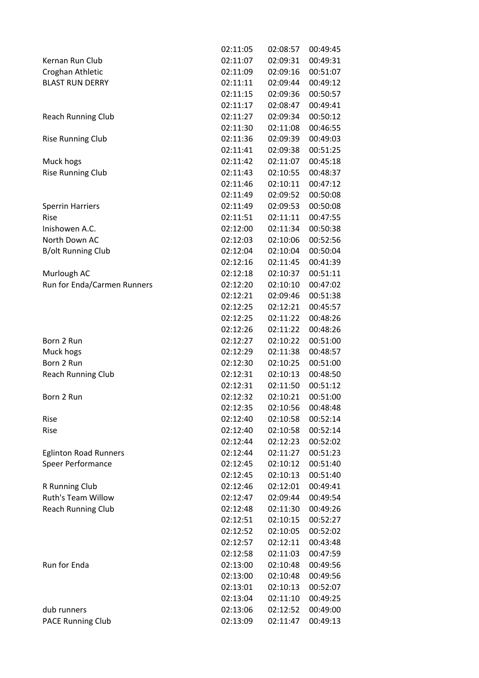|                                             | 02:11:05 | 02:08:57 | 00:49:45             |
|---------------------------------------------|----------|----------|----------------------|
| Kernan Run Club                             | 02:11:07 | 02:09:31 | 00:49:31             |
| Croghan Athletic                            | 02:11:09 | 02:09:16 | 00:51:07             |
| <b>BLAST RUN DERRY</b>                      | 02:11:11 | 02:09:44 | 00:49:12             |
|                                             | 02:11:15 | 02:09:36 | 00:50:57             |
|                                             | 02:11:17 | 02:08:47 | 00:49:41             |
| <b>Reach Running Club</b>                   | 02:11:27 | 02:09:34 | 00:50:12             |
|                                             | 02:11:30 | 02:11:08 | 00:46:55             |
| <b>Rise Running Club</b>                    | 02:11:36 | 02:09:39 | 00:49:03             |
|                                             | 02:11:41 | 02:09:38 | 00:51:25             |
| Muck hogs                                   | 02:11:42 | 02:11:07 | 00:45:18             |
| <b>Rise Running Club</b>                    | 02:11:43 | 02:10:55 | 00:48:37             |
|                                             | 02:11:46 | 02:10:11 | 00:47:12             |
|                                             | 02:11:49 | 02:09:52 | 00:50:08             |
| <b>Sperrin Harriers</b>                     | 02:11:49 | 02:09:53 | 00:50:08             |
| Rise                                        | 02:11:51 | 02:11:11 | 00:47:55             |
| Inishowen A.C.                              | 02:12:00 | 02:11:34 | 00:50:38             |
| North Down AC                               | 02:12:03 | 02:10:06 | 00:52:56             |
| <b>B/olt Running Club</b>                   | 02:12:04 | 02:10:04 | 00:50:04             |
|                                             | 02:12:16 | 02:11:45 | 00:41:39             |
| Murlough AC                                 | 02:12:18 | 02:10:37 | 00:51:11             |
| Run for Enda/Carmen Runners                 | 02:12:20 | 02:10:10 | 00:47:02             |
|                                             | 02:12:21 | 02:09:46 | 00:51:38             |
|                                             | 02:12:25 | 02:12:21 | 00:45:57             |
|                                             | 02:12:25 | 02:11:22 | 00:48:26             |
|                                             | 02:12:26 | 02:11:22 | 00:48:26             |
| Born 2 Run                                  | 02:12:27 | 02:10:22 | 00:51:00             |
| Muck hogs                                   | 02:12:29 | 02:11:38 | 00:48:57             |
| Born 2 Run                                  | 02:12:30 | 02:10:25 | 00:51:00             |
|                                             | 02:12:31 | 02:10:13 | 00:48:50             |
| <b>Reach Running Club</b>                   | 02:12:31 | 02:11:50 | 00:51:12             |
| Born 2 Run                                  | 02:12:32 | 02:10:21 | 00:51:00             |
|                                             | 02:12:35 | 02:10:56 | 00:48:48             |
| Rise                                        | 02:12:40 | 02:10:58 | 00:52:14             |
| Rise                                        | 02:12:40 | 02:10:58 |                      |
|                                             |          | 02:12:23 | 00:52:14<br>00:52:02 |
|                                             | 02:12:44 |          |                      |
| <b>Eglinton Road Runners</b>                | 02:12:44 | 02:11:27 | 00:51:23             |
| Speer Performance                           | 02:12:45 | 02:10:12 | 00:51:40             |
|                                             | 02:12:45 | 02:10:13 | 00:51:40             |
| R Running Club<br><b>Ruth's Team Willow</b> | 02:12:46 | 02:12:01 | 00:49:41             |
|                                             | 02:12:47 | 02:09:44 | 00:49:54             |
| <b>Reach Running Club</b>                   | 02:12:48 | 02:11:30 | 00:49:26             |
|                                             | 02:12:51 | 02:10:15 | 00:52:27             |
|                                             | 02:12:52 | 02:10:05 | 00:52:02             |
|                                             | 02:12:57 | 02:12:11 | 00:43:48             |
|                                             | 02:12:58 | 02:11:03 | 00:47:59             |
| Run for Enda                                | 02:13:00 | 02:10:48 | 00:49:56             |
|                                             | 02:13:00 | 02:10:48 | 00:49:56             |
|                                             | 02:13:01 | 02:10:13 | 00:52:07             |
|                                             | 02:13:04 | 02:11:10 | 00:49:25             |
| dub runners                                 | 02:13:06 | 02:12:52 | 00:49:00             |
| <b>PACE Running Club</b>                    | 02:13:09 | 02:11:47 | 00:49:13             |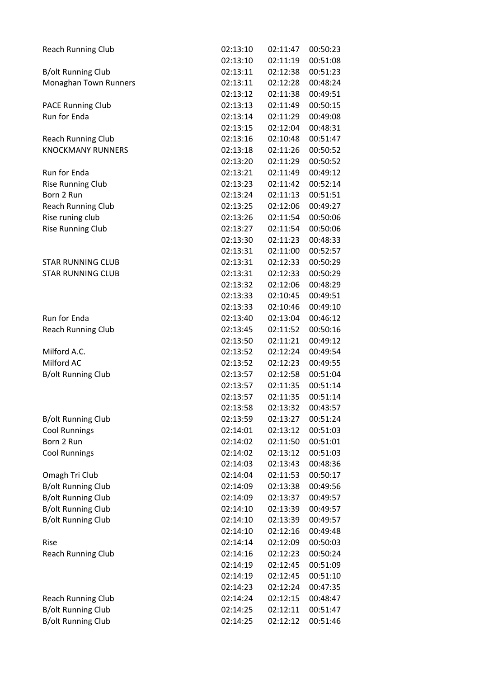| <b>Reach Running Club</b> | 02:13:10 | 02:11:47 | 00:50:23 |
|---------------------------|----------|----------|----------|
|                           | 02:13:10 | 02:11:19 | 00:51:08 |
| <b>B/olt Running Club</b> | 02:13:11 | 02:12:38 | 00:51:23 |
| Monaghan Town Runners     | 02:13:11 | 02:12:28 | 00:48:24 |
|                           | 02:13:12 | 02:11:38 | 00:49:51 |
| <b>PACE Running Club</b>  | 02:13:13 | 02:11:49 | 00:50:15 |
| Run for Enda              | 02:13:14 | 02:11:29 | 00:49:08 |
|                           | 02:13:15 | 02:12:04 | 00:48:31 |
| <b>Reach Running Club</b> | 02:13:16 | 02:10:48 | 00:51:47 |
| <b>KNOCKMANY RUNNERS</b>  | 02:13:18 | 02:11:26 | 00:50:52 |
|                           | 02:13:20 | 02:11:29 | 00:50:52 |
| Run for Enda              | 02:13:21 | 02:11:49 | 00:49:12 |
| <b>Rise Running Club</b>  | 02:13:23 | 02:11:42 | 00:52:14 |
| Born 2 Run                | 02:13:24 | 02:11:13 | 00:51:51 |
| <b>Reach Running Club</b> | 02:13:25 | 02:12:06 | 00:49:27 |
| Rise runing club          | 02:13:26 | 02:11:54 | 00:50:06 |
| <b>Rise Running Club</b>  | 02:13:27 | 02:11:54 | 00:50:06 |
|                           | 02:13:30 | 02:11:23 | 00:48:33 |
|                           | 02:13:31 | 02:11:00 | 00:52:57 |
| <b>STAR RUNNING CLUB</b>  | 02:13:31 | 02:12:33 | 00:50:29 |
| <b>STAR RUNNING CLUB</b>  | 02:13:31 | 02:12:33 | 00:50:29 |
|                           | 02:13:32 | 02:12:06 | 00:48:29 |
|                           | 02:13:33 | 02:10:45 | 00:49:51 |
|                           | 02:13:33 | 02:10:46 | 00:49:10 |
| Run for Enda              | 02:13:40 | 02:13:04 | 00:46:12 |
| <b>Reach Running Club</b> | 02:13:45 | 02:11:52 | 00:50:16 |
|                           | 02:13:50 | 02:11:21 | 00:49:12 |
| Milford A.C.              | 02:13:52 | 02:12:24 | 00:49:54 |
| Milford AC                | 02:13:52 | 02:12:23 | 00:49:55 |
| <b>B/olt Running Club</b> | 02:13:57 | 02:12:58 | 00:51:04 |
|                           | 02:13:57 | 02:11:35 | 00:51:14 |
|                           | 02:13:57 | 02:11:35 | 00:51:14 |
|                           | 02:13:58 | 02:13:32 | 00:43:57 |
| <b>B/olt Running Club</b> | 02:13:59 | 02:13:27 | 00:51:24 |
| <b>Cool Runnings</b>      | 02:14:01 | 02:13:12 | 00:51:03 |
| Born 2 Run                | 02:14:02 | 02:11:50 | 00:51:01 |
| <b>Cool Runnings</b>      | 02:14:02 | 02:13:12 | 00:51:03 |
|                           | 02:14:03 | 02:13:43 | 00:48:36 |
| Omagh Tri Club            | 02:14:04 | 02:11:53 | 00:50:17 |
| <b>B/olt Running Club</b> | 02:14:09 | 02:13:38 | 00:49:56 |
| <b>B/olt Running Club</b> | 02:14:09 | 02:13:37 | 00:49:57 |
| <b>B/olt Running Club</b> | 02:14:10 | 02:13:39 | 00:49:57 |
| <b>B/olt Running Club</b> | 02:14:10 | 02:13:39 | 00:49:57 |
|                           | 02:14:10 | 02:12:16 | 00:49:48 |
| Rise                      | 02:14:14 | 02:12:09 | 00:50:03 |
| <b>Reach Running Club</b> | 02:14:16 | 02:12:23 | 00:50:24 |
|                           | 02:14:19 | 02:12:45 | 00:51:09 |
|                           | 02:14:19 | 02:12:45 | 00:51:10 |
|                           | 02:14:23 | 02:12:24 | 00:47:35 |
| <b>Reach Running Club</b> | 02:14:24 | 02:12:15 | 00:48:47 |
| <b>B/olt Running Club</b> | 02:14:25 | 02:12:11 | 00:51:47 |
| <b>B/olt Running Club</b> | 02:14:25 | 02:12:12 | 00:51:46 |
|                           |          |          |          |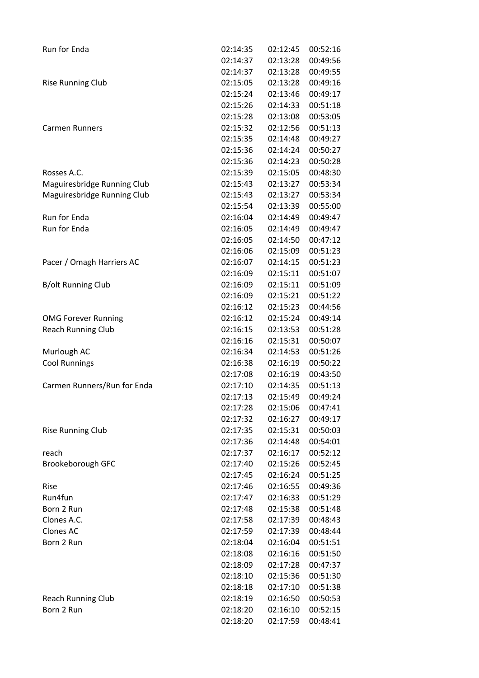| Run for Enda                | 02:14:35 | 02:12:45 | 00:52:16 |
|-----------------------------|----------|----------|----------|
|                             | 02:14:37 | 02:13:28 | 00:49:56 |
|                             | 02:14:37 | 02:13:28 | 00:49:55 |
| <b>Rise Running Club</b>    | 02:15:05 | 02:13:28 | 00:49:16 |
|                             | 02:15:24 | 02:13:46 | 00:49:17 |
|                             | 02:15:26 | 02:14:33 | 00:51:18 |
|                             | 02:15:28 | 02:13:08 | 00:53:05 |
| <b>Carmen Runners</b>       | 02:15:32 | 02:12:56 | 00:51:13 |
|                             | 02:15:35 | 02:14:48 | 00:49:27 |
|                             | 02:15:36 | 02:14:24 | 00:50:27 |
|                             | 02:15:36 | 02:14:23 | 00:50:28 |
| Rosses A.C.                 | 02:15:39 | 02:15:05 | 00:48:30 |
| Maguiresbridge Running Club | 02:15:43 | 02:13:27 | 00:53:34 |
| Maguiresbridge Running Club | 02:15:43 | 02:13:27 | 00:53:34 |
|                             | 02:15:54 | 02:13:39 | 00:55:00 |
| Run for Enda                | 02:16:04 | 02:14:49 | 00:49:47 |
| Run for Enda                | 02:16:05 | 02:14:49 | 00:49:47 |
|                             | 02:16:05 | 02:14:50 | 00:47:12 |
|                             | 02:16:06 | 02:15:09 | 00:51:23 |
| Pacer / Omagh Harriers AC   | 02:16:07 | 02:14:15 | 00:51:23 |
|                             | 02:16:09 | 02:15:11 | 00:51:07 |
| <b>B/olt Running Club</b>   | 02:16:09 | 02:15:11 | 00:51:09 |
|                             | 02:16:09 | 02:15:21 | 00:51:22 |
|                             | 02:16:12 | 02:15:23 | 00:44:56 |
| <b>OMG Forever Running</b>  | 02:16:12 | 02:15:24 | 00:49:14 |
| <b>Reach Running Club</b>   | 02:16:15 | 02:13:53 | 00:51:28 |
|                             | 02:16:16 | 02:15:31 | 00:50:07 |
| Murlough AC                 | 02:16:34 | 02:14:53 | 00:51:26 |
| <b>Cool Runnings</b>        | 02:16:38 | 02:16:19 | 00:50:22 |
|                             | 02:17:08 | 02:16:19 | 00:43:50 |
| Carmen Runners/Run for Enda | 02:17:10 | 02:14:35 | 00:51:13 |
|                             | 02:17:13 | 02:15:49 | 00:49:24 |
|                             | 02:17:28 | 02:15:06 | 00:47:41 |
|                             | 02:17:32 | 02:16:27 | 00:49:17 |
| <b>Rise Running Club</b>    | 02:17:35 | 02:15:31 | 00:50:03 |
|                             | 02:17:36 | 02:14:48 | 00:54:01 |
| reach                       | 02:17:37 | 02:16:17 | 00:52:12 |
| Brookeborough GFC           | 02:17:40 | 02:15:26 | 00:52:45 |
|                             | 02:17:45 | 02:16:24 | 00:51:25 |
| Rise                        | 02:17:46 | 02:16:55 | 00:49:36 |
| Run4fun                     | 02:17:47 | 02:16:33 | 00:51:29 |
| Born 2 Run                  | 02:17:48 | 02:15:38 | 00:51:48 |
| Clones A.C.                 | 02:17:58 | 02:17:39 | 00:48:43 |
| Clones AC                   | 02:17:59 | 02:17:39 | 00:48:44 |
| Born 2 Run                  | 02:18:04 | 02:16:04 | 00:51:51 |
|                             | 02:18:08 | 02:16:16 | 00:51:50 |
|                             | 02:18:09 | 02:17:28 | 00:47:37 |
|                             | 02:18:10 | 02:15:36 | 00:51:30 |
|                             | 02:18:18 | 02:17:10 | 00:51:38 |
| <b>Reach Running Club</b>   | 02:18:19 | 02:16:50 | 00:50:53 |
| Born 2 Run                  | 02:18:20 | 02:16:10 | 00:52:15 |
|                             | 02:18:20 | 02:17:59 | 00:48:41 |
|                             |          |          |          |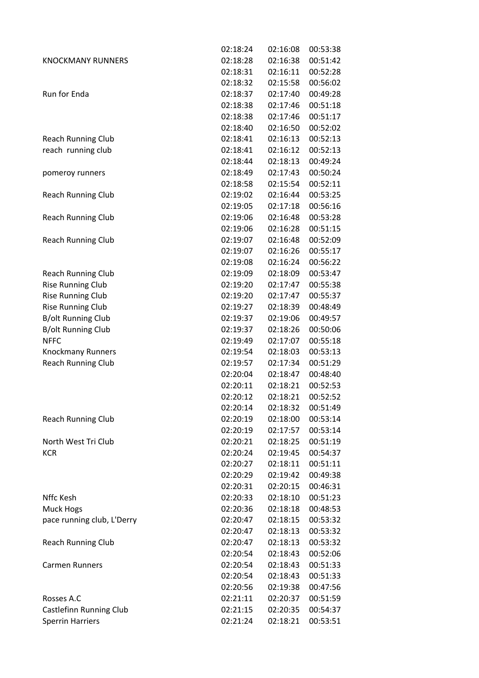|                                | 02:18:24 | 02:16:08 | 00:53:38 |
|--------------------------------|----------|----------|----------|
| <b>KNOCKMANY RUNNERS</b>       | 02:18:28 | 02:16:38 | 00:51:42 |
|                                | 02:18:31 | 02:16:11 | 00:52:28 |
|                                | 02:18:32 | 02:15:58 | 00:56:02 |
| <b>Run for Enda</b>            | 02:18:37 | 02:17:40 | 00:49:28 |
|                                | 02:18:38 | 02:17:46 | 00:51:18 |
|                                | 02:18:38 | 02:17:46 | 00:51:17 |
|                                | 02:18:40 | 02:16:50 | 00:52:02 |
| <b>Reach Running Club</b>      | 02:18:41 | 02:16:13 | 00:52:13 |
| reach running club             | 02:18:41 | 02:16:12 | 00:52:13 |
|                                | 02:18:44 | 02:18:13 | 00:49:24 |
| pomeroy runners                | 02:18:49 | 02:17:43 | 00:50:24 |
|                                | 02:18:58 | 02:15:54 | 00:52:11 |
| <b>Reach Running Club</b>      | 02:19:02 | 02:16:44 | 00:53:25 |
|                                | 02:19:05 | 02:17:18 | 00:56:16 |
| <b>Reach Running Club</b>      | 02:19:06 | 02:16:48 | 00:53:28 |
|                                | 02:19:06 | 02:16:28 | 00:51:15 |
| <b>Reach Running Club</b>      | 02:19:07 | 02:16:48 | 00:52:09 |
|                                | 02:19:07 | 02:16:26 | 00:55:17 |
|                                | 02:19:08 | 02:16:24 | 00:56:22 |
| <b>Reach Running Club</b>      | 02:19:09 | 02:18:09 | 00:53:47 |
| <b>Rise Running Club</b>       | 02:19:20 | 02:17:47 | 00:55:38 |
| <b>Rise Running Club</b>       | 02:19:20 | 02:17:47 | 00:55:37 |
| <b>Rise Running Club</b>       | 02:19:27 | 02:18:39 | 00:48:49 |
| <b>B/olt Running Club</b>      | 02:19:37 | 02:19:06 | 00:49:57 |
| <b>B/olt Running Club</b>      | 02:19:37 | 02:18:26 | 00:50:06 |
| <b>NFFC</b>                    | 02:19:49 | 02:17:07 | 00:55:18 |
|                                |          |          |          |
| <b>Knockmany Runners</b>       | 02:19:54 | 02:18:03 | 00:53:13 |
| <b>Reach Running Club</b>      | 02:19:57 | 02:17:34 | 00:51:29 |
|                                | 02:20:04 | 02:18:47 | 00:48:40 |
|                                | 02:20:11 | 02:18:21 | 00:52:53 |
|                                | 02:20:12 | 02:18:21 | 00:52:52 |
|                                | 02:20:14 | 02:18:32 | 00:51:49 |
| <b>Reach Running Club</b>      | 02:20:19 | 02:18:00 | 00:53:14 |
|                                | 02:20:19 | 02:17:57 | 00:53:14 |
| North West Tri Club            | 02:20:21 | 02:18:25 | 00:51:19 |
| <b>KCR</b>                     | 02:20:24 | 02:19:45 | 00:54:37 |
|                                | 02:20:27 | 02:18:11 | 00:51:11 |
|                                | 02:20:29 | 02:19:42 | 00:49:38 |
|                                | 02:20:31 | 02:20:15 | 00:46:31 |
| Nffc Kesh                      | 02:20:33 | 02:18:10 | 00:51:23 |
| Muck Hogs                      | 02:20:36 | 02:18:18 | 00:48:53 |
| pace running club, L'Derry     | 02:20:47 | 02:18:15 | 00:53:32 |
|                                | 02:20:47 | 02:18:13 | 00:53:32 |
| <b>Reach Running Club</b>      | 02:20:47 | 02:18:13 | 00:53:32 |
|                                | 02:20:54 | 02:18:43 | 00:52:06 |
| <b>Carmen Runners</b>          | 02:20:54 | 02:18:43 | 00:51:33 |
|                                | 02:20:54 | 02:18:43 | 00:51:33 |
|                                | 02:20:56 | 02:19:38 | 00:47:56 |
| Rosses A.C                     | 02:21:11 | 02:20:37 | 00:51:59 |
| <b>Castlefinn Running Club</b> | 02:21:15 | 02:20:35 | 00:54:37 |
| <b>Sperrin Harriers</b>        | 02:21:24 | 02:18:21 | 00:53:51 |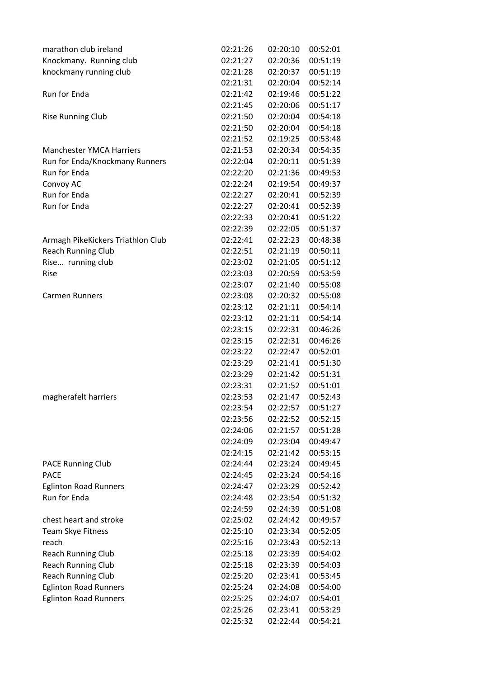| marathon club ireland                        | 02:21:26 | 02:20:10 | 00:52:01 |
|----------------------------------------------|----------|----------|----------|
| Knockmany. Running club                      | 02:21:27 | 02:20:36 | 00:51:19 |
| knockmany running club                       | 02:21:28 | 02:20:37 | 00:51:19 |
|                                              | 02:21:31 | 02:20:04 | 00:52:14 |
| Run for Enda                                 | 02:21:42 | 02:19:46 | 00:51:22 |
|                                              | 02:21:45 | 02:20:06 | 00:51:17 |
| <b>Rise Running Club</b>                     | 02:21:50 | 02:20:04 | 00:54:18 |
|                                              | 02:21:50 | 02:20:04 | 00:54:18 |
|                                              | 02:21:52 | 02:19:25 | 00:53:48 |
| <b>Manchester YMCA Harriers</b>              | 02:21:53 | 02:20:34 | 00:54:35 |
| Run for Enda/Knockmany Runners               | 02:22:04 | 02:20:11 | 00:51:39 |
| Run for Enda                                 | 02:22:20 | 02:21:36 | 00:49:53 |
| Convoy AC                                    | 02:22:24 | 02:19:54 | 00:49:37 |
| Run for Enda                                 | 02:22:27 | 02:20:41 | 00:52:39 |
| Run for Enda                                 | 02:22:27 | 02:20:41 | 00:52:39 |
|                                              | 02:22:33 | 02:20:41 | 00:51:22 |
|                                              | 02:22:39 | 02:22:05 | 00:51:37 |
| Armagh PikeKickers Triathlon Club            | 02:22:41 | 02:22:23 | 00:48:38 |
| <b>Reach Running Club</b>                    | 02:22:51 | 02:21:19 | 00:50:11 |
| Rise running club                            | 02:23:02 | 02:21:05 | 00:51:12 |
| Rise                                         | 02:23:03 | 02:20:59 | 00:53:59 |
|                                              | 02:23:07 | 02:21:40 | 00:55:08 |
| <b>Carmen Runners</b>                        | 02:23:08 | 02:20:32 | 00:55:08 |
|                                              | 02:23:12 | 02:21:11 | 00:54:14 |
|                                              | 02:23:12 | 02:21:11 | 00:54:14 |
|                                              | 02:23:15 | 02:22:31 | 00:46:26 |
|                                              | 02:23:15 | 02:22:31 | 00:46:26 |
|                                              | 02:23:22 | 02:22:47 | 00:52:01 |
|                                              | 02:23:29 | 02:21:41 | 00:51:30 |
|                                              | 02:23:29 | 02:21:42 | 00:51:31 |
|                                              | 02:23:31 | 02:21:52 | 00:51:01 |
| magherafelt harriers                         | 02:23:53 | 02:21:47 | 00:52:43 |
|                                              | 02:23:54 | 02:22:57 | 00:51:27 |
|                                              | 02:23:56 | 02:22:52 | 00:52:15 |
|                                              | 02:24:06 | 02:21:57 | 00:51:28 |
|                                              | 02:24:09 | 02:23:04 | 00:49:47 |
|                                              | 02:24:15 | 02:21:42 | 00:53:15 |
|                                              | 02:24:44 | 02:23:24 | 00:49:45 |
| <b>PACE Running Club</b><br><b>PACE</b>      | 02:24:45 | 02:23:24 | 00:54:16 |
|                                              | 02:24:47 | 02:23:29 | 00:52:42 |
| <b>Eglinton Road Runners</b><br>Run for Enda | 02:24:48 | 02:23:54 | 00:51:32 |
|                                              |          | 02:24:39 |          |
|                                              | 02:24:59 |          | 00:51:08 |
| chest heart and stroke                       | 02:25:02 | 02:24:42 | 00:49:57 |
| Team Skye Fitness                            | 02:25:10 | 02:23:34 | 00:52:05 |
| reach                                        | 02:25:16 | 02:23:43 | 00:52:13 |
| <b>Reach Running Club</b>                    | 02:25:18 | 02:23:39 | 00:54:02 |
| <b>Reach Running Club</b>                    | 02:25:18 | 02:23:39 | 00:54:03 |
| <b>Reach Running Club</b>                    | 02:25:20 | 02:23:41 | 00:53:45 |
| <b>Eglinton Road Runners</b>                 | 02:25:24 | 02:24:08 | 00:54:00 |
| <b>Eglinton Road Runners</b>                 | 02:25:25 | 02:24:07 | 00:54:01 |
|                                              | 02:25:26 | 02:23:41 | 00:53:29 |
|                                              | 02:25:32 | 02:22:44 | 00:54:21 |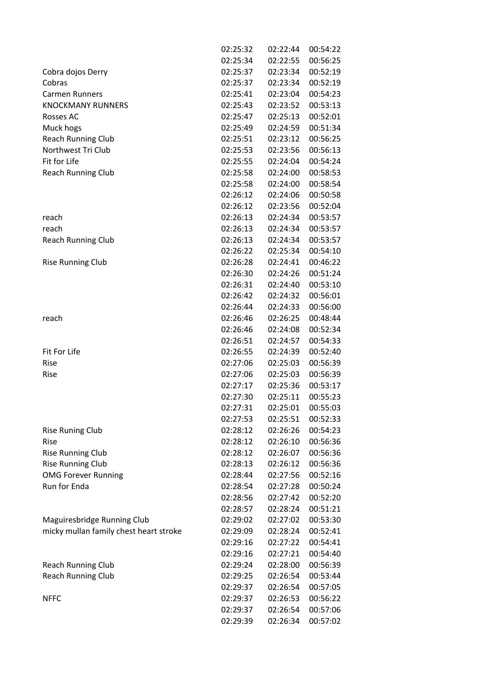|                                                      | 02:25:32 | 02:22:44             | 00:54:22             |
|------------------------------------------------------|----------|----------------------|----------------------|
|                                                      | 02:25:34 | 02:22:55             | 00:56:25             |
| Cobra dojos Derry                                    | 02:25:37 | 02:23:34             | 00:52:19             |
| Cobras                                               | 02:25:37 | 02:23:34             | 00:52:19             |
| <b>Carmen Runners</b>                                | 02:25:41 | 02:23:04             | 00:54:23             |
| <b>KNOCKMANY RUNNERS</b>                             | 02:25:43 | 02:23:52             | 00:53:13             |
| Rosses AC                                            | 02:25:47 | 02:25:13             | 00:52:01             |
| Muck hogs                                            | 02:25:49 | 02:24:59             | 00:51:34             |
| <b>Reach Running Club</b>                            | 02:25:51 | 02:23:12             | 00:56:25             |
| Northwest Tri Club                                   | 02:25:53 | 02:23:56             | 00:56:13             |
| Fit for Life                                         | 02:25:55 | 02:24:04             | 00:54:24             |
| <b>Reach Running Club</b>                            | 02:25:58 | 02:24:00             | 00:58:53             |
|                                                      | 02:25:58 | 02:24:00             | 00:58:54             |
|                                                      | 02:26:12 | 02:24:06             | 00:50:58             |
|                                                      | 02:26:12 | 02:23:56             | 00:52:04             |
| reach                                                | 02:26:13 | 02:24:34             | 00:53:57             |
| reach                                                | 02:26:13 | 02:24:34             | 00:53:57             |
| <b>Reach Running Club</b>                            | 02:26:13 | 02:24:34             | 00:53:57             |
|                                                      | 02:26:22 | 02:25:34             | 00:54:10             |
| <b>Rise Running Club</b>                             | 02:26:28 | 02:24:41             | 00:46:22             |
|                                                      | 02:26:30 | 02:24:26             | 00:51:24             |
|                                                      | 02:26:31 | 02:24:40             | 00:53:10             |
|                                                      | 02:26:42 | 02:24:32             | 00:56:01             |
|                                                      | 02:26:44 | 02:24:33             | 00:56:00             |
| reach                                                | 02:26:46 | 02:26:25             | 00:48:44             |
|                                                      | 02:26:46 | 02:24:08             | 00:52:34             |
|                                                      | 02:26:51 | 02:24:57             | 00:54:33             |
| Fit For Life                                         | 02:26:55 | 02:24:39             | 00:52:40             |
| Rise                                                 | 02:27:06 | 02:25:03             | 00:56:39             |
| Rise                                                 | 02:27:06 | 02:25:03             | 00:56:39             |
|                                                      | 02:27:17 | 02:25:36             | 00:53:17             |
|                                                      | 02:27:30 | 02:25:11             | 00:55:23             |
|                                                      | 02:27:31 | 02:25:01             | 00:55:03             |
|                                                      | 02:27:53 | 02:25:51             | 00:52:33             |
| <b>Rise Runing Club</b>                              | 02:28:12 | 02:26:26             | 00:54:23             |
| Rise                                                 | 02:28:12 | 02:26:10             | 00:56:36             |
|                                                      | 02:28:12 | 02:26:07             | 00:56:36             |
| <b>Rise Running Club</b><br><b>Rise Running Club</b> | 02:28:13 | 02:26:12             | 00:56:36             |
| <b>OMG Forever Running</b>                           | 02:28:44 | 02:27:56             | 00:52:16             |
| Run for Enda                                         | 02:28:54 | 02:27:28             | 00:50:24             |
|                                                      | 02:28:56 | 02:27:42             | 00:52:20             |
|                                                      | 02:28:57 | 02:28:24             | 00:51:21             |
|                                                      |          | 02:27:02             | 00:53:30             |
| Maguiresbridge Running Club                          | 02:29:02 | 02:28:24             |                      |
| micky mullan family chest heart stroke               | 02:29:09 |                      | 00:52:41             |
|                                                      | 02:29:16 | 02:27:22             | 00:54:41<br>00:54:40 |
|                                                      | 02:29:16 | 02:27:21             |                      |
| <b>Reach Running Club</b>                            | 02:29:24 | 02:28:00             | 00:56:39             |
| <b>Reach Running Club</b>                            | 02:29:25 | 02:26:54             | 00:53:44             |
|                                                      | 02:29:37 | 02:26:54             | 00:57:05             |
| <b>NFFC</b>                                          | 02:29:37 | 02:26:53<br>02:26:54 | 00:56:22             |
|                                                      | 02:29:37 |                      | 00:57:06             |
|                                                      | 02:29:39 | 02:26:34             | 00:57:02             |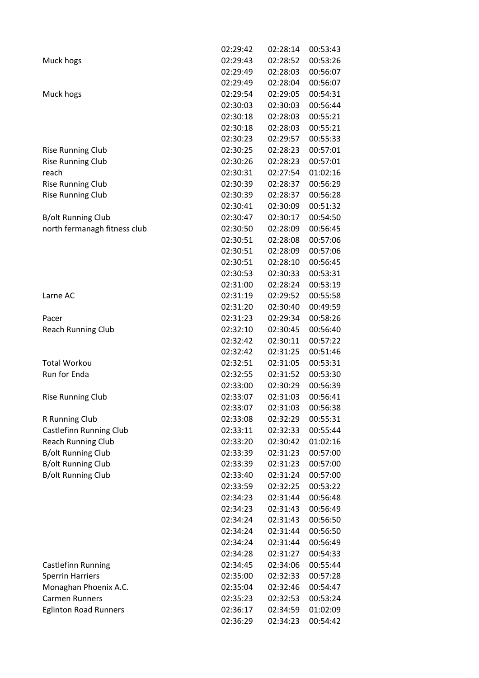|                                | 02:29:42 | 02:28:14 | 00:53:43 |
|--------------------------------|----------|----------|----------|
| Muck hogs                      | 02:29:43 | 02:28:52 | 00:53:26 |
|                                | 02:29:49 | 02:28:03 | 00:56:07 |
|                                | 02:29:49 | 02:28:04 | 00:56:07 |
| Muck hogs                      | 02:29:54 | 02:29:05 | 00:54:31 |
|                                | 02:30:03 | 02:30:03 | 00:56:44 |
|                                | 02:30:18 | 02:28:03 | 00:55:21 |
|                                | 02:30:18 | 02:28:03 | 00:55:21 |
|                                | 02:30:23 | 02:29:57 | 00:55:33 |
| <b>Rise Running Club</b>       | 02:30:25 | 02:28:23 | 00:57:01 |
| <b>Rise Running Club</b>       | 02:30:26 | 02:28:23 | 00:57:01 |
| reach                          | 02:30:31 | 02:27:54 | 01:02:16 |
| <b>Rise Running Club</b>       | 02:30:39 | 02:28:37 | 00:56:29 |
| <b>Rise Running Club</b>       | 02:30:39 | 02:28:37 | 00:56:28 |
|                                | 02:30:41 | 02:30:09 | 00:51:32 |
| <b>B/olt Running Club</b>      | 02:30:47 | 02:30:17 | 00:54:50 |
| north fermanagh fitness club   | 02:30:50 | 02:28:09 | 00:56:45 |
|                                | 02:30:51 | 02:28:08 | 00:57:06 |
|                                | 02:30:51 | 02:28:09 | 00:57:06 |
|                                | 02:30:51 | 02:28:10 | 00:56:45 |
|                                | 02:30:53 | 02:30:33 | 00:53:31 |
|                                | 02:31:00 | 02:28:24 | 00:53:19 |
| Larne AC                       | 02:31:19 | 02:29:52 | 00:55:58 |
|                                | 02:31:20 | 02:30:40 | 00:49:59 |
| Pacer                          | 02:31:23 | 02:29:34 | 00:58:26 |
|                                | 02:32:10 | 02:30:45 | 00:56:40 |
| <b>Reach Running Club</b>      | 02:32:42 | 02:30:11 | 00:57:22 |
|                                |          |          | 00:51:46 |
|                                | 02:32:42 | 02:31:25 |          |
| <b>Total Workou</b>            | 02:32:51 | 02:31:05 | 00:53:31 |
| Run for Enda                   | 02:32:55 | 02:31:52 | 00:53:30 |
|                                | 02:33:00 | 02:30:29 | 00:56:39 |
| <b>Rise Running Club</b>       | 02:33:07 | 02:31:03 | 00:56:41 |
|                                | 02:33:07 | 02:31:03 | 00:56:38 |
| R Running Club                 | 02:33:08 | 02:32:29 | 00:55:31 |
| <b>Castlefinn Running Club</b> | 02:33:11 | 02:32:33 | 00:55:44 |
| <b>Reach Running Club</b>      | 02:33:20 | 02:30:42 | 01:02:16 |
| <b>B/olt Running Club</b>      | 02:33:39 | 02:31:23 | 00:57:00 |
| <b>B/olt Running Club</b>      | 02:33:39 | 02:31:23 | 00:57:00 |
| <b>B/olt Running Club</b>      | 02:33:40 | 02:31:24 | 00:57:00 |
|                                | 02:33:59 | 02:32:25 | 00:53:22 |
|                                | 02:34:23 | 02:31:44 | 00:56:48 |
|                                | 02:34:23 | 02:31:43 | 00:56:49 |
|                                | 02:34:24 | 02:31:43 | 00:56:50 |
|                                | 02:34:24 | 02:31:44 | 00:56:50 |
|                                | 02:34:24 | 02:31:44 | 00:56:49 |
|                                | 02:34:28 | 02:31:27 | 00:54:33 |
| Castlefinn Running             | 02:34:45 | 02:34:06 | 00:55:44 |
| <b>Sperrin Harriers</b>        | 02:35:00 | 02:32:33 | 00:57:28 |
| Monaghan Phoenix A.C.          | 02:35:04 | 02:32:46 | 00:54:47 |
| <b>Carmen Runners</b>          | 02:35:23 | 02:32:53 | 00:53:24 |
| <b>Eglinton Road Runners</b>   | 02:36:17 | 02:34:59 | 01:02:09 |
|                                | 02:36:29 | 02:34:23 | 00:54:42 |